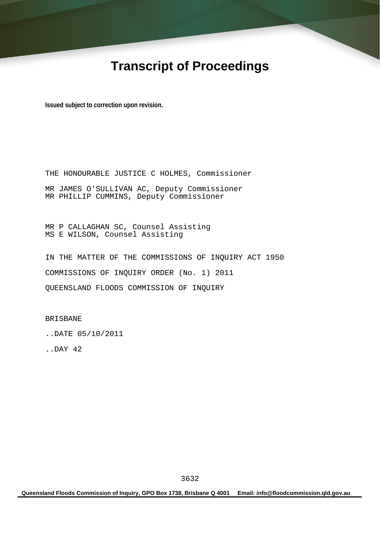# **Transcript of Proceedings**

**Issued subject to correction upon revision.** 

THE HONOURABLE JUSTICE C HOLMES, Commissioner MR JAMES O'SULLIVAN AC, Deputy Commissioner MR PHILLIP CUMMINS, Deputy Commissioner

MR P CALLAGHAN SC, Counsel Assisting MS E WILSON, Counsel Assisting

IN THE MATTER OF THE COMMISSIONS OF INQUIRY ACT 1950 COMMISSIONS OF INQUIRY ORDER (No. 1) 2011 QUEENSLAND FLOODS COMMISSION OF INQUIRY

BRISBANE

..DATE 05/10/2011

..DAY 42

**Queensland Floods Commission of Inquiry, GPO Box 1738, Brisbane Q 4001 Email: info@floodcommission.qld.gov.au**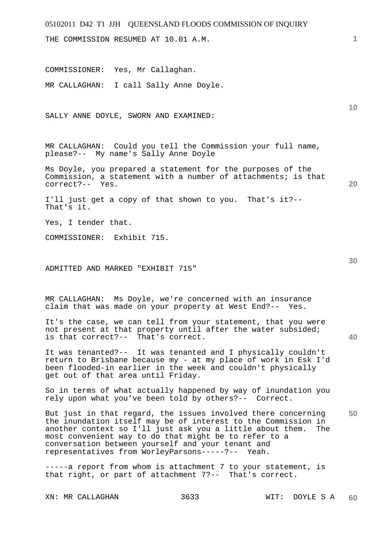# 05102011 D42 T1 JJH QUEENSLAND FLOODS COMMISSION OF INQUIRY **1 10 20 30 40 50**  THE COMMISSION RESUMED AT 10.01 A.M. COMMISSIONER: Yes, Mr Callaghan. MR CALLAGHAN: I call Sally Anne Doyle. SALLY ANNE DOYLE, SWORN AND EXAMINED: MR CALLAGHAN: Could you tell the Commission your full name, please?-- My name's Sally Anne Doyle Ms Doyle, you prepared a statement for the purposes of the Commission, a statement with a number of attachments; is that correct?-- Yes. I'll just get a copy of that shown to you. That's it?-- That's it. Yes, I tender that. COMMISSIONER: Exhibit 715. ADMITTED AND MARKED "EXHIBIT 715" MR CALLAGHAN: Ms Doyle, we're concerned with an insurance claim that was made on your property at West End?-- Yes. It's the case, we can tell from your statement, that you were not present at that property until after the water subsided; is that correct?-- That's correct. It was tenanted?-- It was tenanted and I physically couldn't return to Brisbane because my - at my place of work in Esk I'd been flooded-in earlier in the week and couldn't physically get out of that area until Friday. So in terms of what actually happened by way of inundation you rely upon what you've been told by others?-- Correct. But just in that regard, the issues involved there concerning the inundation itself may be of interest to the Commission in another context so I'll just ask you a little about them. The most convenient way to do that might be to refer to a conversation between yourself and your tenant and representatives from WorleyParsons-----?-- Yeah. -----a report from whom is attachment 7 to your statement, is that right, or part of attachment 7?-- That's correct.

XN: MR CALLAGHAN 3633 WIT: DOYLE S A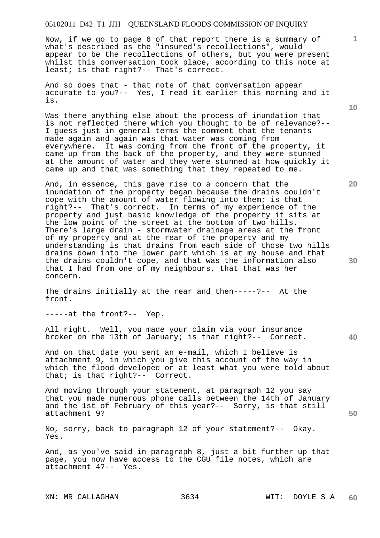Now, if we go to page 6 of that report there is a summary of what's described as the "insured's recollections", would appear to be the recollections of others, but you were present whilst this conversation took place, according to this note at least; is that right?-- That's correct.

And so does that - that note of that conversation appear accurate to you?-- Yes, I read it earlier this morning and it is.

Was there anything else about the process of inundation that is not reflected there which you thought to be of relevance?-- I guess just in general terms the comment that the tenants made again and again was that water was coming from everywhere. It was coming from the front of the property, it came up from the back of the property, and they were stunned at the amount of water and they were stunned at how quickly it came up and that was something that they repeated to me.

And, in essence, this gave rise to a concern that the inundation of the property began because the drains couldn't cope with the amount of water flowing into them; is that right?-- That's correct. In terms of my experience of the property and just basic knowledge of the property it sits at the low point of the street at the bottom of two hills. There's large drain - stormwater drainage areas at the front of my property and at the rear of the property and my understanding is that drains from each side of those two hills drains down into the lower part which is at my house and that the drains couldn't cope, and that was the information also that I had from one of my neighbours, that that was her concern.

The drains initially at the rear and then-----?-- At the front.

-----at the front?-- Yep.

All right. Well, you made your claim via your insurance broker on the 13th of January; is that right?-- Correct.

And on that date you sent an e-mail, which I believe is attachment 9, in which you give this account of the way in which the flood developed or at least what you were told about that; is that right?-- Correct.

And moving through your statement, at paragraph 12 you say that you made numerous phone calls between the 14th of January and the 1st of February of this year?-- Sorry, is that still attachment 9?

No, sorry, back to paragraph 12 of your statement?-- Okay. Yes.

And, as you've said in paragraph 8, just a bit further up that page, you now have access to the CGU file notes, which are attachment 4?-- Yes.

XN: MR CALLAGHAN 3634 WIT: DOYLE S A

**10** 

**1**

**30** 

**20**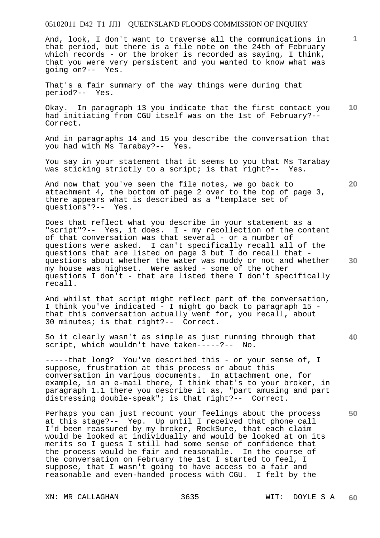And, look, I don't want to traverse all the communications in that period, but there is a file note on the 24th of February which records - or the broker is recorded as saying, I think, that you were very persistent and you wanted to know what was going on?-- Yes.

That's a fair summary of the way things were during that period?-- Yes.

**10**  Okay. In paragraph 13 you indicate that the first contact you had initiating from CGU itself was on the 1st of February?-- Correct.

And in paragraphs 14 and 15 you describe the conversation that you had with Ms Tarabay?-- Yes.

You say in your statement that it seems to you that Ms Tarabay was sticking strictly to a script; is that right?-- Yes.

And now that you've seen the file notes, we go back to attachment 4, the bottom of page 2 over to the top of page 3, there appears what is described as a "template set of questions"?-- Yes.

Does that reflect what you describe in your statement as a "script"?-- Yes, it does. I - my recollection of the content of that conversation was that several - or a number of questions were asked. I can't specifically recall all of the questions that are listed on page 3 but I do recall that questions about whether the water was muddy or not and whether my house was highset. Were asked - some of the other questions I don't - that are listed there I don't specifically recall.

And whilst that script might reflect part of the conversation, I think you've indicated - I might go back to paragraph 15 that this conversation actually went for, you recall, about 30 minutes; is that right?-- Correct.

So it clearly wasn't as simple as just running through that script, which wouldn't have taken-----?-- No.

-----that long? You've described this - or your sense of, I suppose, frustration at this process or about this conversation in various documents. In attachment one, for example, in an e-mail there, I think that's to your broker, in paragraph 1.1 there you describe it as, "part amusing and part distressing double-speak"; is that right?-- Correct.

Perhaps you can just recount your feelings about the process at this stage?-- Yep. Up until I received that phone call I'd been reassured by my broker, RockSure, that each claim would be looked at individually and would be looked at on its merits so I guess I still had some sense of confidence that the process would be fair and reasonable. In the course of the conversation on February the 1st I started to feel, I suppose, that I wasn't going to have access to a fair and reasonable and even-handed process with CGU. I felt by the

**20** 

**40** 

**50** 

**30**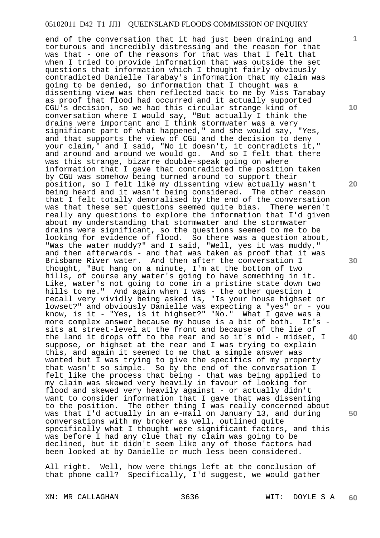end of the conversation that it had just been draining and torturous and incredibly distressing and the reason for that was that - one of the reasons for that was that I felt that when I tried to provide information that was outside the set questions that information which I thought fairly obviously contradicted Danielle Tarabay's information that my claim was going to be denied, so information that I thought was a dissenting view was then reflected back to me by Miss Tarabay as proof that flood had occurred and it actually supported CGU's decision, so we had this circular strange kind of conversation where I would say, "But actually I think the drains were important and I think stormwater was a very significant part of what happened," and she would say, "Yes, and that supports the view of CGU and the decision to deny your claim," and I said, "No it doesn't, it contradicts it," and around and around we would go. And so I felt that there was this strange, bizarre double-speak going on where information that I gave that contradicted the position taken by CGU was somehow being turned around to support their position, so I felt like my dissenting view actually wasn't being heard and it wasn't being considered. The other reason that I felt totally demoralised by the end of the conversation was that these set questions seemed quite bias. There weren't really any questions to explore the information that I'd given about my understanding that stormwater and the stormwater drains were significant, so the questions seemed to me to be looking for evidence of flood. So there was a question about, "Was the water muddy?" and I said, "Well, yes it was muddy," and then afterwards - and that was taken as proof that it was Brisbane River water. And then after the conversation I thought, "But hang on a minute, I'm at the bottom of two hills, of course any water's going to have something in it. Like, water's not going to come in a pristine state down two hills to me." And again when I was - the other question I recall very vividly being asked is, "Is your house highset or lowset?" and obviously Danielle was expecting a "yes" or - you know, is it - "Yes, is it highset?" "No." What I gave was a more complex answer because my house is a bit of both. It's sits at street-level at the front and because of the lie of the land it drops off to the rear and so it's mid - midset, I suppose, or highset at the rear and I was trying to explain this, and again it seemed to me that a simple answer was wanted but I was trying to give the specifics of my property that wasn't so simple. So by the end of the conversation I felt like the process that being - that was being applied to my claim was skewed very heavily in favour of looking for flood and skewed very heavily against - or actually didn't want to consider information that I gave that was dissenting to the position. The other thing I was really concerned about was that I'd actually in an e-mail on January 13, and during conversations with my broker as well, outlined quite specifically what I thought were significant factors, and this was before I had any clue that my claim was going to be declined, but it didn't seem like any of those factors had been looked at by Danielle or much less been considered.

All right. Well, how were things left at the conclusion of that phone call? Specifically, I'd suggest, we would gather

**10** 

**1**

**20** 

**30** 

**40**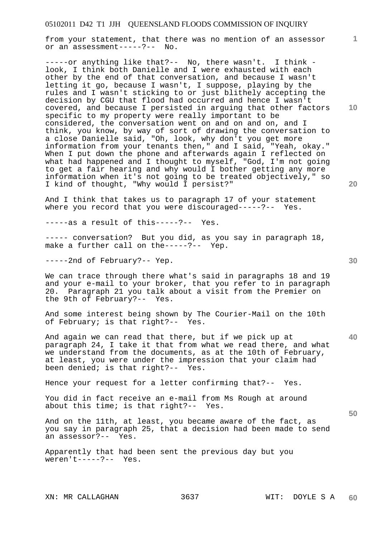from your statement, that there was no mention of an assessor or an assessment-----?-- No.

-----or anything like that?-- No, there wasn't. I think look, I think both Danielle and I were exhausted with each other by the end of that conversation, and because I wasn't letting it go, because I wasn't, I suppose, playing by the rules and I wasn't sticking to or just blithely accepting the decision by CGU that flood had occurred and hence I wasn't covered, and because I persisted in arguing that other factors specific to my property were really important to be considered, the conversation went on and on and on, and I think, you know, by way of sort of drawing the conversation to a close Danielle said, "Oh, look, why don't you get more information from your tenants then," and I said, "Yeah, okay." When I put down the phone and afterwards again I reflected on what had happened and I thought to myself, "God, I'm not going to get a fair hearing and why would I bother getting any more information when it's not going to be treated objectively," so I kind of thought, "Why would I persist?"

And I think that takes us to paragraph 17 of your statement where you record that you were discouraged-----?-- Yes.

-----as a result of this-----?-- Yes.

----- conversation? But you did, as you say in paragraph 18, make a further call on the-----?-- Yep.

-----2nd of February?-- Yep.

We can trace through there what's said in paragraphs 18 and 19 and your e-mail to your broker, that you refer to in paragraph<br>20. Paragraph 21 you talk about a visit from the Premier on Paragraph 21 you talk about a visit from the Premier on the 9th of February?-- Yes.

And some interest being shown by The Courier-Mail on the 10th of February; is that right?-- Yes.

And again we can read that there, but if we pick up at paragraph 24, I take it that from what we read there, and what we understand from the documents, as at the 10th of February, at least, you were under the impression that your claim had been denied; is that right?-- Yes.

Hence your request for a letter confirming that?-- Yes.

You did in fact receive an e-mail from Ms Rough at around about this time; is that right?-- Yes.

And on the 11th, at least, you became aware of the fact, as you say in paragraph 25, that a decision had been made to send an assessor?-- Yes.

Apparently that had been sent the previous day but you weren't-----?-- Yes.

**10** 

**1**

**40** 

**50**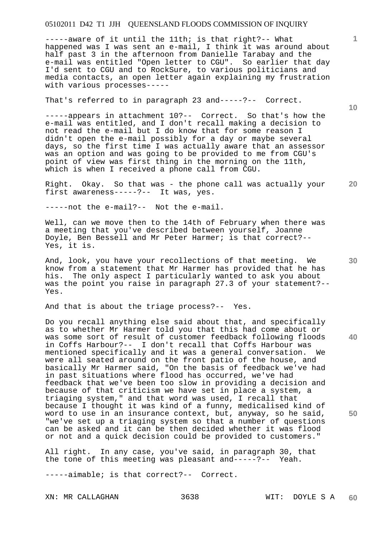-----aware of it until the 11th; is that right?-- What happened was I was sent an e-mail, I think it was around about half past 3 in the afternoon from Danielle Tarabay and the e-mail was entitled "Open letter to CGU". So earlier that day I'd sent to CGU and to RockSure, to various politicians and media contacts, an open letter again explaining my frustration with various processes-----

That's referred to in paragraph 23 and-----?-- Correct.

-----appears in attachment 10?-- Correct. So that's how the e-mail was entitled, and I don't recall making a decision to not read the e-mail but I do know that for some reason I didn't open the e-mail possibly for a day or maybe several days, so the first time I was actually aware that an assessor was an option and was going to be provided to me from CGU's point of view was first thing in the morning on the 11th, which is when I received a phone call from CGU.

**20**  Right. Okay. So that was - the phone call was actually your first awareness-----?-- It was, yes.

-----not the e-mail?-- Not the e-mail.

Well, can we move then to the 14th of February when there was a meeting that you've described between yourself, Joanne Doyle, Ben Bessell and Mr Peter Harmer; is that correct?-- Yes, it is.

And, look, you have your recollections of that meeting. We know from a statement that Mr Harmer has provided that he has his. The only aspect I particularly wanted to ask you about was the point you raise in paragraph 27.3 of your statement?-- Yes.

And that is about the triage process?-- Yes.

Do you recall anything else said about that, and specifically as to whether Mr Harmer told you that this had come about or was some sort of result of customer feedback following floods in Coffs Harbour?-- I don't recall that Coffs Harbour was mentioned specifically and it was a general conversation. We were all seated around on the front patio of the house, and basically Mr Harmer said, "On the basis of feedback we've had in past situations where flood has occurred, we've had feedback that we've been too slow in providing a decision and because of that criticism we have set in place a system, a triaging system," and that word was used, I recall that because I thought it was kind of a funny, medicalised kind of word to use in an insurance context, but, anyway, so he said, "we've set up a triaging system so that a number of questions can be asked and it can be then decided whether it was flood or not and a quick decision could be provided to customers."

All right. In any case, you've said, in paragraph 30, that the tone of this meeting was pleasant and-----?-- Yeah.

-----aimable; is that correct?-- Correct.

XN: MR CALLAGHAN 3638 WIT: DOYLE S A

**10** 

**1**

**30**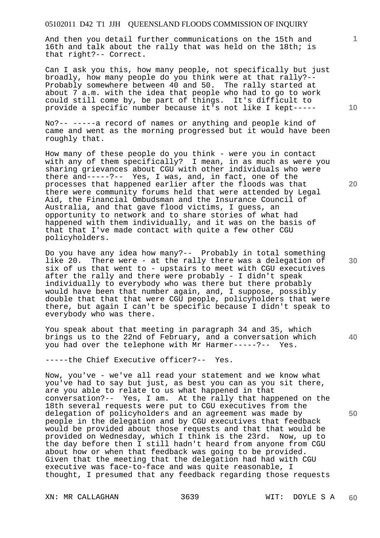And then you detail further communications on the 15th and 16th and talk about the rally that was held on the 18th; is that right?-- Correct.

Can I ask you this, how many people, not specifically but just broadly, how many people do you think were at that rally?-- Probably somewhere between 40 and 50. The rally started at about 7 a.m. with the idea that people who had to go to work could still come by, be part of things. It's difficult to provide a specific number because it's not like I kept-----

No?-- -----a record of names or anything and people kind of came and went as the morning progressed but it would have been roughly that.

How many of these people do you think - were you in contact with any of them specifically? I mean, in as much as were you sharing grievances about CGU with other individuals who were there and-----?-- Yes, I was, and, in fact, one of the processes that happened earlier after the floods was that there were community forums held that were attended by Legal Aid, the Financial Ombudsman and the Insurance Council of Australia, and that gave flood victims, I guess, an opportunity to network and to share stories of what had happened with them individually, and it was on the basis of that that I've made contact with quite a few other CGU policyholders.

Do you have any idea how many?-- Probably in total something like 20. There were - at the rally there was a delegation of six of us that went to - upstairs to meet with CGU executives after the rally and there were probably - I didn't speak individually to everybody who was there but there probably would have been that number again, and, I suppose, possibly double that that that were CGU people, policyholders that were there, but again I can't be specific because I didn't speak to everybody who was there.

You speak about that meeting in paragraph 34 and 35, which brings us to the 22nd of February, and a conversation which you had over the telephone with Mr Harmer-----?-- Yes.

-----the Chief Executive officer?-- Yes.

Now, you've - we've all read your statement and we know what you've had to say but just, as best you can as you sit there, are you able to relate to us what happened in that conversation?-- Yes, I am. At the rally that happened on the 18th several requests were put to CGU executives from the delegation of policyholders and an agreement was made by people in the delegation and by CGU executives that feedback would be provided about those requests and that that would be provided on Wednesday, which I think is the 23rd. Now, up to the day before then I still hadn't heard from anyone from CGU about how or when that feedback was going to be provided. Given that the meeting that the delegation had had with CGU executive was face-to-face and was quite reasonable, I thought, I presumed that any feedback regarding those requests

XN: MR CALLAGHAN 3639 WIT: DOYLE S A

**20** 

**10** 

**50** 

**40**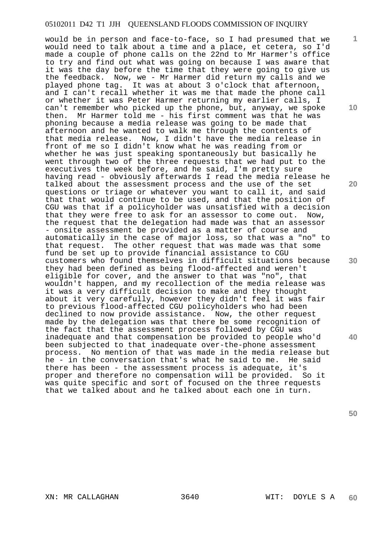would be in person and face-to-face, so I had presumed that we would need to talk about a time and a place, et cetera, so I'd made a couple of phone calls on the 22nd to Mr Harmer's office to try and find out what was going on because I was aware that it was the day before the time that they were going to give us the feedback. Now, we - Mr Harmer did return my calls and we played phone tag. It was at about 3 o'clock that afternoon, and I can't recall whether it was me that made the phone call or whether it was Peter Harmer returning my earlier calls, I can't remember who picked up the phone, but, anyway, we spoke then. Mr Harmer told me - his first comment was that he was phoning because a media release was going to be made that afternoon and he wanted to walk me through the contents of that media release. Now, I didn't have the media release in front of me so I didn't know what he was reading from or whether he was just speaking spontaneously but basically he went through two of the three requests that we had put to the executives the week before, and he said, I'm pretty sure having read - obviously afterwards I read the media release he talked about the assessment process and the use of the set questions or triage or whatever you want to call it, and said that that would continue to be used, and that the position of CGU was that if a policyholder was unsatisfied with a decision that they were free to ask for an assessor to come out. Now, the request that the delegation had made was that an assessor - onsite assessment be provided as a matter of course and automatically in the case of major loss, so that was a "no" to that request. The other request that was made was that some fund be set up to provide financial assistance to CGU customers who found themselves in difficult situations because they had been defined as being flood-affected and weren't eligible for cover, and the answer to that was "no", that wouldn't happen, and my recollection of the media release was it was a very difficult decision to make and they thought about it very carefully, however they didn't feel it was fair to previous flood-affected CGU policyholders who had been declined to now provide assistance. Now, the other request made by the delegation was that there be some recognition of the fact that the assessment process followed by CGU was inadequate and that compensation be provided to people who'd been subjected to that inadequate over-the-phone assessment process. No mention of that was made in the media release but he - in the conversation that's what he said to me. He said there has been - the assessment process is adequate, it's proper and therefore no compensation will be provided. So it was quite specific and sort of focused on the three requests that we talked about and he talked about each one in turn.

**10** 

**1**

**20** 

**30** 

**40**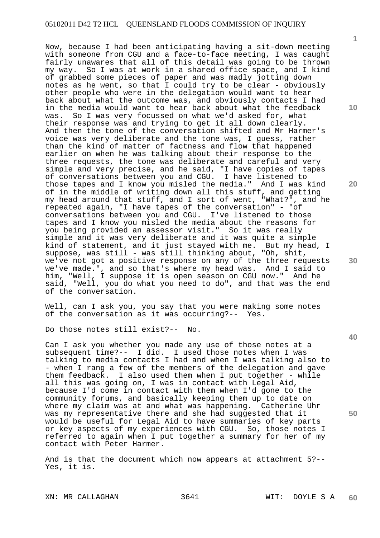Now, because I had been anticipating having a sit-down meeting with someone from CGU and a face-to-face meeting, I was caught fairly unawares that all of this detail was going to be thrown my way. So I was at work in a shared office space, and I kind of grabbed some pieces of paper and was madly jotting down notes as he went, so that I could try to be clear - obviously other people who were in the delegation would want to hear back about what the outcome was, and obviously contacts I had in the media would want to hear back about what the feedback was. So I was very focussed on what we'd asked for, what their response was and trying to get it all down clearly. And then the tone of the conversation shifted and Mr Harmer's voice was very deliberate and the tone was, I guess, rather than the kind of matter of factness and flow that happened earlier on when he was talking about their response to the three requests, the tone was deliberate and careful and very simple and very precise, and he said, "I have copies of tapes of conversations between you and CGU. I have listened to those tapes and I know you misled the media." And I was kind of in the middle of writing down all this stuff, and getting my head around that stuff, and I sort of went, "What?", and he repeated again, "I have tapes of the conversation" - "of conversations between you and CGU. I've listened to those tapes and I know you misled the media about the reasons for you being provided an assessor visit." So it was really simple and it was very deliberate and it was quite a simple kind of statement, and it just stayed with me. But my head, I suppose, was still - was still thinking about, "Oh, shit, we've not got a positive response on any of the three requests we've made.", and so that's where my head was. And I said to him, "Well, I suppose it is open season on CGU now." And he said, "Well, you do what you need to do", and that was the end of the conversation.

Well, can I ask you, you say that you were making some notes of the conversation as it was occurring?-- Yes.

Do those notes still exist?-- No.

Can I ask you whether you made any use of those notes at a subsequent time?-- I did. I used those notes when I was talking to media contacts I had and when I was talking also to - when I rang a few of the members of the delegation and gave them feedback. I also used them when I put together - while all this was going on, I was in contact with Legal Aid, because I'd come in contact with them when I'd gone to the community forums, and basically keeping them up to date on where my claim was at and what was happening. Catherine Uhr was my representative there and she had suggested that it would be useful for Legal Aid to have summaries of key parts or key aspects of my experiences with CGU. So, those notes I referred to again when I put together a summary for her of my contact with Peter Harmer.

And is that the document which now appears at attachment 5?-- Yes, it is.

**10** 

**1**

**20** 

**40**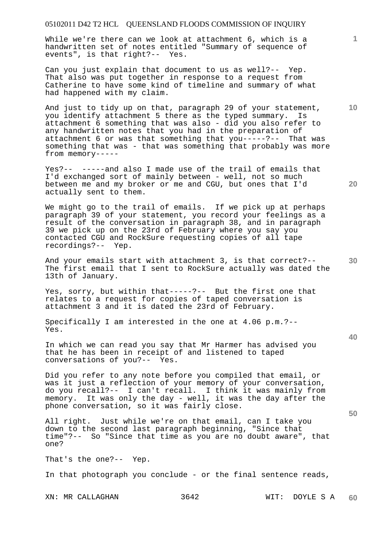While we're there can we look at attachment 6, which is a handwritten set of notes entitled "Summary of sequence of events", is that right?-- Yes.

Can you just explain that document to us as well?-- Yep. That also was put together in response to a request from Catherine to have some kind of timeline and summary of what had happened with my claim.

And just to tidy up on that, paragraph 29 of your statement, you identify attachment 5 there as the typed summary. Is attachment 6 something that was also - did you also refer to any handwritten notes that you had in the preparation of attachment 6 or was that something that you-----?-- That was something that was - that was something that probably was more from memory-----

Yes?-- -----and also I made use of the trail of emails that I'd exchanged sort of mainly between - well, not so much between me and my broker or me and CGU, but ones that I'd actually sent to them.

We might go to the trail of emails. If we pick up at perhaps paragraph 39 of your statement, you record your feelings as a result of the conversation in paragraph 38, and in paragraph 39 we pick up on the 23rd of February where you say you contacted CGU and RockSure requesting copies of all tape recordings?-- Yep.

And your emails start with attachment 3, is that correct?-- The first email that I sent to RockSure actually was dated the 13th of January.

Yes, sorry, but within that-----?-- But the first one that relates to a request for copies of taped conversation is attachment 3 and it is dated the 23rd of February.

Specifically I am interested in the one at 4.06 p.m.?-- Yes.

In which we can read you say that Mr Harmer has advised you that he has been in receipt of and listened to taped conversations of you?-- Yes.

Did you refer to any note before you compiled that email, or was it just a reflection of your memory of your conversation, do you recall?-- I can't recall. I think it was mainly from memory. It was only the day - well, it was the day after the phone conversation, so it was fairly close.

All right. Just while we're on that email, can I take you down to the second last paragraph beginning, "Since that time"?-- So "Since that time as you are no doubt aware", that one?

That's the one?-- Yep.

In that photograph you conclude - or the final sentence reads,

XN: MR CALLAGHAN 3642 WIT: DOYLE S A

**10** 

**20** 

**1**

**30** 

**40**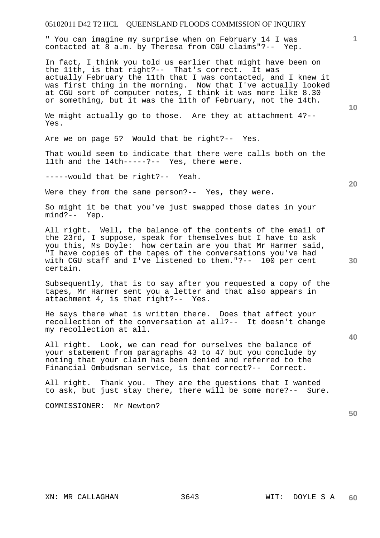" You can imagine my surprise when on February 14 I was contacted at 8 a.m. by Theresa from CGU claims"?-- Yep.

In fact, I think you told us earlier that might have been on the 11th, is that right?-- That's correct. It was actually February the 11th that I was contacted, and I knew it was first thing in the morning. Now that I've actually looked at CGU sort of computer notes, I think it was more like 8.30 or something, but it was the 11th of February, not the 14th.

We might actually go to those. Are they at attachment 4?--Yes.

Are we on page 5? Would that be right?-- Yes.

That would seem to indicate that there were calls both on the 11th and the 14th-----?-- Yes, there were.

-----would that be right?-- Yeah.

Were they from the same person?-- Yes, they were.

So might it be that you've just swapped those dates in your mind?-- Yep.

All right. Well, the balance of the contents of the email of the 23rd, I suppose, speak for themselves but I have to ask you this, Ms Doyle: how certain are you that Mr Harmer said, "I have copies of the tapes of the conversations you've had with CGU staff and I've listened to them."?-- 100 per cent certain.

Subsequently, that is to say after you requested a copy of the tapes, Mr Harmer sent you a letter and that also appears in attachment 4, is that right?-- Yes.

He says there what is written there. Does that affect your recollection of the conversation at all?-- It doesn't change my recollection at all.

All right. Look, we can read for ourselves the balance of your statement from paragraphs 43 to 47 but you conclude by noting that your claim has been denied and referred to the Financial Ombudsman service, is that correct?-- Correct.

All right. Thank you. They are the questions that I wanted to ask, but just stay there, there will be some more?-- Sure.

COMMISSIONER: Mr Newton?

**10** 

**20** 

**1**

**50**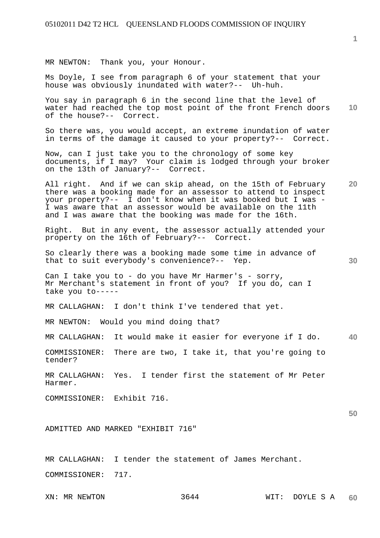MR NEWTON: Thank you, your Honour.

Ms Doyle, I see from paragraph 6 of your statement that your house was obviously inundated with water?-- Uh-huh.

**10**  You say in paragraph 6 in the second line that the level of water had reached the top most point of the front French doors of the house?-- Correct.

So there was, you would accept, an extreme inundation of water in terms of the damage it caused to your property?-- Correct.

Now, can I just take you to the chronology of some key documents, if I may? Your claim is lodged through your broker on the 13th of January?-- Correct.

**20**  All right. And if we can skip ahead, on the 15th of February there was a booking made for an assessor to attend to inspect your property?-- I don't know when it was booked but I was - I was aware that an assessor would be available on the 11th and I was aware that the booking was made for the 16th.

Right. But in any event, the assessor actually attended your property on the 16th of February?-- Correct.

So clearly there was a booking made some time in advance of that to suit everybody's convenience?-- Yep.

Can I take you to - do you have Mr Harmer's - sorry, Mr Merchant's statement in front of you? If you do, can I take you to-----

MR CALLAGHAN: I don't think I've tendered that yet.

MR NEWTON: Would you mind doing that?

**40**  MR CALLAGHAN: It would make it easier for everyone if I do.

COMMISSIONER: There are two, I take it, that you're going to tender?

MR CALLAGHAN: Yes. I tender first the statement of Mr Peter Harmer.

COMMISSIONER: Exhibit 716.

ADMITTED AND MARKED "EXHIBIT 716"

MR CALLAGHAN: I tender the statement of James Merchant. COMMISSIONER: 717.

**1**

**30**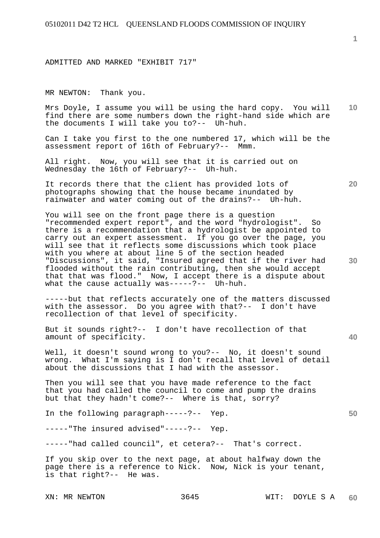ADMITTED AND MARKED "EXHIBIT 717"

MR NEWTON: Thank you.

**10**  Mrs Doyle, I assume you will be using the hard copy. You will find there are some numbers down the right-hand side which are the documents I will take you to?-- Uh-huh.

Can I take you first to the one numbered 17, which will be the assessment report of 16th of February?-- Mmm. assessment report of 16th of February? $-$ -

All right. Now, you will see that it is carried out on Wednesday the 16th of February?-- Uh-huh.

It records there that the client has provided lots of photographs showing that the house became inundated by rainwater and water coming out of the drains?-- Uh-huh.

You will see on the front page there is a question "recommended expert report", and the word "hydrologist". So there is a recommendation that a hydrologist be appointed to carry out an expert assessment. If you go over the page, you will see that it reflects some discussions which took place with you where at about line 5 of the section headed "Discussions", it said, "Insured agreed that if the river had flooded without the rain contributing, then she would accept that that was flood." Now, I accept there is a dispute about what the cause actually was-----?-- Uh-huh.

-----but that reflects accurately one of the matters discussed with the assessor. Do you agree with that?-- I don't have recollection of that level of specificity.

But it sounds right?-- I don't have recollection of that amount of specificity.

Well, it doesn't sound wrong to you?-- No, it doesn't sound wrong. What I'm saying is I don't recall that level of detail about the discussions that I had with the assessor.

Then you will see that you have made reference to the fact that you had called the council to come and pump the drains but that they hadn't come?-- Where is that, sorry?

In the following paragraph-----?-- Yep.

-----"The insured advised"-----?-- Yep.

-----"had called council", et cetera?-- That's correct.

If you skip over to the next page, at about halfway down the page there is a reference to Nick. Now, Nick is your tenant, is that right?-- He was.

**1**

**20** 

**30** 

**40**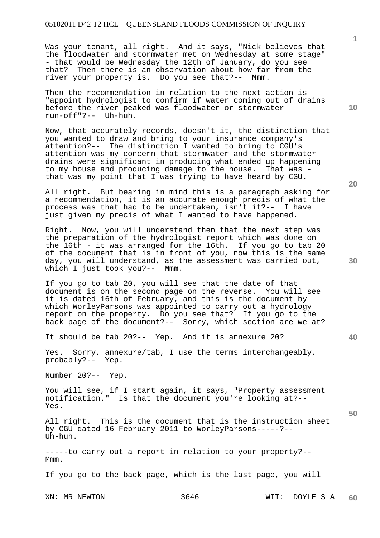Was your tenant, all right. And it says, "Nick believes that the floodwater and stormwater met on Wednesday at some stage" - that would be Wednesday the 12th of January, do you see that? Then there is an observation about how far from the river your property is. Do you see that?-- Mmm.

Then the recommendation in relation to the next action is "appoint hydrologist to confirm if water coming out of drains before the river peaked was floodwater or stormwater run-off"?-- Uh-huh.

Now, that accurately records, doesn't it, the distinction that you wanted to draw and bring to your insurance company's attention?-- The distinction I wanted to bring to CGU's attention was my concern that stormwater and the stormwater drains were significant in producing what ended up happening to my house and producing damage to the house. That was that was my point that I was trying to have heard by CGU.

All right. But bearing in mind this is a paragraph asking for a recommendation, it is an accurate enough precis of what the process was that had to be undertaken, isn't it?-- I have just given my precis of what I wanted to have happened.

Right. Now, you will understand then that the next step was the preparation of the hydrologist report which was done on the 16th - it was arranged for the 16th. If you go to tab 20 of the document that is in front of you, now this is the same day, you will understand, as the assessment was carried out, which I just took you?-- Mmm.

If you go to tab 20, you will see that the date of that document is on the second page on the reverse. You will see it is dated 16th of February, and this is the document by which WorleyParsons was appointed to carry out a hydrology report on the property. Do you see that? If you go to the back page of the document?-- Sorry, which section are we at?

It should be tab 20?-- Yep. And it is annexure 20?

Yes. Sorry, annexure/tab, I use the terms interchangeably, probably?-- Yep.

Number 20?-- Yep.

You will see, if I start again, it says, "Property assessment notification." Is that the document you're looking at?-- Yes.

All right. This is the document that is the instruction sheet by CGU dated 16 February 2011 to WorleyParsons-----?-- Uh-huh.

-----to carry out a report in relation to your property?-- Mmm.

If you go to the back page, which is the last page, you will

**20** 

**10** 

**1**

**40**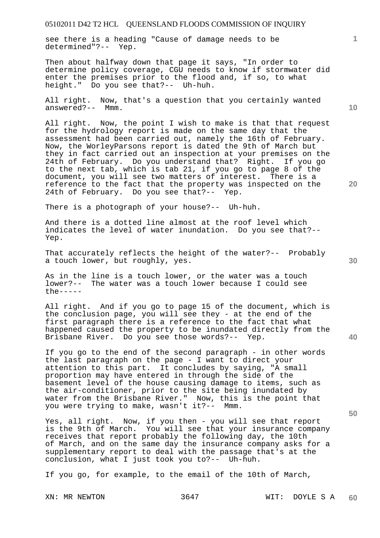see there is a heading "Cause of damage needs to be determined"?-- Yep.

Then about halfway down that page it says, "In order to determine policy coverage, CGU needs to know if stormwater did enter the premises prior to the flood and, if so, to what height." Do you see that?-- Uh-huh.

All right. Now, that's a question that you certainly wanted answered?-- Mmm.

All right. Now, the point I wish to make is that that request for the hydrology report is made on the same day that the assessment had been carried out, namely the 16th of February. Now, the WorleyParsons report is dated the 9th of March but they in fact carried out an inspection at your premises on the 24th of February. Do you understand that? Right. If you go to the next tab, which is tab 21, if you go to page 8 of the document, you will see two matters of interest. There is a reference to the fact that the property was inspected on the 24th of February. Do you see that?-- Yep.

There is a photograph of your house?-- Uh-huh.

And there is a dotted line almost at the roof level which indicates the level of water inundation. Do you see that?-- Yep.

That accurately reflects the height of the water?-- Probably a touch lower, but roughly, yes.

As in the line is a touch lower, or the water was a touch lower?-- The water was a touch lower because I could see  $the---$ 

All right. And if you go to page 15 of the document, which is the conclusion page, you will see they - at the end of the first paragraph there is a reference to the fact that what happened caused the property to be inundated directly from the Brisbane River. Do you see those words?-- Yep.

If you go to the end of the second paragraph - in other words the last paragraph on the page - I want to direct your attention to this part. It concludes by saying, "A small proportion may have entered in through the side of the basement level of the house causing damage to items, such as the air-conditioner, prior to the site being inundated by water from the Brisbane River." Now, this is the point that you were trying to make, wasn't it?-- Mmm.

Yes, all right. Now, if you then - you will see that report is the 9th of March. You will see that your insurance company receives that report probably the following day, the 10th of March, and on the same day the insurance company asks for a supplementary report to deal with the passage that's at the conclusion, what I just took you to?-- Uh-huh.

If you go, for example, to the email of the 10th of March,

**10** 

**1**

**30** 

**20**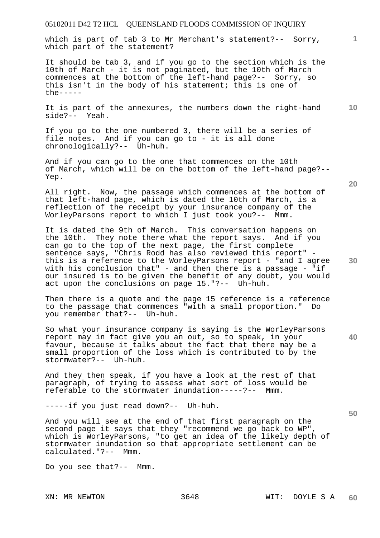which is part of tab 3 to Mr Merchant's statement?-- Sorry, which part of the statement?

It should be tab 3, and if you go to the section which is the 10th of March - it is not paginated, but the 10th of March commences at the bottom of the left-hand page?-- Sorry, so this isn't in the body of his statement; this is one of  $the$  -----

**10**  It is part of the annexures, the numbers down the right-hand side?-- Yeah.

If you go to the one numbered 3, there will be a series of file notes. And if you can go to - it is all done chronologically?-- Uh-huh.

And if you can go to the one that commences on the 10th of March, which will be on the bottom of the left-hand page?-- Yep.

All right. Now, the passage which commences at the bottom of that left-hand page, which is dated the 10th of March, is a reflection of the receipt by your insurance company of the WorleyParsons report to which I just took you?-- Mmm.

**30**  It is dated the 9th of March. This conversation happens on the 10th. They note there what the report says. And if you can go to the top of the next page, the first complete sentence says, "Chris Rodd has also reviewed this report" this is a reference to the WorleyParsons report - "and I agree with his conclusion that" - and then there is a passage - "if our insured is to be given the benefit of any doubt, you would act upon the conclusions on page 15."?-- Uh-huh.

Then there is a quote and the page 15 reference is a reference to the passage that commences "with a small proportion." Do you remember that?-- Uh-huh.

So what your insurance company is saying is the WorleyParsons report may in fact give you an out, so to speak, in your favour, because it talks about the fact that there may be a small proportion of the loss which is contributed to by the stormwater?-- Uh-huh.

And they then speak, if you have a look at the rest of that paragraph, of trying to assess what sort of loss would be referable to the stormwater inundation-----?-- Mmm.

-----if you just read down?-- Uh-huh.

And you will see at the end of that first paragraph on the second page it says that they "recommend we go back to WP", which is WorleyParsons, "to get an idea of the likely depth of stormwater inundation so that appropriate settlement can be calculated."?-- Mmm.

Do you see that?-- Mmm.

**20** 

**40**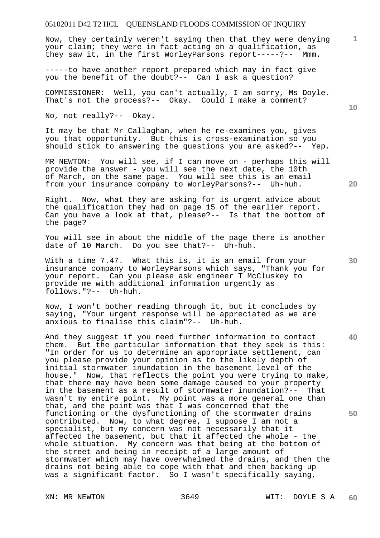Now, they certainly weren't saying then that they were denying your claim; they were in fact acting on a qualification, as they saw it, in the first WorleyParsons report-----?-- Mmm.

-----to have another report prepared which may in fact give you the benefit of the doubt?-- Can I ask a question?

COMMISSIONER: Well, you can't actually, I am sorry, Ms Doyle. That's not the process?-- Okay. Could I make a comment?

No, not really?-- Okay.

It may be that Mr Callaghan, when he re-examines you, gives you that opportunity. But this is cross-examination so you should stick to answering the questions you are asked?-- Yep.

MR NEWTON: You will see, if I can move on - perhaps this will provide the answer - you will see the next date, the 10th of March, on the same page. You will see this is an email from your insurance company to WorleyParsons?-- Uh-huh.

Right. Now, what they are asking for is urgent advice about the qualification they had on page 15 of the earlier report. Can you have a look at that, please?-- Is that the bottom of the page?

You will see in about the middle of the page there is another date of 10 March. Do you see that?-- Uh-huh.

With a time 7.47. What this is, it is an email from your insurance company to WorleyParsons which says, "Thank you for your report. Can you please ask engineer T McCluskey to provide me with additional information urgently as follows."?-- Uh-huh.

Now, I won't bother reading through it, but it concludes by saying, "Your urgent response will be appreciated as we are anxious to finalise this claim"?-- Uh-huh.

And they suggest if you need further information to contact them. But the particular information that they seek is this: "In order for us to determine an appropriate settlement, can you please provide your opinion as to the likely depth of initial stormwater inundation in the basement level of the house." Now, that reflects the point you were trying to make, that there may have been some damage caused to your property in the basement as a result of stormwater inundation?-- That wasn't my entire point. My point was a more general one than that, and the point was that I was concerned that the functioning or the dysfunctioning of the stormwater drains contributed. Now, to what degree, I suppose I am not a specialist, but my concern was not necessarily that it affected the basement, but that it affected the whole - the whole situation. My concern was that being at the bottom of the street and being in receipt of a large amount of stormwater which may have overwhelmed the drains, and then the drains not being able to cope with that and then backing up was a significant factor. So I wasn't specifically saying,

**20** 

**1**

**10** 

**40**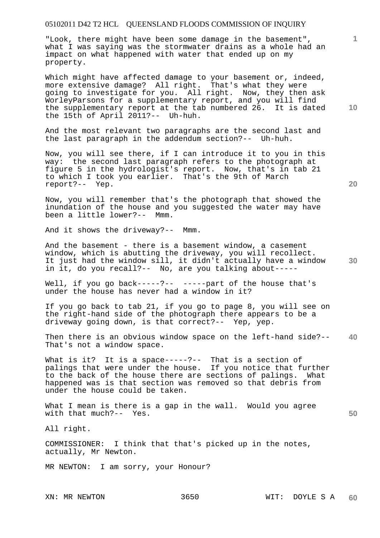"Look, there might have been some damage in the basement", what I was saying was the stormwater drains as a whole had an impact on what happened with water that ended up on my property.

Which might have affected damage to your basement or, indeed, more extensive damage? All right. That's what they were going to investigate for you. All right. Now, they then ask WorleyParsons for a supplementary report, and you will find the supplementary report at the tab numbered 26. It is dated the 15th of April 2011?-- Uh-huh.

And the most relevant two paragraphs are the second last and the last paragraph in the addendum section?-- Uh-huh.

Now, you will see there, if I can introduce it to you in this way: the second last paragraph refers to the photograph at figure 5 in the hydrologist's report. Now, that's in tab 21 to which I took you earlier. That's the 9th of March report?-- Yep.

Now, you will remember that's the photograph that showed the inundation of the house and you suggested the water may have<br>been a little lower?-- Mmm. been a little lower?--

And it shows the driveway?-- Mmm.

And the basement - there is a basement window, a casement window, which is abutting the driveway, you will recollect. It just had the window sill, it didn't actually have a window in it, do you recall?-- No, are you talking about-----

Well, if you go back-----?-- -----part of the house that's under the house has never had a window in it?

If you go back to tab 21, if you go to page 8, you will see on the right-hand side of the photograph there appears to be a driveway going down, is that correct?-- Yep, yep.

**40**  Then there is an obvious window space on the left-hand side?-- That's not a window space.

What is it? It is a space-----?-- That is a section of palings that were under the house. If you notice that further to the back of the house there are sections of palings. What happened was is that section was removed so that debris from under the house could be taken.

What I mean is there is a gap in the wall. Would you agree with that much?-- Yes.

All right.

COMMISSIONER: I think that that's picked up in the notes, actually, Mr Newton.

MR NEWTON: I am sorry, your Honour?

**10** 

**20** 

**1**

**30**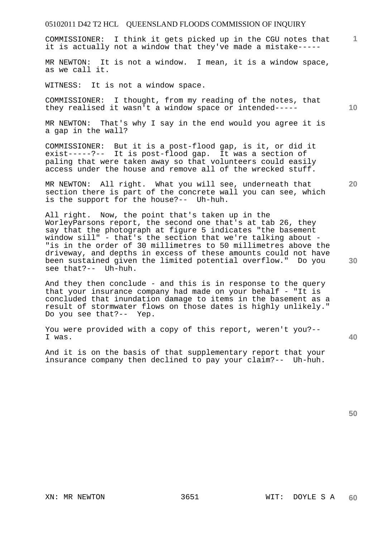COMMISSIONER: I think it gets picked up in the CGU notes that it is actually not a window that they've made a mistake-----

MR NEWTON: It is not a window. I mean, it is a window space, as we call it.

WITNESS: It is not a window space.

COMMISSIONER: I thought, from my reading of the notes, that they realised it wasn't a window space or intended-----

MR NEWTON: That's why I say in the end would you agree it is a gap in the wall?

COMMISSIONER: But it is a post-flood gap, is it, or did it exist-----?-- It is post-flood gap. It was a section of paling that were taken away so that volunteers could easily access under the house and remove all of the wrecked stuff.

MR NEWTON: All right. What you will see, underneath that section there is part of the concrete wall you can see, which is the support for the house?-- Uh-huh.

All right. Now, the point that's taken up in the WorleyParsons report, the second one that's at tab 26, they say that the photograph at figure 5 indicates "the basement window sill" - that's the section that we're talking about - "is in the order of 30 millimetres to 50 millimetres above the driveway, and depths in excess of these amounts could not have been sustained given the limited potential overflow." Do you see that?-- Uh-huh.

And they then conclude - and this is in response to the query that your insurance company had made on your behalf - "It is concluded that inundation damage to items in the basement as a result of stormwater flows on those dates is highly unlikely." Do you see that?-- Yep.

You were provided with a copy of this report, weren't you?-- I was.

And it is on the basis of that supplementary report that your insurance company then declined to pay your claim?-- Uh-huh.

**50** 

**10** 

**20** 

**30** 

**40**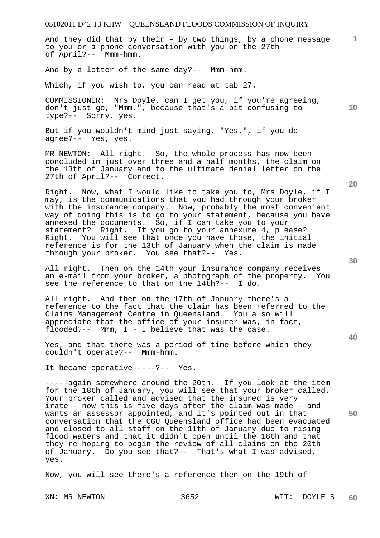And they did that by their - by two things, by a phone message to you or a phone conversation with you on the 27th of April?-- Mmm-hmm.

And by a letter of the same day?-- Mmm-hmm.

Which, if you wish to, you can read at tab 27.

COMMISSIONER: Mrs Doyle, can I get you, if you're agreeing, don't just go, "Mmm.", because that's a bit confusing to type?-- Sorry, yes.

But if you wouldn't mind just saying, "Yes.", if you do agree?-- Yes, yes.

MR NEWTON: All right. So, the whole process has now been concluded in just over three and a half months, the claim on the 13th of January and to the ultimate denial letter on the 27th of April?-- Correct.

Right. Now, what I would like to take you to, Mrs Doyle, if I may, is the communications that you had through your broker with the insurance company. Now, probably the most convenient way of doing this is to go to your statement, because you have annexed the documents. So, if I can take you to your statement? Right. If you go to your annexure 4, please? Right. You will see that once you have those, the initial reference is for the 13th of January when the claim is made through your broker. You see that?-- Yes.

All right. Then on the 14th your insurance company receives an e-mail from your broker, a photograph of the property. You see the reference to that on the 14th?-- I do.

All right. And then on the 17th of January there's a reference to the fact that the claim has been referred to the Claims Management Centre in Queensland. You also will appreciate that the office of your insurer was, in fact, flooded?-- Mmm, I - I believe that was the case.

Yes, and that there was a period of time before which they couldn't operate?-- Mmm-hmm.

It became operative-----?-- Yes.

-----again somewhere around the 20th. If you look at the item for the 18th of January, you will see that your broker called. Your broker called and advised that the insured is very irate - now this is five days after the claim was made - and wants an assessor appointed, and it's pointed out in that conversation that the CGU Queensland office had been evacuated and closed to all staff on the 11th of January due to rising flood waters and that it didn't open until the 18th and that they're hoping to begin the review of all claims on the 20th of January. Do you see that?-- That's what I was advised, yes.

Now, you will see there's a reference then on the 19th of

XN: MR NEWTON 3652 WIT: DOYLE S

**20** 

**1**

**10** 

**30**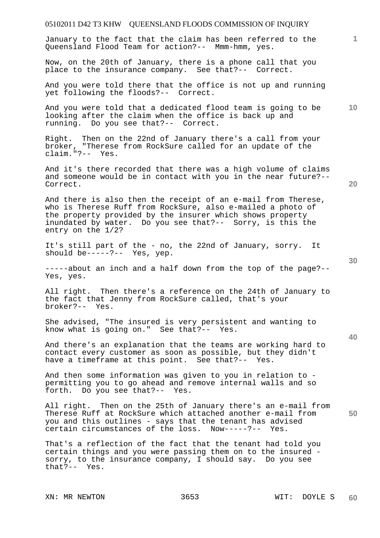## 05102011 D42 T3 KHW QUEENSLAND FLOODS COMMISSION OF INQUIRY **1 10 20 30 40 50**  January to the fact that the claim has been referred to the Queensland Flood Team for action?-- Mmm-hmm, yes. Now, on the 20th of January, there is a phone call that you place to the insurance company. See that?-- Correct. And you were told there that the office is not up and running yet following the floods?-- Correct. And you were told that a dedicated flood team is going to be looking after the claim when the office is back up and running. Do you see that?-- Correct. Right. Then on the 22nd of January there's a call from your broker, "Therese from RockSure called for an update of the claim."?-- Yes. And it's there recorded that there was a high volume of claims and someone would be in contact with you in the near future?-- Correct. And there is also then the receipt of an e-mail from Therese, who is Therese Ruff from RockSure, also e-mailed a photo of the property provided by the insurer which shows property inundated by water. Do you see that?-- Sorry, is this the entry on the 1/2? It's still part of the - no, the 22nd of January, sorry. It should be-----?-- Yes, yep. -----about an inch and a half down from the top of the page?-- Yes, yes. All right. Then there's a reference on the 24th of January to the fact that Jenny from RockSure called, that's your broker?-- Yes. She advised, "The insured is very persistent and wanting to know what is going on." See that?-- Yes. And there's an explanation that the teams are working hard to contact every customer as soon as possible, but they didn't have a timeframe at this point. See that?-- Yes. And then some information was given to you in relation to permitting you to go ahead and remove internal walls and so forth. Do you see that?-- Yes. All right. Then on the 25th of January there's an e-mail from Therese Ruff at RockSure which attached another e-mail from you and this outlines - says that the tenant has advised certain circumstances of the loss. Now-----?-- Yes. That's a reflection of the fact that the tenant had told you certain things and you were passing them on to the insured sorry, to the insurance company, I should say. Do you see that?-- Yes.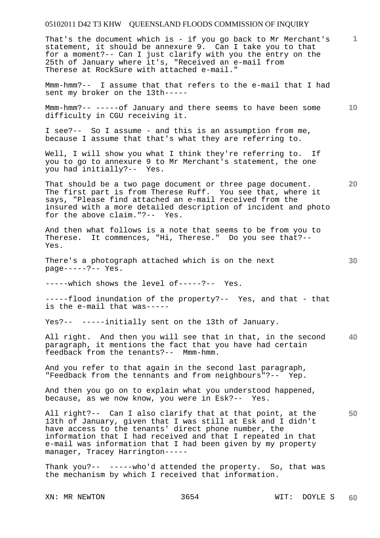**1** That's the document which is - if you go back to Mr Merchant's statement, it should be annexure 9. Can I take you to that for a moment?-- Can I just clarify with you the entry on the 25th of January where it's, "Received an e-mail from Therese at RockSure with attached e-mail."

Mmm-hmm?-- I assume that that refers to the e-mail that I had sent my broker on the 13th-----

**10**  Mmm-hmm?-- -----of January and there seems to have been some difficulty in CGU receiving it.

I see?-- So I assume - and this is an assumption from me, because I assume that that's what they are referring to.

Well, I will show you what I think they're referring to. If you to go to annexure 9 to Mr Merchant's statement, the one you had initially?-- Yes.

That should be a two page document or three page document. The first part is from Therese Ruff. You see that, where it says, "Please find attached an e-mail received from the insured with a more detailed description of incident and photo for the above claim."?-- Yes.

And then what follows is a note that seems to be from you to Therese. It commences, "Hi, Therese." Do you see that?-- Yes.

There's a photograph attached which is on the next page-----?-- Yes.

-----which shows the level of-----?-- Yes.

-----flood inundation of the property?-- Yes, and that - that is the e-mail that was-----

Yes?-- -----initially sent on the 13th of January.

**40**  All right. And then you will see that in that, in the second paragraph, it mentions the fact that you have had certain feedback from the tenants?-- Mmm-hmm.

And you refer to that again in the second last paragraph, "Feedback from the tennants and from neighbours"?-- Yep.

And then you go on to explain what you understood happened, because, as we now know, you were in Esk?-- Yes.

**50**  All right?-- Can I also clarify that at that point, at the 13th of January, given that I was still at Esk and I didn't have access to the tenants' direct phone number, the information that I had received and that I repeated in that e-mail was information that I had been given by my property manager, Tracey Harrington-----

Thank you?-- -----who'd attended the property. So, that was the mechanism by which I received that information.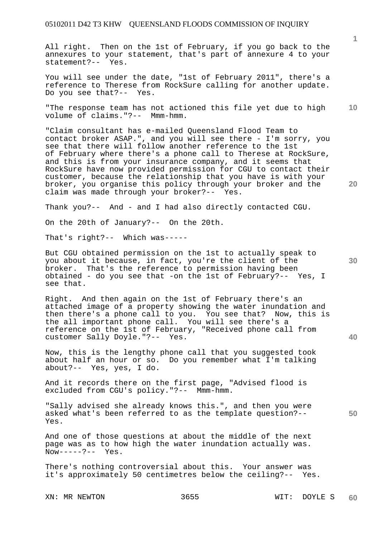All right. Then on the 1st of February, if you go back to the annexures to your statement, that's part of annexure 4 to your statement?-- Yes.

You will see under the date, "1st of February 2011", there's a reference to Therese from RockSure calling for another update. Do you see that?-- Yes.

**10**  "The response team has not actioned this file yet due to high volume of claims."?-- Mmm-hmm.

"Claim consultant has e-mailed Queensland Flood Team to contact broker ASAP.", and you will see there - I'm sorry, you see that there will follow another reference to the 1st of February where there's a phone call to Therese at RockSure, and this is from your insurance company, and it seems that RockSure have now provided permission for CGU to contact their customer, because the relationship that you have is with your broker, you organise this policy through your broker and the claim was made through your broker?-- Yes.

Thank you?-- And - and I had also directly contacted CGU.

On the 20th of January?-- On the 20th.

That's right?-- Which was-----

But CGU obtained permission on the 1st to actually speak to you about it because, in fact, you're the client of the broker. That's the reference to permission having been obtained - do you see that -on the 1st of February?-- Yes, I see that.

Right. And then again on the 1st of February there's an attached image of a property showing the water inundation and then there's a phone call to you. You see that? Now, this is the all important phone call. You will see there's a reference on the 1st of February, "Received phone call from customer Sally Doyle."?-- Yes.

Now, this is the lengthy phone call that you suggested took about half an hour or so. Do you remember what I'm talking about?-- Yes, yes, I do.

And it records there on the first page, "Advised flood is excluded from CGU's policy."?-- Mmm-hmm.

"Sally advised she already knows this.", and then you were asked what's been referred to as the template question?-- Yes.

And one of those questions at about the middle of the next page was as to how high the water inundation actually was.  $Now---?--- Yes.$ 

There's nothing controversial about this. Your answer was it's approximately 50 centimetres below the ceiling?-- Yes.

XN: MR NEWTON 3655 WIT: DOYLE S

**20** 

**50**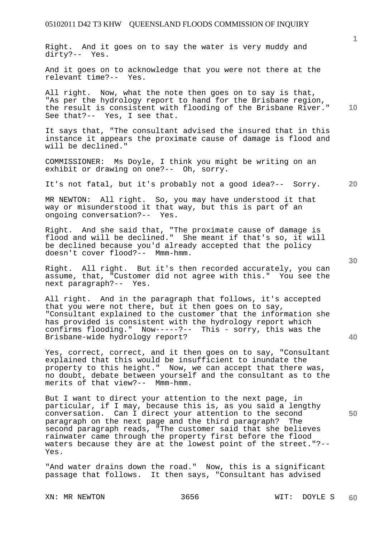Right. And it goes on to say the water is very muddy and dirty?-- Yes.

And it goes on to acknowledge that you were not there at the relevant time?-- Yes. relevant time?--

All right. Now, what the note then goes on to say is that, "As per the hydrology report to hand for the Brisbane region, the result is consistent with flooding of the Brisbane River." See that?-- Yes, I see that.

It says that, "The consultant advised the insured that in this instance it appears the proximate cause of damage is flood and will be declined."

COMMISSIONER: Ms Doyle, I think you might be writing on an exhibit or drawing on one?-- Oh, sorry.

It's not fatal, but it's probably not a good idea?-- Sorry.

MR NEWTON: All right. So, you may have understood it that way or misunderstood it that way, but this is part of an ongoing conversation?-- Yes.

Right. And she said that, "The proximate cause of damage is flood and will be declined." She meant if that's so, it will be declined because you'd already accepted that the policy doesn't cover flood?-- Mmm-hmm.

Right. All right. But it's then recorded accurately, you can assume, that, "Customer did not agree with this." You see the next paragraph?-- Yes.

All right. And in the paragraph that follows, it's accepted that you were not there, but it then goes on to say, "Consultant explained to the customer that the information she has provided is consistent with the hydrology report which confirms flooding." Now-----?-- This - sorry, this was the Brisbane-wide hydrology report?

Yes, correct, correct, and it then goes on to say, "Consultant explained that this would be insufficient to inundate the property to this height." Now, we can accept that there was, no doubt, debate between yourself and the consultant as to the merits of that view?-- Mmm-hmm.

But I want to direct your attention to the next page, in particular, if I may, because this is, as you said a lengthy conversation. Can I direct your attention to the second paragraph on the next page and the third paragraph? The second paragraph reads, "The customer said that she believes rainwater came through the property first before the flood waters because they are at the lowest point of the street."?-- Yes.

"And water drains down the road." Now, this is a significant passage that follows. It then says, "Consultant has advised

XN: MR NEWTON 3656 WIT: DOYLE S

**40** 

**50** 

**20** 

**10**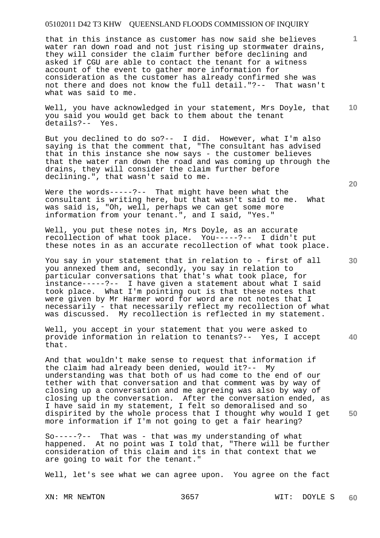that in this instance as customer has now said she believes water ran down road and not just rising up stormwater drains, they will consider the claim further before declining and asked if CGU are able to contact the tenant for a witness account of the event to gather more information for consideration as the customer has already confirmed she was not there and does not know the full detail."?-- That wasn't what was said to me.

**10**  Well, you have acknowledged in your statement, Mrs Doyle, that you said you would get back to them about the tenant details?-- Yes.

But you declined to do so?-- I did. However, what I'm also saying is that the comment that, "The consultant has advised that in this instance she now says - the customer believes that the water ran down the road and was coming up through the drains, they will consider the claim further before declining.", that wasn't said to me.

Were the words-----?-- That might have been what the consultant is writing here, but that wasn't said to me. What was said is, "Oh, well, perhaps we can get some more information from your tenant.", and I said, "Yes."

Well, you put these notes in, Mrs Doyle, as an accurate recollection of what took place. You-----?-- I didn't put these notes in as an accurate recollection of what took place.

You say in your statement that in relation to - first of all you annexed them and, secondly, you say in relation to particular conversations that that's what took place, for instance-----?-- I have given a statement about what I said took place. What I'm pointing out is that these notes that were given by Mr Harmer word for word are not notes that I necessarily - that necessarily reflect my recollection of what was discussed. My recollection is reflected in my statement.

Well, you accept in your statement that you were asked to provide information in relation to tenants?-- Yes, I accept that.

And that wouldn't make sense to request that information if the claim had already been denied, would it?-- My understanding was that both of us had come to the end of our tether with that conversation and that comment was by way of closing up a conversation and me agreeing was also by way of closing up the conversation. After the conversation ended, as I have said in my statement, I felt so demoralised and so dispirited by the whole process that I thought why would I get more information if I'm not going to get a fair hearing?

So-----?-- That was - that was my understanding of what happened. At no point was I told that, "There will be further consideration of this claim and its in that context that we are going to wait for the tenant."

Well, let's see what we can agree upon. You agree on the fact

**20** 

**1**

**30**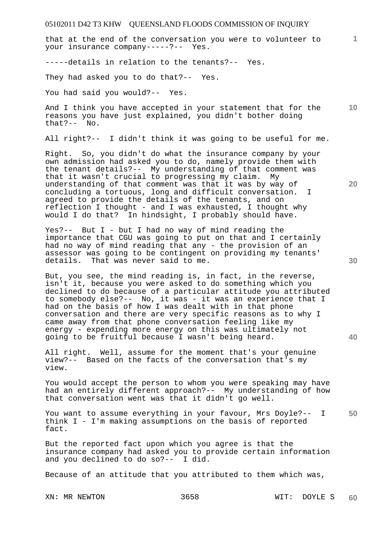that at the end of the conversation you were to volunteer to your insurance company-----?-- Yes.

-----details in relation to the tenants?-- Yes.

They had asked you to do that?-- Yes.

You had said you would?-- Yes.

**10**  And I think you have accepted in your statement that for the reasons you have just explained, you didn't bother doing that?-- No.

All right?-- I didn't think it was going to be useful for me.

Right. So, you didn't do what the insurance company by your own admission had asked you to do, namely provide them with the tenant details?-- My understanding of that comment was that it wasn't crucial to progressing my claim. My understanding of that comment was that it was by way of concluding a tortuous, long and difficult conversation. I agreed to provide the details of the tenants, and on reflection I thought - and I was exhausted, I thought why would I do that? In hindsight, I probably should have.

Yes?-- But I - but I had no way of mind reading the importance that CGU was going to put on that and I certainly had no way of mind reading that any - the provision of an assessor was going to be contingent on providing my tenants' details. That was never said to me.

But, you see, the mind reading is, in fact, in the reverse, isn't it, because you were asked to do something which you declined to do because of a particular attitude you attributed to somebody else?-- No, it was - it was an experience that I had on the basis of how I was dealt with in that phone conversation and there are very specific reasons as to why I came away from that phone conversation feeling like my energy - expending more energy on this was ultimately not going to be fruitful because I wasn't being heard.

All right. Well, assume for the moment that's your genuine view?-- Based on the facts of the conversation that's my view.

You would accept the person to whom you were speaking may have had an entirely different approach?-- My understanding of how that conversation went was that it didn't go well.

**50**  You want to assume everything in your favour, Mrs Doyle?-- I think I - I'm making assumptions on the basis of reported fact.

But the reported fact upon which you agree is that the insurance company had asked you to provide certain information and you declined to do so?-- I did.

Because of an attitude that you attributed to them which was,

**30** 

**20**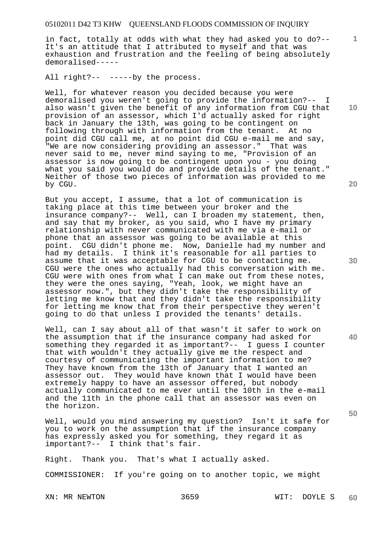in fact, totally at odds with what they had asked you to do?-- It's an attitude that I attributed to myself and that was exhaustion and frustration and the feeling of being absolutely demoralised-----

All right?-- -----by the process.

Well, for whatever reason you decided because you were demoralised you weren't going to provide the information?-- I also wasn't given the benefit of any information from CGU that provision of an assessor, which I'd actually asked for right back in January the 13th, was going to be contingent on following through with information from the tenant. At no point did CGU call me, at no point did CGU e-mail me and say, "We are now considering providing an assessor." That was never said to me, never mind saying to me, "Provision of an assessor is now going to be contingent upon you - you doing what you said you would do and provide details of the tenant." Neither of those two pieces of information was provided to me by CGU.

But you accept, I assume, that a lot of communication is taking place at this time between your broker and the insurance company?-- Well, can I broaden my statement, then, and say that my broker, as you said, who I have my primary relationship with never communicated with me via e-mail or phone that an assessor was going to be available at this point. CGU didn't phone me. Now, Danielle had my number and had my details. I think it's reasonable for all parties to assume that it was acceptable for CGU to be contacting me. CGU were the ones who actually had this conversation with me. CGU were with ones from what I can make out from these notes, they were the ones saying, "Yeah, look, we might have an assessor now.", but they didn't take the responsibility of letting me know that and they didn't take the responsibility for letting me know that from their perspective they weren't going to do that unless I provided the tenants' details.

Well, can I say about all of that wasn't it safer to work on the assumption that if the insurance company had asked for something they regarded it as important?-- I guess I counter that with wouldn't they actually give me the respect and courtesy of communicating the important information to me? They have known from the 13th of January that I wanted an assessor out. They would have known that I would have been extremely happy to have an assessor offered, but nobody actually communicated to me ever until the 10th in the e-mail and the 11th in the phone call that an assessor was even on the horizon.

Well, would you mind answering my question? Isn't it safe for you to work on the assumption that if the insurance company has expressly asked you for something, they regard it as important?-- I think that's fair.

Right. Thank you. That's what I actually asked.

COMMISSIONER: If you're going on to another topic, we might

XN: MR NEWTON 3659 WIT: DOYLE S

**20** 

**40** 

**50** 

**30** 

**10**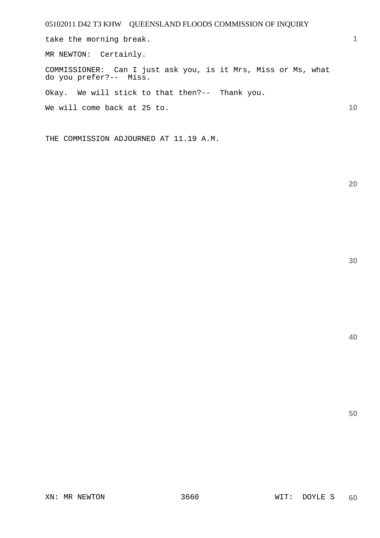take the morning break.

MR NEWTON: Certainly.

COMMISSIONER: Can I just ask you, is it Mrs, Miss or Ms, what do you prefer?-- Miss.

Okay. We will stick to that then?-- Thank you.

We will come back at 25 to.

THE COMMISSION ADJOURNED AT 11.19 A.M.

**20** 

**1**

**10**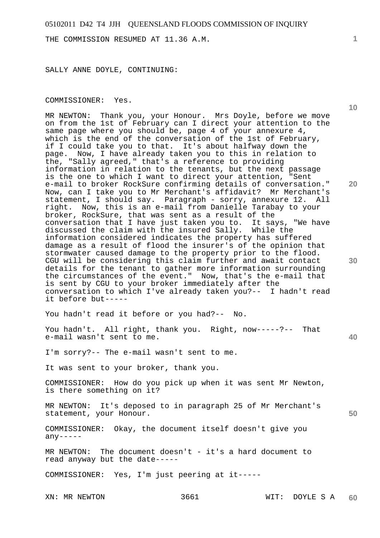THE COMMISSION RESUMED AT 11.36 A.M.

SALLY ANNE DOYLE, CONTINUING:

### **10 20 30 40 50**  COMMISSIONER: Yes. MR NEWTON: Thank you, your Honour. Mrs Doyle, before we move on from the 1st of February can I direct your attention to the same page where you should be, page 4 of your annexure 4, which is the end of the conversation of the 1st of February, if I could take you to that. It's about halfway down the page. Now, I have already taken you to this in relation to the, "Sally agreed," that's a reference to providing information in relation to the tenants, but the next passage is the one to which I want to direct your attention, "Sent e-mail to broker RockSure confirming details of conversation." Now, can I take you to Mr Merchant's affidavit? Mr Merchant's statement, I should say. Paragraph - sorry, annexure 12. All right. Now, this is an e-mail from Danielle Tarabay to your broker, RockSure, that was sent as a result of the conversation that I have just taken you to. It says, "We have discussed the claim with the insured Sally. While the information considered indicates the property has suffered damage as a result of flood the insurer's of the opinion that stormwater caused damage to the property prior to the flood. CGU will be considering this claim further and await contact details for the tenant to gather more information surrounding the circumstances of the event." Now, that's the e-mail that is sent by CGU to your broker immediately after the conversation to which I've already taken you?-- I hadn't read it before but----- You hadn't read it before or you had?-- No. You hadn't. All right, thank you. Right, now-----?-- That e-mail wasn't sent to me. I'm sorry?-- The e-mail wasn't sent to me. It was sent to your broker, thank you. COMMISSIONER: How do you pick up when it was sent Mr Newton, is there something on it? MR NEWTON: It's deposed to in paragraph 25 of Mr Merchant's statement, your Honour. COMMISSIONER: Okay, the document itself doesn't give you  $any----$ MR NEWTON: The document doesn't - it's a hard document to read anyway but the date----- COMMISSIONER: Yes, I'm just peering at it-----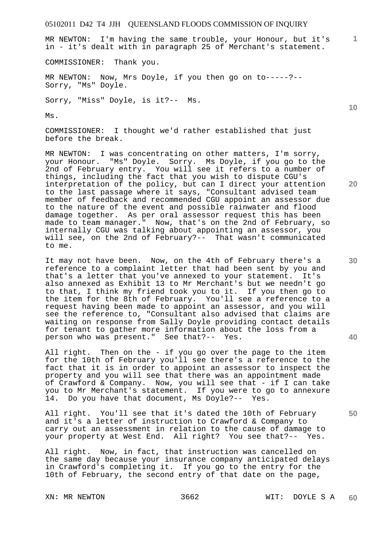MR NEWTON: I'm having the same trouble, your Honour, but it's in - it's dealt with in paragraph 25 of Merchant's statement.

COMMISSIONER: Thank you.

MR NEWTON: Now, Mrs Doyle, if you then go on to-----?-- Sorry, "Ms" Doyle.

Sorry, "Miss" Doyle, is it?-- Ms.

Ms.

COMMISSIONER: I thought we'd rather established that just before the break.

MR NEWTON: I was concentrating on other matters, I'm sorry, your Honour. "Ms" Doyle. Sorry. Ms Doyle, if you go to the 2nd of February entry. You will see it refers to a number of things, including the fact that you wish to dispute CGU's interpretation of the policy, but can I direct your attention to the last passage where it says, "Consultant advised team member of feedback and recommended CGU appoint an assessor due to the nature of the event and possible rainwater and flood damage together. As per oral assessor request this has been made to team manager." Now, that's on the 2nd of February, so internally CGU was talking about appointing an assessor, you will see, on the 2nd of February?-- That wasn't communicated to me.

It may not have been. Now, on the 4th of February there's a reference to a complaint letter that had been sent by you and that's a letter that you've annexed to your statement. It's also annexed as Exhibit 13 to Mr Merchant's but we needn't go to that, I think my friend took you to it. If you then go to the item for the 8th of February. You'll see a reference to a request having been made to appoint an assessor, and you will see the reference to, "Consultant also advised that claims are waiting on response from Sally Doyle providing contact details for tenant to gather more information about the loss from a person who was present." See that?-- Yes.

All right. Then on the - if you go over the page to the item for the 10th of February you'll see there's a reference to the fact that it is in order to appoint an assessor to inspect the property and you will see that there was an appointment made of Crawford & Company. Now, you will see that - if I can take you to Mr Merchant's statement. If you were to go to annexure 14. Do you have that document, Ms Doyle?-- Yes.

All right. You'll see that it's dated the 10th of February and it's a letter of instruction to Crawford & Company to carry out an assessment in relation to the cause of damage to your property at West End. All right? You see that?-- Yes.

All right. Now, in fact, that instruction was cancelled on the same day because your insurance company anticipated delays in Crawford's completing it. If you go to the entry for the 10th of February, the second entry of that date on the page,

**20** 

**10** 

**1**

**40**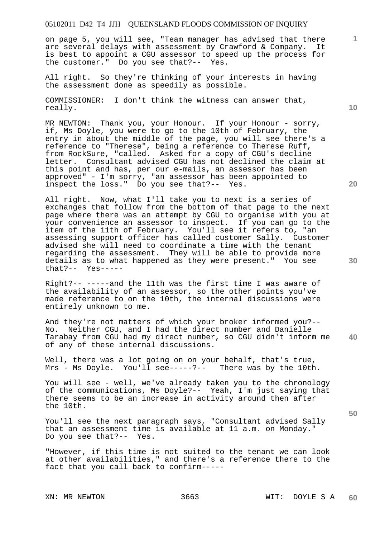on page 5, you will see, "Team manager has advised that there are several delays with assessment by Crawford & Company. It is best to appoint a CGU assessor to speed up the process for the customer." Do you see that?-- Yes.

All right. So they're thinking of your interests in having the assessment done as speedily as possible.

COMMISSIONER: I don't think the witness can answer that, really.

MR NEWTON: Thank you, your Honour. If your Honour - sorry, if, Ms Doyle, you were to go to the 10th of February, the entry in about the middle of the page, you will see there's a reference to "Therese", being a reference to Therese Ruff, from RockSure, "called. Asked for a copy of CGU's decline letter. Consultant advised CGU has not declined the claim at this point and has, per our e-mails, an assessor has been approved" - I'm sorry, "an assessor has been appointed to inspect the loss." Do you see that?-- Yes.

All right. Now, what I'll take you to next is a series of exchanges that follow from the bottom of that page to the next page where there was an attempt by CGU to organise with you at your convenience an assessor to inspect. If you can go to the item of the 11th of February. You'll see it refers to, "an assessing support officer has called customer Sally. Customer advised she will need to coordinate a time with the tenant regarding the assessment. They will be able to provide more details as to what happened as they were present." You see that?-- Yes-----

Right?-- -----and the 11th was the first time I was aware of the availability of an assessor, so the other points you've made reference to on the 10th, the internal discussions were entirely unknown to me.

**40**  And they're not matters of which your broker informed you?-- No. Neither CGU, and I had the direct number and Danielle Tarabay from CGU had my direct number, so CGU didn't inform me of any of these internal discussions.

Well, there was a lot going on on your behalf, that's true, Mrs - Ms Doyle. You'll see-----?-- There was by the 10th.

You will see - well, we've already taken you to the chronology of the communications, Ms Doyle?-- Yeah, I'm just saying that there seems to be an increase in activity around then after the 10th.

You'll see the next paragraph says, "Consultant advised Sally that an assessment time is available at 11 a.m. on Monday." Do you see that?-- Yes.

"However, if this time is not suited to the tenant we can look at other availabilities," and there's a reference there to the fact that you call back to confirm-----

**10** 

**1**

**20**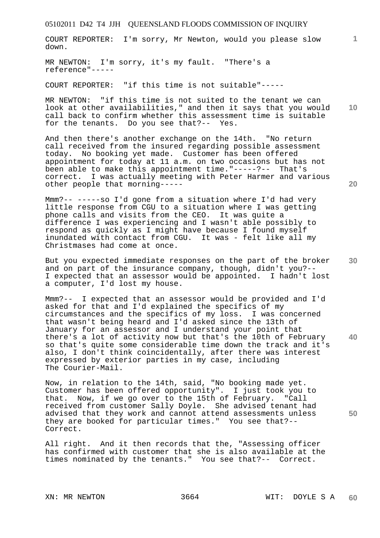COURT REPORTER: I'm sorry, Mr Newton, would you please slow down.

MR NEWTON: I'm sorry, it's my fault. "There's a reference"-----

COURT REPORTER: "if this time is not suitable"-----

MR NEWTON: "if this time is not suited to the tenant we can look at other availabilities," and then it says that you would call back to confirm whether this assessment time is suitable for the tenants. Do you see that?-- Yes.

And then there's another exchange on the 14th. "No return call received from the insured regarding possible assessment today. No booking yet made. Customer has been offered appointment for today at 11 a.m. on two occasions but has not been able to make this appointment time."-----?-- That's correct. I was actually meeting with Peter Harmer and various other people that morning-----

Mmm?-- -----so I'd gone from a situation where I'd had very little response from CGU to a situation where I was getting phone calls and visits from the CEO. It was quite a difference I was experiencing and I wasn't able possibly to respond as quickly as I might have because I found myself inundated with contact from CGU. It was - felt like all my Christmases had come at once.

But you expected immediate responses on the part of the broker and on part of the insurance company, though, didn't you?-- I expected that an assessor would be appointed. I hadn't lost a computer, I'd lost my house.

Mmm?-- I expected that an assessor would be provided and I'd asked for that and I'd explained the specifics of my circumstances and the specifics of my loss. I was concerned that wasn't being heard and I'd asked since the 13th of January for an assessor and I understand your point that there's a lot of activity now but that's the 10th of February so that's quite some considerable time down the track and it's also, I don't think coincidentally, after there was interest expressed by exterior parties in my case, including The Courier-Mail.

Now, in relation to the 14th, said, "No booking made yet. Customer has been offered opportunity". I just took you to that. Now, if we go over to the 15th of February. "Call received from customer Sally Doyle. She advised tenant had advised that they work and cannot attend assessments unless they are booked for particular times." You see that?-- Correct.

All right. And it then records that the, "Assessing officer has confirmed with customer that she is also available at the times nominated by the tenants." You see that?-- Correct.

**10** 

**20** 

**1**

**30** 

**40**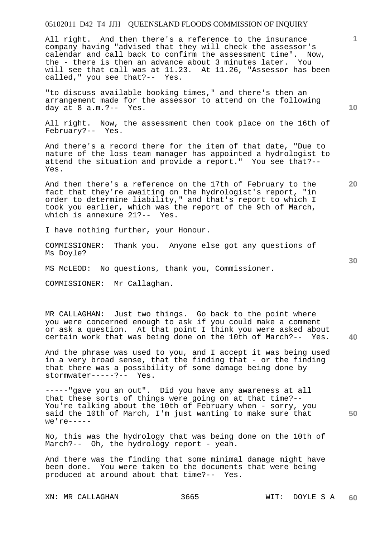All right. And then there's a reference to the insurance company having "advised that they will check the assessor's calendar and call back to confirm the assessment time". Now, the - there is then an advance about 3 minutes later. You will see that call was at 11.23. At 11.26, "Assessor has been called," you see that?-- Yes.

"to discuss available booking times," and there's then an arrangement made for the assessor to attend on the following day at 8 a.m.?-- Yes.

All right. Now, the assessment then took place on the 16th of February?-- Yes.

And there's a record there for the item of that date, "Due to nature of the loss team manager has appointed a hydrologist to attend the situation and provide a report." You see that?-- Yes.

And then there's a reference on the 17th of February to the fact that they're awaiting on the hydrologist's report, "in order to determine liability," and that's report to which I took you earlier, which was the report of the 9th of March, which is annexure 21?-- Yes.

I have nothing further, your Honour.

COMMISSIONER: Thank you. Anyone else got any questions of Ms Doyle?

MS McLEOD: No questions, thank you, Commissioner.

COMMISSIONER: Mr Callaghan.

**40**  MR CALLAGHAN: Just two things. Go back to the point where you were concerned enough to ask if you could make a comment or ask a question. At that point I think you were asked about certain work that was being done on the 10th of March?-- Yes.

And the phrase was used to you, and I accept it was being used in a very broad sense, that the finding that - or the finding that there was a possibility of some damage being done by stormwater-----?-- Yes.

-----"gave you an out". Did you have any awareness at all that these sorts of things were going on at that time?-- You're talking about the 10th of February when - sorry, you said the 10th of March, I'm just wanting to make sure that  $we'$  re-----

No, this was the hydrology that was being done on the 10th of March?-- Oh, the hydrology report - yeah.

And there was the finding that some minimal damage might have been done. You were taken to the documents that were being produced at around about that time?-- Yes.

**10** 

**1**

**30**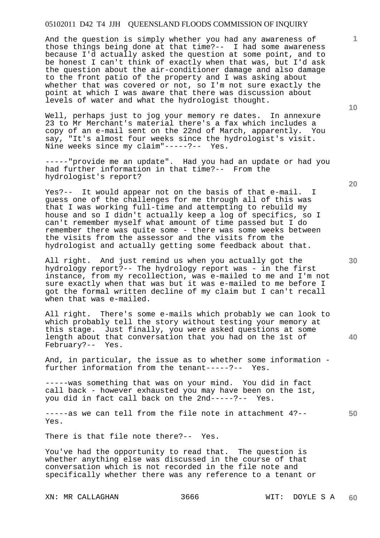And the question is simply whether you had any awareness of those things being done at that time?-- I had some awareness because I'd actually asked the question at some point, and to be honest I can't think of exactly when that was, but I'd ask the question about the air-conditioner damage and also damage to the front patio of the property and I was asking about whether that was covered or not, so I'm not sure exactly the point at which I was aware that there was discussion about levels of water and what the hydrologist thought.

Well, perhaps just to jog your memory re dates. In annexure 23 to Mr Merchant's material there's a fax which includes a copy of an e-mail sent on the 22nd of March, apparently. You say, "It's almost four weeks since the hydrologist's visit. Nine weeks since my claim"-----?-- Yes.

-----"provide me an update". Had you had an update or had you had further information in that time?-- From the hydrologist's report?

Yes?-- It would appear not on the basis of that e-mail. I guess one of the challenges for me through all of this was that I was working full-time and attempting to rebuild my house and so I didn't actually keep a log of specifics, so I can't remember myself what amount of time passed but I do remember there was quite some - there was some weeks between the visits from the assessor and the visits from the hydrologist and actually getting some feedback about that.

All right. And just remind us when you actually got the hydrology report?-- The hydrology report was - in the first instance, from my recollection, was e-mailed to me and I'm not sure exactly when that was but it was e-mailed to me before I got the formal written decline of my claim but I can't recall when that was e-mailed.

All right. There's some e-mails which probably we can look to which probably tell the story without testing your memory at this stage. Just finally, you were asked questions at some length about that conversation that you had on the 1st of February?-- Yes.

And, in particular, the issue as to whether some information further information from the tenant-----?-- Yes.

-----was something that was on your mind. You did in fact call back - however exhausted you may have been on the 1st, you did in fact call back on the 2nd-----?-- Yes.

**50**  -----as we can tell from the file note in attachment 4?-- Yes.

There is that file note there?-- Yes.

You've had the opportunity to read that. The question is whether anything else was discussed in the course of that conversation which is not recorded in the file note and specifically whether there was any reference to a tenant or

**10** 

**1**

**20**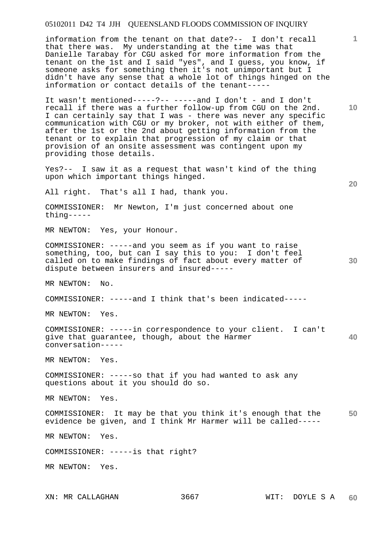information from the tenant on that date?-- I don't recall that there was. My understanding at the time was that Danielle Tarabay for CGU asked for more information from the tenant on the 1st and I said "yes", and I guess, you know, if someone asks for something then it's not unimportant but I didn't have any sense that a whole lot of things hinged on the information or contact details of the tenant-----

It wasn't mentioned-----?-- -----and I don't - and I don't recall if there was a further follow-up from CGU on the 2nd. I can certainly say that I was - there was never any specific communication with CGU or my broker, not with either of them, after the 1st or the 2nd about getting information from the tenant or to explain that progression of my claim or that provision of an onsite assessment was contingent upon my providing those details.

Yes?-- I saw it as a request that wasn't kind of the thing upon which important things hinged.

All right. That's all I had, thank you.

COMMISSIONER: Mr Newton, I'm just concerned about one thing-----

MR NEWTON: Yes, your Honour.

COMMISSIONER: -----and you seem as if you want to raise something, too, but can I say this to you: I don't feel called on to make findings of fact about every matter of dispute between insurers and insured-----

MR NEWTON: No.

COMMISSIONER: -----and I think that's been indicated-----

MR NEWTON: Yes.

**40**  COMMISSIONER: -----in correspondence to your client. I can't give that guarantee, though, about the Harmer conversation-----

MR NEWTON: Yes.

COMMISSIONER: -----so that if you had wanted to ask any questions about it you should do so.

MR NEWTON: Yes.

**50**  COMMISSIONER: It may be that you think it's enough that the evidence be given, and I think Mr Harmer will be called-----

MR NEWTON: Yes.

COMMISSIONER: -----is that right?

MR NEWTON: Yes.

**1**

**10** 

**20**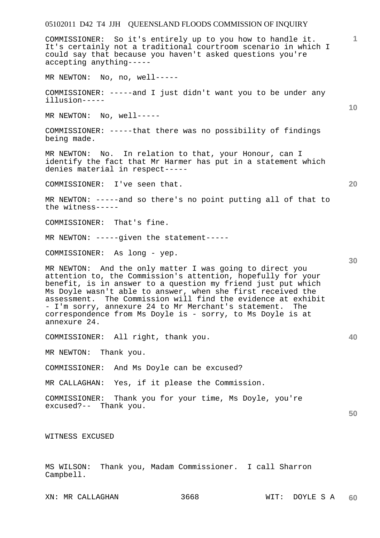## **1 10 20 30 40 50**  COMMISSIONER: So it's entirely up to you how to handle it. It's certainly not a traditional courtroom scenario in which I could say that because you haven't asked questions you're accepting anything----- MR NEWTON: No, no, well----- COMMISSIONER: -----and I just didn't want you to be under any illusion----- MR NEWTON: No, well----- COMMISSIONER: -----that there was no possibility of findings being made. MR NEWTON: No. In relation to that, your Honour, can I identify the fact that Mr Harmer has put in a statement which denies material in respect----- COMMISSIONER: I've seen that. MR NEWTON: -----and so there's no point putting all of that to the witness----- COMMISSIONER: That's fine. MR NEWTON: -----given the statement----- COMMISSIONER: As long - yep. MR NEWTON: And the only matter I was going to direct you attention to, the Commission's attention, hopefully for your benefit, is in answer to a question my friend just put which Ms Doyle wasn't able to answer, when she first received the assessment. The Commission will find the evidence at exhibit - I'm sorry, annexure 24 to Mr Merchant's statement. The correspondence from Ms Doyle is - sorry, to Ms Doyle is at annexure 24. COMMISSIONER: All right, thank you. MR NEWTON: Thank you. COMMISSIONER: And Ms Doyle can be excused? MR CALLAGHAN: Yes, if it please the Commission. COMMISSIONER: Thank you for your time, Ms Doyle, you're excused?-- Thank you. WITNESS EXCUSED MS WILSON: Thank you, Madam Commissioner. I call Sharron Campbell.

05102011 D42 T4 JJH QUEENSLAND FLOODS COMMISSION OF INQUIRY

XN: MR CALLAGHAN 3668 WIT: DOYLE S A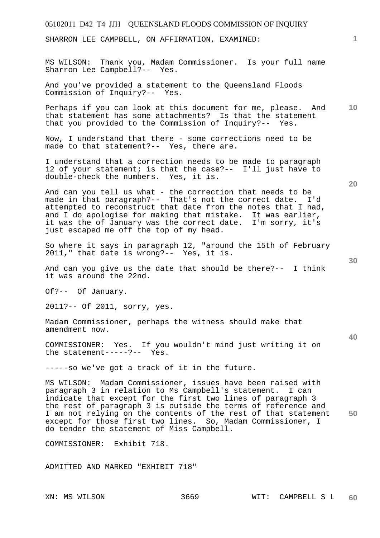## 05102011 D42 T4 JJH QUEENSLAND FLOODS COMMISSION OF INQUIRY **1 10 20 30 40 50**  SHARRON LEE CAMPBELL, ON AFFIRMATION, EXAMINED: MS WILSON: Thank you, Madam Commissioner. Is your full name Sharron Lee Campbell?-- Yes. And you've provided a statement to the Queensland Floods Commission of Inquiry?-- Yes. Perhaps if you can look at this document for me, please. And that statement has some attachments? Is that the statement that you provided to the Commission of Inquiry?-- Yes. Now, I understand that there - some corrections need to be made to that statement?-- Yes, there are. I understand that a correction needs to be made to paragraph 12 of your statement; is that the case?-- I'll just have to double-check the numbers. Yes, it is. And can you tell us what - the correction that needs to be made in that paragraph?-- That's not the correct date. I'd attempted to reconstruct that date from the notes that I had, and I do apologise for making that mistake. It was earlier, it was the of January was the correct date. I'm sorry, it's just escaped me off the top of my head. So where it says in paragraph 12, "around the 15th of February 2011," that date is wrong?-- Yes, it is. And can you give us the date that should be there?-- I think it was around the 22nd. Of?-- Of January. 2011?-- Of 2011, sorry, yes. Madam Commissioner, perhaps the witness should make that amendment now. COMMISSIONER: Yes. If you wouldn't mind just writing it on the statement-----?-- Yes. -----so we've got a track of it in the future. MS WILSON: Madam Commissioner, issues have been raised with paragraph 3 in relation to Ms Campbell's statement. I can indicate that except for the first two lines of paragraph 3 the rest of paragraph 3 is outside the terms of reference and I am not relying on the contents of the rest of that statement except for those first two lines. So, Madam Commissioner, I do tender the statement of Miss Campbell. COMMISSIONER: Exhibit 718. ADMITTED AND MARKED "EXHIBIT 718"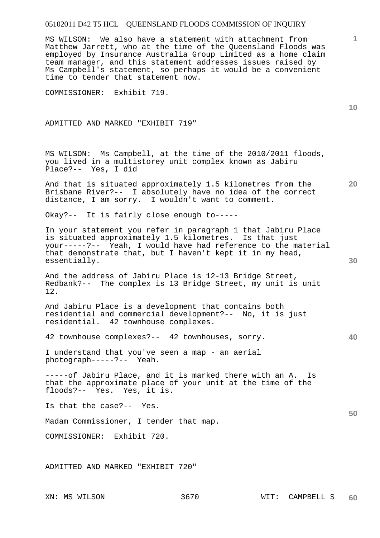MS WILSON: We also have a statement with attachment from Matthew Jarrett, who at the time of the Queensland Floods was employed by Insurance Australia Group Limited as a home claim team manager, and this statement addresses issues raised by Ms Campbell's statement, so perhaps it would be a convenient time to tender that statement now.

COMMISSIONER: Exhibit 719.

ADMITTED AND MARKED "EXHIBIT 719"

MS WILSON: Ms Campbell, at the time of the 2010/2011 floods, you lived in a multistorey unit complex known as Jabiru Place?-- Yes, I did

And that is situated approximately 1.5 kilometres from the Brisbane River?-- I absolutely have no idea of the correct distance, I am sorry. I wouldn't want to comment.

Okay?-- It is fairly close enough to-----

In your statement you refer in paragraph 1 that Jabiru Place is situated approximately 1.5 kilometres. Is that just your-----?-- Yeah, I would have had reference to the material that demonstrate that, but I haven't kept it in my head, essentially.

And the address of Jabiru Place is 12-13 Bridge Street, Redbank?-- The complex is 13 Bridge Street, my unit is unit 12.

And Jabiru Place is a development that contains both residential and commercial development?-- No, it is just residential. 42 townhouse complexes.

42 townhouse complexes?-- 42 townhouses, sorry.

I understand that you've seen a map - an aerial photograph-----?-- Yeah.

-----of Jabiru Place, and it is marked there with an A. Is that the approximate place of your unit at the time of the floods?-- Yes. Yes, it is.

Is that the case?-- Yes.

Madam Commissioner, I tender that map.

COMMISSIONER: Exhibit 720.

ADMITTED AND MARKED "EXHIBIT 720"

**1**

**10** 

**20** 

**40** 

**50**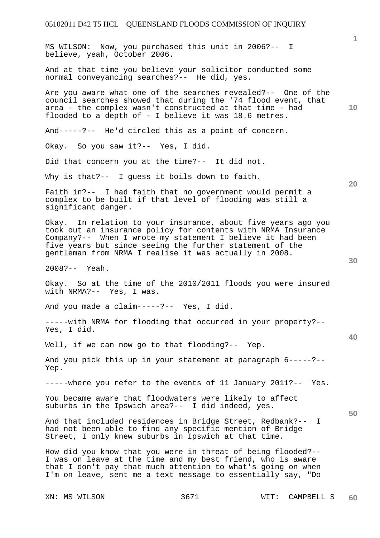XN: MS WILSON 3671 WIT: CAMPBELL S **1 10 20 30 40 50**  MS WILSON: Now, you purchased this unit in 2006?-- I believe, yeah, October 2006. And at that time you believe your solicitor conducted some normal conveyancing searches?-- He did, yes. Are you aware what one of the searches revealed?-- One of the council searches showed that during the '74 flood event, that area - the complex wasn't constructed at that time - had flooded to a depth of - I believe it was 18.6 metres. And-----?-- He'd circled this as a point of concern. Okay. So you saw it?-- Yes, I did. Did that concern you at the time?-- It did not. Why is that?-- I guess it boils down to faith. Faith in?-- I had faith that no government would permit a complex to be built if that level of flooding was still a significant danger. Okay. In relation to your insurance, about five years ago you took out an insurance policy for contents with NRMA Insurance Company?-- When I wrote my statement I believe it had been five years but since seeing the further statement of the gentleman from NRMA I realise it was actually in 2008. 2008?-- Yeah. Okay. So at the time of the 2010/2011 floods you were insured with NRMA?-- Yes, I was. And you made a claim-----?-- Yes, I did. -----with NRMA for flooding that occurred in your property?-- Yes, I did. Well, if we can now go to that flooding?-- Yep. And you pick this up in your statement at paragraph 6-----?-- Yep. -----where you refer to the events of 11 January 2011?-- Yes. You became aware that floodwaters were likely to affect suburbs in the Ipswich area?-- I did indeed, yes. And that included residences in Bridge Street, Redbank?-- I had not been able to find any specific mention of Bridge Street, I only knew suburbs in Ipswich at that time. How did you know that you were in threat of being flooded?-- I was on leave at the time and my best friend, who is aware that I don't pay that much attention to what's going on when I'm on leave, sent me a text message to essentially say, "Do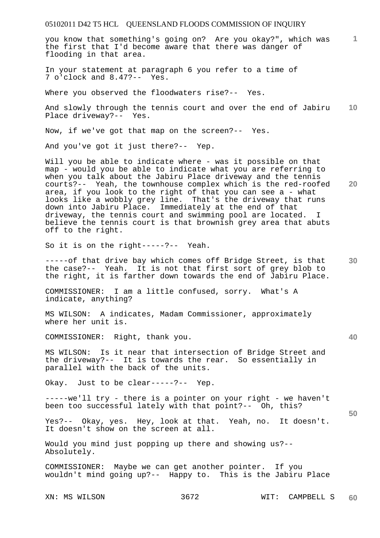**1** you know that something's going on? Are you okay?", which was the first that I'd become aware that there was danger of flooding in that area.

In your statement at paragraph 6 you refer to a time of 7 o'clock and 8.47?-- Yes.

Where you observed the floodwaters rise?-- Yes.

**10**  And slowly through the tennis court and over the end of Jabiru Place driveway?-- Yes.

Now, if we've got that map on the screen?-- Yes.

And you've got it just there?-- Yep.

Will you be able to indicate where - was it possible on that map - would you be able to indicate what you are referring to when you talk about the Jabiru Place driveway and the tennis courts?-- Yeah, the townhouse complex which is the red-roofed area, if you look to the right of that you can see a - what looks like a wobbly grey line. That's the driveway that runs down into Jabiru Place. Immediately at the end of that driveway, the tennis court and swimming pool are located. I believe the tennis court is that brownish grey area that abuts off to the right.

So it is on the right-----?-- Yeah.

**30**  -----of that drive bay which comes off Bridge Street, is that the case?-- Yeah. It is not that first sort of grey blob to the right, it is farther down towards the end of Jabiru Place.

COMMISSIONER: I am a little confused, sorry. What's A indicate, anything?

MS WILSON: A indicates, Madam Commissioner, approximately where her unit is.

COMMISSIONER: Right, thank you.

MS WILSON: Is it near that intersection of Bridge Street and the driveway?-- It is towards the rear. So essentially in parallel with the back of the units.

Okay. Just to be clear-----?-- Yep.

-----we'll try - there is a pointer on your right - we haven't been too successful lately with that point?-- Oh, this?

Yes?-- Okay, yes. Hey, look at that. Yeah, no. It doesn't. It doesn't show on the screen at all.

Would you mind just popping up there and showing us?-- Absolutely.

COMMISSIONER: Maybe we can get another pointer. If you wouldn't mind going up?-- Happy to. This is the Jabiru Place

**20** 

**40**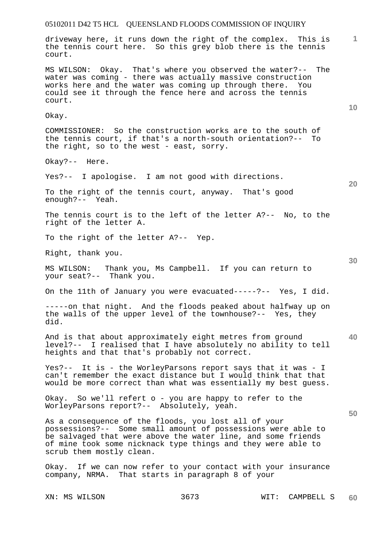## 05102011 D42 T5 HCL QUEENSLAND FLOODS COMMISSION OF INQUIRY **1 10 20 30 40 50**  driveway here, it runs down the right of the complex. This is the tennis court here. So this grey blob there is the tennis court. MS WILSON: Okay. That's where you observed the water?-- The water was coming - there was actually massive construction works here and the water was coming up through there. You could see it through the fence here and across the tennis court. Okay. COMMISSIONER: So the construction works are to the south of the tennis court, if that's a north-south orientation?-- To the right, so to the west - east, sorry. Okay?-- Here. Yes?-- I apologise. I am not good with directions. To the right of the tennis court, anyway. That's good enough?-- Yeah. The tennis court is to the left of the letter A?-- No, to the right of the letter A. To the right of the letter A?-- Yep. Right, thank you. MS WILSON: Thank you, Ms Campbell. If you can return to your seat?-- Thank you. On the 11th of January you were evacuated-----?-- Yes, I did. -----on that night. And the floods peaked about halfway up on the walls of the upper level of the townhouse?-- Yes, they did. And is that about approximately eight metres from ground level?-- I realised that I have absolutely no ability to tell heights and that that's probably not correct. Yes?-- It is - the WorleyParsons report says that it was - I can't remember the exact distance but I would think that that would be more correct than what was essentially my best guess. Okay. So we'll refert o - you are happy to refer to the WorleyParsons report?-- Absolutely, yeah. As a consequence of the floods, you lost all of your possessions?-- Some small amount of possessions were able to be salvaged that were above the water line, and some friends of mine took some nicknack type things and they were able to scrub them mostly clean. Okay. If we can now refer to your contact with your insurance company, NRMA. That starts in paragraph 8 of your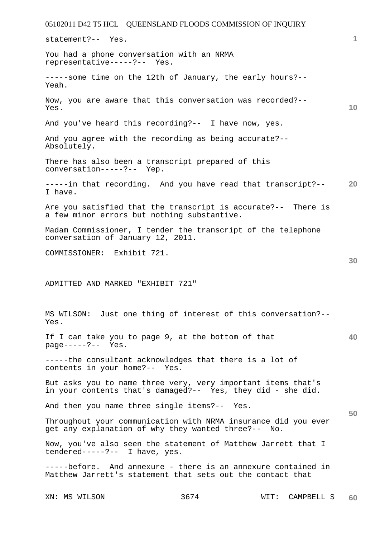|                                   | 05102011 D42 T5 HCL QUEENSLAND FLOODS COMMISSION OF INQUIRY                                                                 |                       |    |
|-----------------------------------|-----------------------------------------------------------------------------------------------------------------------------|-----------------------|----|
| statement?-- Yes.                 |                                                                                                                             |                       | 1  |
| representative-----?-- Yes.       | You had a phone conversation with an NRMA                                                                                   |                       |    |
| Yeah.                             | -----some time on the 12th of January, the early hours?--                                                                   |                       |    |
| Yes.                              | Now, you are aware that this conversation was recorded?--                                                                   |                       | 10 |
|                                   | And you've heard this recording?-- I have now, yes.                                                                         |                       |    |
| Absolutely.                       | And you agree with the recording as being accurate?--                                                                       |                       |    |
| conversation-----?-- Yep.         | There has also been a transcript prepared of this                                                                           |                       |    |
| I have.                           | -----in that recording. And you have read that transcript?--                                                                |                       | 20 |
|                                   | Are you satisfied that the transcript is accurate?-- There is<br>a few minor errors but nothing substantive.                |                       |    |
| conversation of January 12, 2011. | Madam Commissioner, I tender the transcript of the telephone                                                                |                       |    |
| COMMISSIONER: Exhibit 721.        |                                                                                                                             |                       | 30 |
| ADMITTED AND MARKED "EXHIBIT 721" | MS WILSON: Just one thing of interest of this conversation?--                                                               |                       |    |
| Yes.                              |                                                                                                                             |                       |    |
| $page---?--$ Yes.                 | If I can take you to page 9, at the bottom of that                                                                          |                       | 40 |
| contents in your home?-- Yes.     | -----the consultant acknowledges that there is a lot of                                                                     |                       |    |
|                                   | But asks you to name three very, very important items that's<br>in your contents that's damaged?-- Yes, they did - she did. |                       |    |
|                                   | And then you name three single items?-- Yes.                                                                                |                       | 50 |
|                                   | Throughout your communication with NRMA insurance did you ever<br>get any explanation of why they wanted three?-- No.       |                       |    |
| tendered-----?-- I have, yes.     | Now, you've also seen the statement of Matthew Jarrett that I                                                               |                       |    |
|                                   | -----before. And annexure - there is an annexure contained in<br>Matthew Jarrett's statement that sets out the contact that |                       |    |
| XN: MS WILSON                     | 3674                                                                                                                        | CAMPBELL S<br>$WIT$ : | 60 |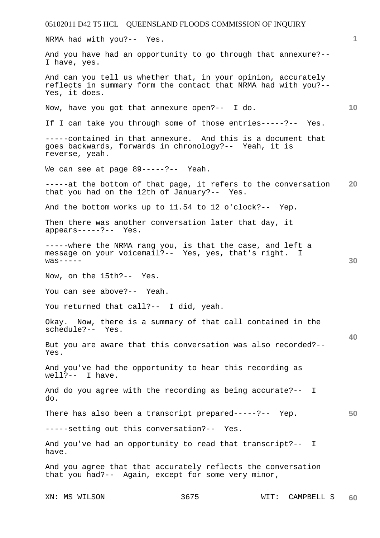05102011 D42 T5 HCL QUEENSLAND FLOODS COMMISSION OF INQUIRY XN: MS WILSON 3675 WIT: CAMPBELL S **1 10 20 30 40 50 60**  NRMA had with you?-- Yes. And you have had an opportunity to go through that annexure?-- I have, yes. And can you tell us whether that, in your opinion, accurately reflects in summary form the contact that NRMA had with you?-- Yes, it does. Now, have you got that annexure open?-- I do. If I can take you through some of those entries-----?-- Yes. -----contained in that annexure. And this is a document that goes backwards, forwards in chronology?-- Yeah, it is reverse, yeah. We can see at page 89-----?-- Yeah. -----at the bottom of that page, it refers to the conversation that you had on the 12th of January?-- Yes. And the bottom works up to 11.54 to 12 o'clock?-- Yep. Then there was another conversation later that day, it appears-----?-- Yes. -----where the NRMA rang you, is that the case, and left a message on your voicemail?-- Yes, yes, that's right. I  $was---$ Now, on the 15th?-- Yes. You can see above?-- Yeah. You returned that call?-- I did, yeah. Okay. Now, there is a summary of that call contained in the schedule?-- Yes. But you are aware that this conversation was also recorded?-- Yes. And you've had the opportunity to hear this recording as well?-- I have. And do you agree with the recording as being accurate?-- I do. There has also been a transcript prepared-----?-- Yep. -----setting out this conversation?-- Yes. And you've had an opportunity to read that transcript?-- I have. And you agree that that accurately reflects the conversation that you had?-- Again, except for some very minor,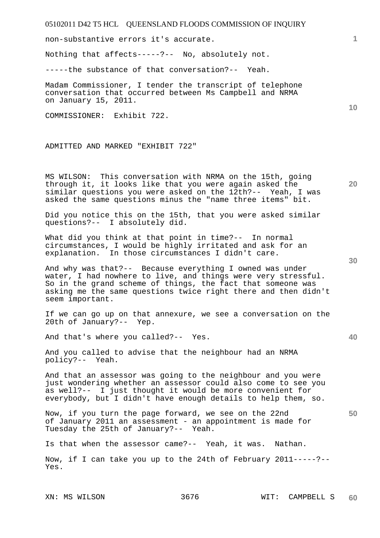non-substantive errors it's accurate.

Nothing that affects-----?-- No, absolutely not.

-----the substance of that conversation?-- Yeah.

Madam Commissioner, I tender the transcript of telephone conversation that occurred between Ms Campbell and NRMA on January 15, 2011.

COMMISSIONER: Exhibit 722.

ADMITTED AND MARKED "EXHIBIT 722"

MS WILSON: This conversation with NRMA on the 15th, going through it, it looks like that you were again asked the similar questions you were asked on the 12th?-- Yeah, I was asked the same questions minus the "name three items" bit.

Did you notice this on the 15th, that you were asked similar questions?-- I absolutely did.

What did you think at that point in time?-- In normal circumstances, I would be highly irritated and ask for an explanation. In those circumstances I didn't care.

And why was that?-- Because everything I owned was under water, I had nowhere to live, and things were very stressful. So in the grand scheme of things, the fact that someone was asking me the same questions twice right there and then didn't seem important.

If we can go up on that annexure, we see a conversation on the 20th of January?-- Yep.

And that's where you called?-- Yes.

And you called to advise that the neighbour had an NRMA policy?-- Yeah.

And that an assessor was going to the neighbour and you were just wondering whether an assessor could also come to see you as well?-- I just thought it would be more convenient for everybody, but I didn't have enough details to help them, so.

Now, if you turn the page forward, we see on the 22nd of January 2011 an assessment - an appointment is made for Tuesday the 25th of January?-- Yeah.

Is that when the assessor came?-- Yeah, it was. Nathan.

Now, if I can take you up to the 24th of February 2011-----?-- Yes.

**20** 

**10** 

**40**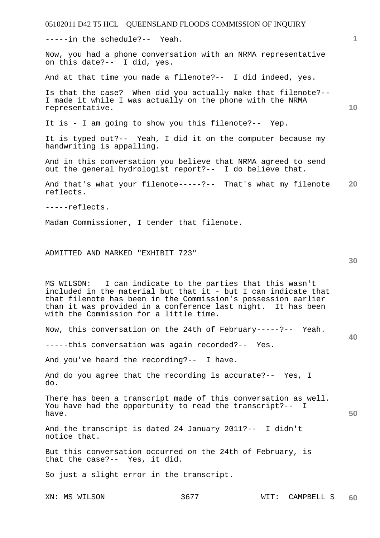05102011 D42 T5 HCL QUEENSLAND FLOODS COMMISSION OF INQUIRY **1 10 20 30 40 50**  -----in the schedule?-- Yeah. Now, you had a phone conversation with an NRMA representative on this date?-- I did, yes. And at that time you made a filenote?-- I did indeed, yes. Is that the case? When did you actually make that filenote?-- I made it while I was actually on the phone with the NRMA representative. It is - I am going to show you this filenote?-- Yep. It is typed out?-- Yeah, I did it on the computer because my handwriting is appalling. And in this conversation you believe that NRMA agreed to send out the general hydrologist report?-- I do believe that. And that's what your filenote-----?-- That's what my filenote reflects. -----reflects. Madam Commissioner, I tender that filenote. ADMITTED AND MARKED "EXHIBIT 723" MS WILSON: I can indicate to the parties that this wasn't included in the material but that it - but I can indicate that that filenote has been in the Commission's possession earlier than it was provided in a conference last night. It has been with the Commission for a little time. Now, this conversation on the 24th of February-----?-- Yeah. -----this conversation was again recorded?-- Yes. And you've heard the recording?-- I have. And do you agree that the recording is accurate?-- Yes, I do. There has been a transcript made of this conversation as well. You have had the opportunity to read the transcript?-- I have. And the transcript is dated 24 January 2011?-- I didn't notice that. But this conversation occurred on the 24th of February, is that the case?-- Yes, it did. So just a slight error in the transcript.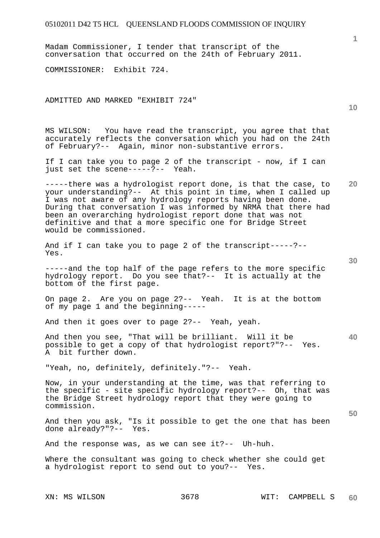Madam Commissioner, I tender that transcript of the conversation that occurred on the 24th of February 2011.

COMMISSIONER: Exhibit 724.

ADMITTED AND MARKED "EXHIBIT 724"

MS WILSON: You have read the transcript, you agree that that accurately reflects the conversation which you had on the 24th of February?-- Again, minor non-substantive errors.

If I can take you to page 2 of the transcript - now, if I can just set the scene-----?-- Yeah.

-----there was a hydrologist report done, is that the case, to your understanding?-- At this point in time, when I called up I was not aware of any hydrology reports having been done. During that conversation I was informed by NRMA that there had been an overarching hydrologist report done that was not definitive and that a more specific one for Bridge Street would be commissioned.

And if I can take you to page 2 of the transcript-----?-- Yes.

-----and the top half of the page refers to the more specific hydrology report. Do you see that?-- It is actually at the bottom of the first page.

On page 2. Are you on page 2?-- Yeah. It is at the bottom of my page 1 and the beginning-----

And then it goes over to page 2?-- Yeah, yeah.

And then you see, "That will be brilliant. Will it be possible to get a copy of that hydrologist report?"?-- Yes. A bit further down.

"Yeah, no, definitely, definitely."?-- Yeah.

Now, in your understanding at the time, was that referring to the specific - site specific hydrology report?-- Oh, that was the Bridge Street hydrology report that they were going to commission.

And then you ask, "Is it possible to get the one that has been done already?"?-- Yes.

And the response was, as we can see it?-- Uh-huh.

Where the consultant was going to check whether she could get a hydrologist report to send out to you?-- Yes.

**10** 

**1**

**20** 

**30** 

**40**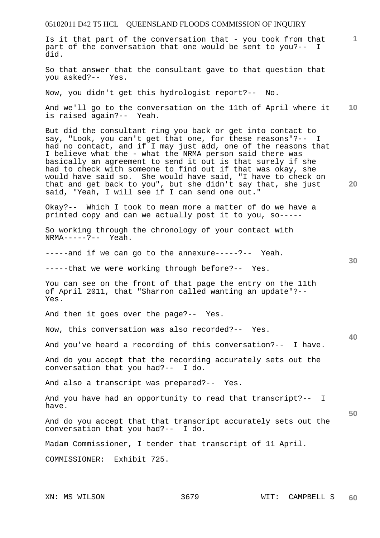Is it that part of the conversation that - you took from that part of the conversation that one would be sent to you?-- I did.

So that answer that the consultant gave to that question that you asked?-- Yes.

Now, you didn't get this hydrologist report?-- No.

**10**  And we'll go to the conversation on the 11th of April where it is raised again?-- Yeah.

But did the consultant ring you back or get into contact to say, "Look, you can't get that one, for these reasons"?-- I had no contact, and if I may just add, one of the reasons that I believe what the - what the NRMA person said there was basically an agreement to send it out is that surely if she had to check with someone to find out if that was okay, she would have said so. She would have said, "I have to check on that and get back to you", but she didn't say that, she just said, "Yeah, I will see if I can send one out."

Okay?-- Which I took to mean more a matter of do we have a printed copy and can we actually post it to you, so-----

So working through the chronology of your contact with NRMA-----?-- Yeah.

-----and if we can go to the annexure-----?-- Yeah.

-----that we were working through before?-- Yes.

You can see on the front of that page the entry on the 11th of April 2011, that "Sharron called wanting an update"?-- Yes.

And then it goes over the page?-- Yes.

Now, this conversation was also recorded?-- Yes.

And you've heard a recording of this conversation?-- I have.

And do you accept that the recording accurately sets out the conversation that you had?-- I do.

And also a transcript was prepared?-- Yes.

And you have had an opportunity to read that transcript?-- I have.

And do you accept that that transcript accurately sets out the conversation that you had?--  $I$  do. conversation that you had?--

Madam Commissioner, I tender that transcript of 11 April.

COMMISSIONER: Exhibit 725.

**1**

**20** 

**30** 

**40**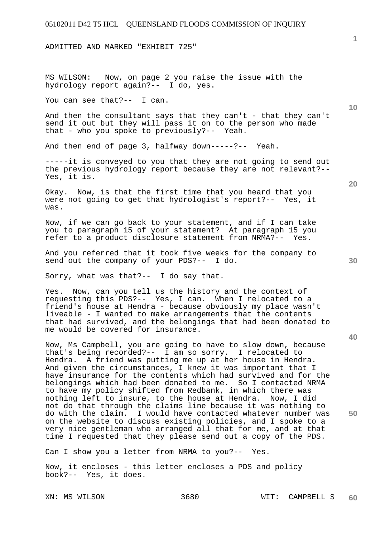ADMITTED AND MARKED "EXHIBIT 725"

MS WILSON: Now, on page 2 you raise the issue with the hydrology report again?-- I do, yes.

You can see that?-- I can.

And then the consultant says that they can't - that they can't send it out but they will pass it on to the person who made that - who you spoke to previously?-- Yeah.

And then end of page 3, halfway down-----?-- Yeah.

-----it is conveyed to you that they are not going to send out the previous hydrology report because they are not relevant?-- Yes, it is.

Okay. Now, is that the first time that you heard that you were not going to get that hydrologist's report?-- Yes, it was.

Now, if we can go back to your statement, and if I can take you to paragraph 15 of your statement? At paragraph 15 you refer to a product disclosure statement from NRMA?-- Yes.

And you referred that it took five weeks for the company to send out the company of your PDS?-- I do.

Sorry, what was that?-- I do say that.

Yes. Now, can you tell us the history and the context of requesting this PDS?-- Yes, I can. When I relocated to a friend's house at Hendra - because obviously my place wasn't liveable - I wanted to make arrangements that the contents that had survived, and the belongings that had been donated to me would be covered for insurance.

Now, Ms Campbell, you are going to have to slow down, because that's being recorded?-- I am so sorry. I relocated to Hendra. A friend was putting me up at her house in Hendra. And given the circumstances, I knew it was important that I have insurance for the contents which had survived and for the belongings which had been donated to me. So I contacted NRMA to have my policy shifted from Redbank, in which there was nothing left to insure, to the house at Hendra. Now, I did not do that through the claims line because it was nothing to do with the claim. I would have contacted whatever number was on the website to discuss existing policies, and I spoke to a very nice gentleman who arranged all that for me, and at that time I requested that they please send out a copy of the PDS.

Can I show you a letter from NRMA to you?-- Yes.

Now, it encloses - this letter encloses a PDS and policy book?-- Yes, it does.

**10** 

**50**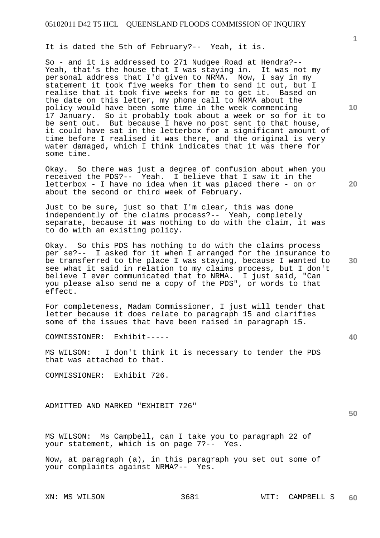It is dated the 5th of February?-- Yeah, it is.

So - and it is addressed to 271 Nudgee Road at Hendra?-- Yeah, that's the house that I was staying in. It was not my personal address that I'd given to NRMA. Now, I say in my statement it took five weeks for them to send it out, but I realise that it took five weeks for me to get it. Based on the date on this letter, my phone call to NRMA about the policy would have been some time in the week commencing 17 January. So it probably took about a week or so for it to be sent out. But because I have no post sent to that house, it could have sat in the letterbox for a significant amount of time before I realised it was there, and the original is very water damaged, which I think indicates that it was there for some time.

Okay. So there was just a degree of confusion about when you received the PDS?-- Yeah. I believe that I saw it in the letterbox - I have no idea when it was placed there - on or about the second or third week of February.

Just to be sure, just so that I'm clear, this was done independently of the claims process?-- Yeah, completely separate, because it was nothing to do with the claim, it was to do with an existing policy.

Okay. So this PDS has nothing to do with the claims process per se?-- I asked for it when I arranged for the insurance to be transferred to the place I was staying, because I wanted to see what it said in relation to my claims process, but I don't believe I ever communicated that to NRMA. I just said, "Can you please also send me a copy of the PDS", or words to that effect.

For completeness, Madam Commissioner, I just will tender that letter because it does relate to paragraph 15 and clarifies some of the issues that have been raised in paragraph 15.

COMMISSIONER: Exhibit-----

MS WILSON: I don't think it is necessary to tender the PDS that was attached to that.

COMMISSIONER: Exhibit 726.

ADMITTED AND MARKED "EXHIBIT 726"

MS WILSON: Ms Campbell, can I take you to paragraph 22 of your statement, which is on page 7?-- Yes.

Now, at paragraph (a), in this paragraph you set out some of your complaints against NRMA?-- Yes.

**10** 

**1**

**20** 

**30** 

**40**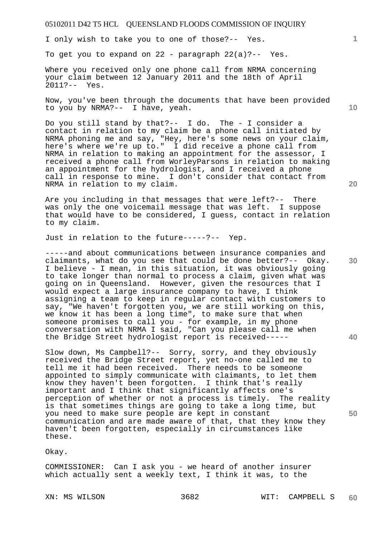I only wish to take you to one of those?-- Yes.

To get you to expand on  $22$  - paragraph  $22(a)$  ?-- Yes.

Where you received only one phone call from NRMA concerning your claim between 12 January 2011 and the 18th of April 2011?-- Yes.

Now, you've been through the documents that have been provided to you by NRMA?-- I have, yeah.

Do you still stand by that?-- I do. The - I consider a contact in relation to my claim be a phone call initiated by NRMA phoning me and say, "Hey, here's some news on your claim, here's where we're up to." I did receive a phone call from NRMA in relation to making an appointment for the assessor, I received a phone call from WorleyParsons in relation to making an appointment for the hydrologist, and I received a phone call in response to mine. I don't consider that contact from NRMA in relation to my claim.

Are you including in that messages that were left?-- There was only the one voicemail message that was left. I suppose that would have to be considered, I guess, contact in relation to my claim.

Just in relation to the future-----?-- Yep.

-----and about communications between insurance companies and claimants, what do you see that could be done better?-- Okay. I believe - I mean, in this situation, it was obviously going to take longer than normal to process a claim, given what was going on in Queensland. However, given the resources that I would expect a large insurance company to have, I think assigning a team to keep in regular contact with customers to say, "We haven't forgotten you, we are still working on this, we know it has been a long time", to make sure that when someone promises to call you - for example, in my phone conversation with NRMA I said, "Can you please call me when the Bridge Street hydrologist report is received-----

Slow down, Ms Campbell?-- Sorry, sorry, and they obviously received the Bridge Street report, yet no-one called me to tell me it had been received. There needs to be someone appointed to simply communicate with claimants, to let them know they haven't been forgotten. I think that's really important and I think that significantly affects one's perception of whether or not a process is timely. The reality is that sometimes things are going to take a long time, but you need to make sure people are kept in constant communication and are made aware of that, that they know they haven't been forgotten, especially in circumstances like these.

Okay.

COMMISSIONER: Can I ask you - we heard of another insurer which actually sent a weekly text, I think it was, to the

**10** 

**1**

**20** 

**50**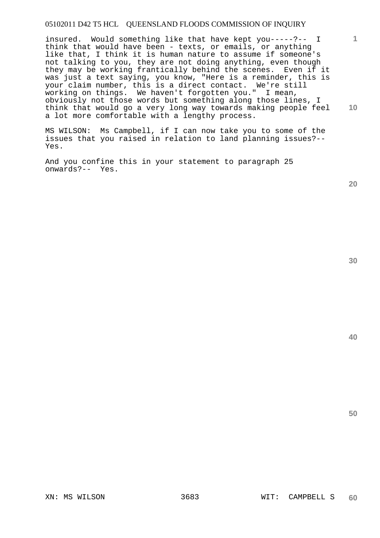**1 10**  insured. Would something like that have kept you-----?-- I think that would have been - texts, or emails, or anything like that, I think it is human nature to assume if someone's not talking to you, they are not doing anything, even though they may be working frantically behind the scenes. Even if it was just a text saying, you know, "Here is a reminder, this is your claim number, this is a direct contact. We're still working on things. We haven't forgotten you." I mean, obviously not those words but something along those lines, I think that would go a very long way towards making people feel a lot more comfortable with a lengthy process.

MS WILSON: Ms Campbell, if I can now take you to some of the issues that you raised in relation to land planning issues?-- Yes.

And you confine this in your statement to paragraph 25 onwards?-- Yes.

**20** 

**40**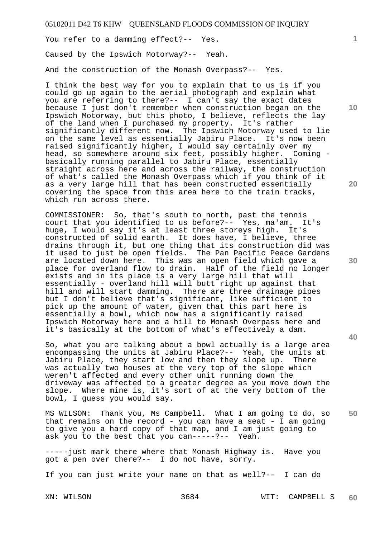You refer to a damming effect?-- Yes.

Caused by the Ipswich Motorway?-- Yeah.

And the construction of the Monash Overpass?-- Yes.

I think the best way for you to explain that to us is if you could go up again to the aerial photograph and explain what you are referring to there?-- I can't say the exact dates because I just don't remember when construction began on the Ipswich Motorway, but this photo, I believe, reflects the lay of the land when I purchased my property. It's rather significantly different now. The Ipswich Motorway used to lie on the same level as essentially Jabiru Place. It's now been raised significantly higher, I would say certainly over my head, so somewhere around six feet, possibly higher. Coming basically running parallel to Jabiru Place, essentially straight across here and across the railway, the construction of what's called the Monash Overpass which if you think of it as a very large hill that has been constructed essentially covering the space from this area here to the train tracks, which run across there.

COMMISSIONER: So, that's south to north, past the tennis court that you identified to us before?-- Yes, ma'am. It's huge, I would say it's at least three storeys high. It's constructed of solid earth. It does have, I believe, three drains through it, but one thing that its construction did was it used to just be open fields. The Pan Pacific Peace Gardens are located down here. This was an open field which gave a place for overland flow to drain. Half of the field no longer exists and in its place is a very large hill that will essentially - overland hill will butt right up against that hill and will start damming. There are three drainage pipes but I don't believe that's significant, like sufficient to pick up the amount of water, given that this part here is essentially a bowl, which now has a significantly raised Ipswich Motorway here and a hill to Monash Overpass here and it's basically at the bottom of what's effectively a dam.

So, what you are talking about a bowl actually is a large area encompassing the units at Jabiru Place?-- Yeah, the units at Jabiru Place, they start low and then they slope up. There was actually two houses at the very top of the slope which weren't affected and every other unit running down the driveway was affected to a greater degree as you move down the slope. Where mine is, it's sort of at the very bottom of the bowl, I guess you would say.

**50**  MS WILSON: Thank you, Ms Campbell. What I am going to do, so that remains on the record - you can have a seat - I am going to give you a hard copy of that map, and I am just going to ask you to the best that you can-----?-- Yeah.

-----just mark there where that Monash Highway is. Have you got a pen over there?-- I do not have, sorry.

If you can just write your name on that as well?-- I can do

**10** 

**1**

**20**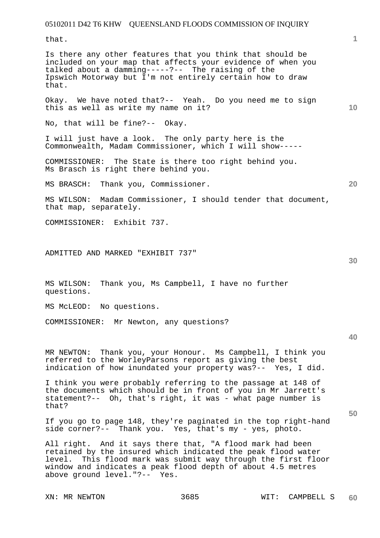that.

Is there any other features that you think that should be included on your map that affects your evidence of when you talked about a damming-----?-- The raising of the Ipswich Motorway but I'm not entirely certain how to draw that.

Okay. We have noted that?-- Yeah. Do you need me to sign this as well as write my name on it?

No, that will be fine?-- Okay.

I will just have a look. The only party here is the Commonwealth, Madam Commissioner, which I will show-----

COMMISSIONER: The State is there too right behind you. Ms Brasch is right there behind you.

MS BRASCH: Thank you, Commissioner.

MS WILSON: Madam Commissioner, I should tender that document, that map, separately.

COMMISSIONER: Exhibit 737.

ADMITTED AND MARKED "EXHIBIT 737"

MS WILSON: Thank you, Ms Campbell, I have no further questions.

MS McLEOD: No questions.

COMMISSIONER: Mr Newton, any questions?

**40** 

**50** 

MR NEWTON: Thank you, your Honour. Ms Campbell, I think you referred to the WorleyParsons report as giving the best indication of how inundated your property was?-- Yes, I did.

I think you were probably referring to the passage at 148 of the documents which should be in front of you in Mr Jarrett's statement?-- Oh, that's right, it was - what page number is that?

If you go to page 148, they're paginated in the top right-hand side corner?-- Thank you. Yes, that's my - yes, photo.

All right. And it says there that, "A flood mark had been retained by the insured which indicated the peak flood water level. This flood mark was submit way through the first floor window and indicates a peak flood depth of about 4.5 metres above ground level."?-- Yes.

**10** 

**20**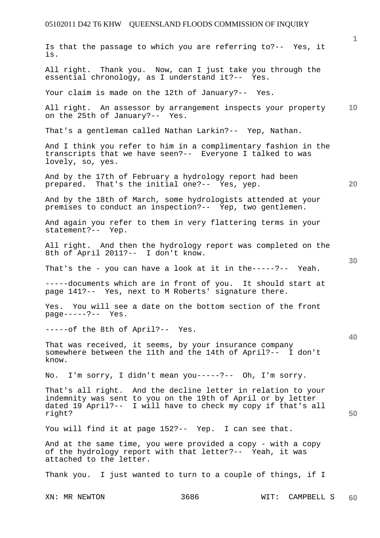|                                                                                                                                                                                                       |      |                 | $\mathbf{1}$    |
|-------------------------------------------------------------------------------------------------------------------------------------------------------------------------------------------------------|------|-----------------|-----------------|
| Is that the passage to which you are referring to?-- Yes, it<br>is.                                                                                                                                   |      |                 |                 |
| All right. Thank you. Now, can I just take you through the<br>essential chronology, as I understand it ?-- Yes.                                                                                       |      |                 |                 |
| Your claim is made on the 12th of January?-- Yes.                                                                                                                                                     |      |                 |                 |
| All right. An assessor by arrangement inspects your property<br>on the 25th of January?-- Yes.                                                                                                        |      |                 | 10 <sup>°</sup> |
| That's a gentleman called Nathan Larkin?-- Yep, Nathan.                                                                                                                                               |      |                 |                 |
| And I think you refer to him in a complimentary fashion in the<br>transcripts that we have seen?-- Everyone I talked to was<br>lovely, so, yes.                                                       |      |                 |                 |
| And by the 17th of February a hydrology report had been<br>prepared. That's the initial one?-- Yes, yep.                                                                                              |      |                 | 20              |
| And by the 18th of March, some hydrologists attended at your<br>premises to conduct an inspection?-- Yep, two gentlemen.                                                                              |      |                 |                 |
| And again you refer to them in very flattering terms in your<br>statement?-- Yep.                                                                                                                     |      |                 |                 |
| All right. And then the hydrology report was completed on the<br>8th of April 2011?-- I don't know.                                                                                                   |      |                 |                 |
| That's the - you can have a look at it in the-----?-- Yeah.                                                                                                                                           |      |                 | 30              |
| -----documents which are in front of you. It should start at<br>page 141?-- Yes, next to M Roberts' signature there.                                                                                  |      |                 |                 |
| Yes. You will see a date on the bottom section of the front<br>$page---?--$ Yes.                                                                                                                      |      |                 |                 |
| -----of the 8th of April?-- Yes.                                                                                                                                                                      |      |                 |                 |
| That was received, it seems, by your insurance company<br>somewhere between the 11th and the 14th of April?-- I don't<br>know.                                                                        |      |                 | 40              |
| No. I'm sorry, I didn't mean you-----?-- Oh, I'm sorry.                                                                                                                                               |      |                 |                 |
| That's all right. And the decline letter in relation to your<br>indemnity was sent to you on the 19th of April or by letter<br>dated 19 April?-- I will have to check my copy if that's all<br>right? |      |                 | 50              |
| You will find it at page 152?-- Yep. I can see that.                                                                                                                                                  |      |                 |                 |
| And at the same time, you were provided a copy - with a copy<br>of the hydrology report with that letter ?-- Yeah, it was<br>attached to the letter.                                                  |      |                 |                 |
| Thank you. I just wanted to turn to a couple of things, if I                                                                                                                                          |      |                 |                 |
| XN: MR NEWTON                                                                                                                                                                                         | 3686 | WIT: CAMPBELL S | 60              |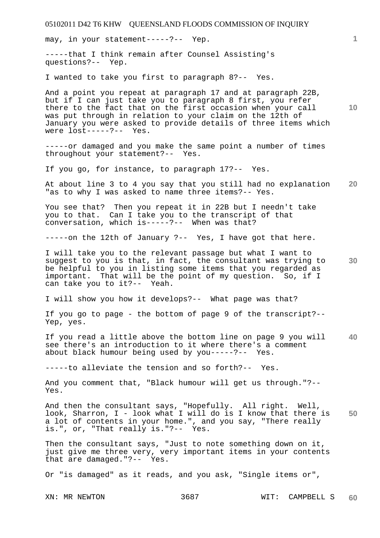may, in your statement-----?-- Yep.

-----that I think remain after Counsel Assisting's questions?-- Yep.

I wanted to take you first to paragraph 8?-- Yes.

And a point you repeat at paragraph 17 and at paragraph 22B, but if I can just take you to paragraph 8 first, you refer there to the fact that on the first occasion when your call was put through in relation to your claim on the 12th of January you were asked to provide details of three items which were lost-----?-- Yes.

-----or damaged and you make the same point a number of times throughout your statement?-- Yes.

If you go, for instance, to paragraph 17?-- Yes.

**20**  At about line 3 to 4 you say that you still had no explanation "as to why I was asked to name three items?-- Yes.

You see that? Then you repeat it in 22B but I needn't take you to that. Can I take you to the transcript of that conversation, which is-----?-- When was that?

-----on the 12th of January ?-- Yes, I have got that here.

**30**  I will take you to the relevant passage but what I want to suggest to you is that, in fact, the consultant was trying to be helpful to you in listing some items that you regarded as important. That will be the point of my question. So, if I can take you to it?-- Yeah.

I will show you how it develops?-- What page was that?

If you go to page - the bottom of page 9 of the transcript?-- Yep, yes.

**40**  If you read a little above the bottom line on page 9 you will see there's an introduction to it where there's a comment about black humour being used by you-----?-- Yes.

-----to alleviate the tension and so forth?-- Yes.

And you comment that, "Black humour will get us through."?-- Yes.

**50**  And then the consultant says, "Hopefully. All right. Well, look, Sharron, I - look what I will do is I know that there is a lot of contents in your home.", and you say, "There really is.", or, "That really is."?-- Yes.

Then the consultant says, "Just to note something down on it, just give me three very, very important items in your contents that are damaged."?-- Yes.

Or "is damaged" as it reads, and you ask, "Single items or",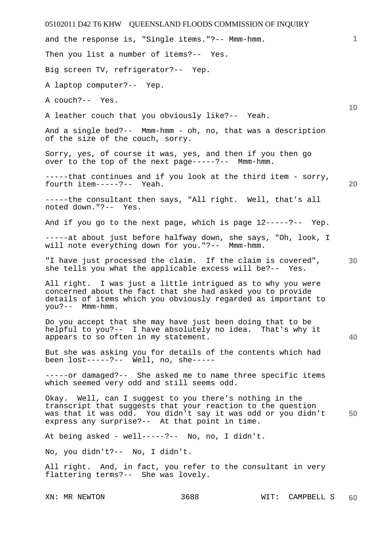| 05102011 D42 T6 KHW QUEENSLAND FLOODS COMMISSION OF INQUIRY                                                                                                                                                                              |    |
|------------------------------------------------------------------------------------------------------------------------------------------------------------------------------------------------------------------------------------------|----|
| and the response is, "Single items."?-- Mmm-hmm.                                                                                                                                                                                         | 1  |
| Then you list a number of items?-- Yes.                                                                                                                                                                                                  |    |
| Big screen TV, refrigerator?-- Yep.                                                                                                                                                                                                      |    |
| A laptop computer?-- Yep.                                                                                                                                                                                                                |    |
| A couch?-- Yes.                                                                                                                                                                                                                          | 10 |
| A leather couch that you obviously like?-- Yeah.                                                                                                                                                                                         |    |
| And a single bed?-- Mmm-hmm - oh, no, that was a description<br>of the size of the couch, sorry.                                                                                                                                         |    |
| Sorry, yes, of course it was, yes, and then if you then go<br>over to the top of the next page-----?-- Mmm-hmm.                                                                                                                          |    |
| -----that continues and if you look at the third item - sorry,<br>fourth item-----?-- Yeah.                                                                                                                                              | 20 |
| -----the consultant then says, "All right. Well, that's all<br>noted down."?-- Yes.                                                                                                                                                      |    |
| And if you go to the next page, which is page 12-----?-- Yep.                                                                                                                                                                            |    |
| -----at about just before halfway down, she says, "Oh, look, I<br>will note everything down for you."?--<br>$Mmm-hmm$ .                                                                                                                  |    |
| "I have just processed the claim. If the claim is covered",<br>she tells you what the applicable excess will be?-- Yes.                                                                                                                  | 30 |
| All right. I was just a little intrigued as to why you were<br>concerned about the fact that she had asked you to provide<br>details of items which you obviously regarded as important to<br>you?-- Mmm-hmm.                            |    |
| Do you accept that she may have just been doing that to be<br>helpful to you?-- I have absolutely no idea. That's why it<br>appears to so often in my statement.                                                                         | 40 |
| But she was asking you for details of the contents which had<br>been $lost-----?--$ Well, no, she -----                                                                                                                                  |    |
| -----or damaged?-- She asked me to name three specific items<br>which seemed very odd and still seems odd.                                                                                                                               |    |
| Okay. Well, can I suggest to you there's nothing in the<br>transcript that suggests that your reaction to the question<br>was that it was odd. You didn't say it was odd or you didn't<br>express any surprise?-- At that point in time. | 50 |
| At being asked - well-----?-- No, no, I didn't.                                                                                                                                                                                          |    |
| No, you didn't?-- No, I didn't.                                                                                                                                                                                                          |    |
| All right. And, in fact, you refer to the consultant in very<br>flattering terms?-- She was lovely.                                                                                                                                      |    |
|                                                                                                                                                                                                                                          |    |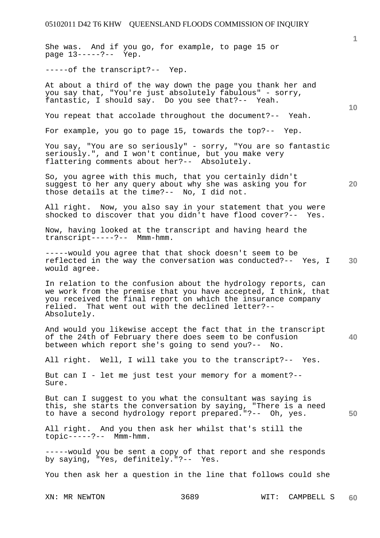She was. And if you go, for example, to page 15 or page 13-----?-- Yep.

-----of the transcript?-- Yep.

At about a third of the way down the page you thank her and you say that, "You're just absolutely fabulous" - sorry, fantastic, I should say. Do you see that?-- Yeah.

You repeat that accolade throughout the document?-- Yeah.

For example, you go to page 15, towards the top?-- Yep.

You say, "You are so seriously" - sorry, "You are so fantastic seriously.", and I won't continue, but you make very flattering comments about her?-- Absolutely.

**20**  So, you agree with this much, that you certainly didn't suggest to her any query about why she was asking you for those details at the time?-- No, I did not.

All right. Now, you also say in your statement that you were shocked to discover that you didn't have flood cover?-- Yes.

Now, having looked at the transcript and having heard the transcript-----?-- Mmm-hmm.

**30**  -----would you agree that that shock doesn't seem to be reflected in the way the conversation was conducted?-- Yes, I would agree.

In relation to the confusion about the hydrology reports, can we work from the premise that you have accepted, I think, that you received the final report on which the insurance company relied. That went out with the declined letter?-- Absolutely.

**40**  And would you likewise accept the fact that in the transcript of the 24th of February there does seem to be confusion between which report she's going to send you?-- No.

All right. Well, I will take you to the transcript?-- Yes.

But can I - let me just test your memory for a moment?-- Sure.

But can I suggest to you what the consultant was saying is this, she starts the conversation by saying, "There is a need to have a second hydrology report prepared."?-- Oh, yes.

All right. And you then ask her whilst that's still the topic-----?-- Mmm-hmm.

-----would you be sent a copy of that report and she responds by saying, "Yes, definitely."?-- Yes.

You then ask her a question in the line that follows could she

**50**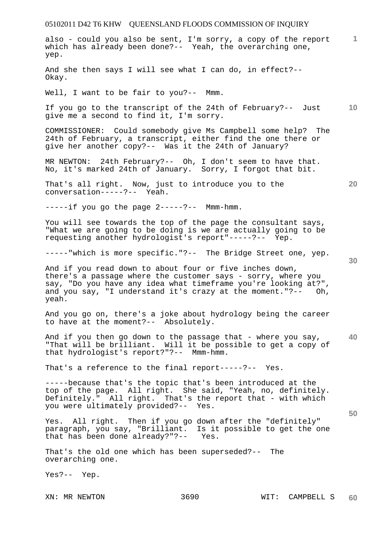**1** also - could you also be sent, I'm sorry, a copy of the report which has already been done?-- Yeah, the overarching one, yep.

And she then says I will see what I can do, in effect?-- Okay.

Well, I want to be fair to you?-- Mmm.

**10**  If you go to the transcript of the 24th of February?-- Just give me a second to find it, I'm sorry.

COMMISSIONER: Could somebody give Ms Campbell some help? The 24th of February, a transcript, either find the one there or give her another copy?-- Was it the 24th of January?

MR NEWTON: 24th February?-- Oh, I don't seem to have that. No, it's marked 24th of January. Sorry, I forgot that bit.

That's all right. Now, just to introduce you to the conversation-----?-- Yeah.

 $---if$  you go the page  $2---?---$  Mmm-hmm.

You will see towards the top of the page the consultant says, "What we are going to be doing is we are actually going to be requesting another hydrologist's report"-----?-- Yep.

-----"which is more specific."?-- The Bridge Street one, yep.

And if you read down to about four or five inches down, there's a passage where the customer says - sorry, where you say, "Do you have any idea what timeframe you're looking at?", and you say, "I understand it's crazy at the moment."?-- Oh, yeah.

And you go on, there's a joke about hydrology being the career to have at the moment?-- Absolutely.

**40**  And if you then go down to the passage that - where you say, "That will be brilliant. Will it be possible to get a copy of that hydrologist's report?"?-- Mmm-hmm.

That's a reference to the final report-----?-- Yes.

-----because that's the topic that's been introduced at the top of the page. All right. She said, "Yeah, no, definitely. Definitely." All right. That's the report that - with which you were ultimately provided?-- Yes.

Yes. All right. Then if you go down after the "definitely" paragraph, you say, "Brilliant. Is it possible to get the one that has been done already?"?-- Yes. that has been done already?"?--

That's the old one which has been superseded?-- The overarching one.

Yes?-- Yep.

**20** 

**30**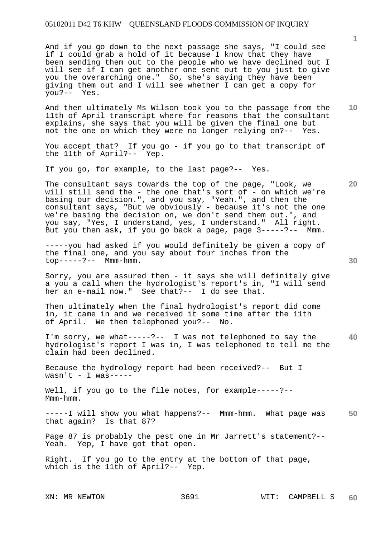And if you go down to the next passage she says, "I could see if I could grab a hold of it because I know that they have been sending them out to the people who we have declined but I will see if I can get another one sent out to you just to give you the overarching one." So, she's saying they have been giving them out and I will see whether I can get a copy for you?-- Yes.

**10**  And then ultimately Ms Wilson took you to the passage from the 11th of April transcript where for reasons that the consultant explains, she says that you will be given the final one but not the one on which they were no longer relying on?-- Yes.

You accept that? If you go - if you go to that transcript of the 11th of April?-- Yep.

If you go, for example, to the last page?-- Yes.

The consultant says towards the top of the page, "Look, we will still send the - the one that's sort of - on which we're basing our decision.", and you say, "Yeah.", and then the consultant says, "But we obviously - because it's not the one we're basing the decision on, we don't send them out.", and you say, "Yes, I understand, yes, I understand." All right. But you then ask, if you go back a page, page 3-----?-- Mmm.

-----you had asked if you would definitely be given a copy of the final one, and you say about four inches from the top-----?-- Mmm-hmm.

Sorry, you are assured then - it says she will definitely give a you a call when the hydrologist's report's in, "I will send her an e-mail now." See that?-- I do see that.

Then ultimately when the final hydrologist's report did come in, it came in and we received it some time after the 11th of April. We then telephoned you?-- No.

**40**  I'm sorry, we what-----?-- I was not telephoned to say the hydrologist's report I was in, I was telephoned to tell me the claim had been declined.

Because the hydrology report had been received?-- But I  $wasn't - I was --- -$ 

Well, if you go to the file notes, for example-----?--Mmm-hmm.

**50**  -----I will show you what happens?-- Mmm-hmm. What page was that again? Is that 87?

Page 87 is probably the pest one in Mr Jarrett's statement?-- Yeah. Yep, I have got that open.

Right. If you go to the entry at the bottom of that page, which is the 11th of April?-- Yep.

**30** 

**20**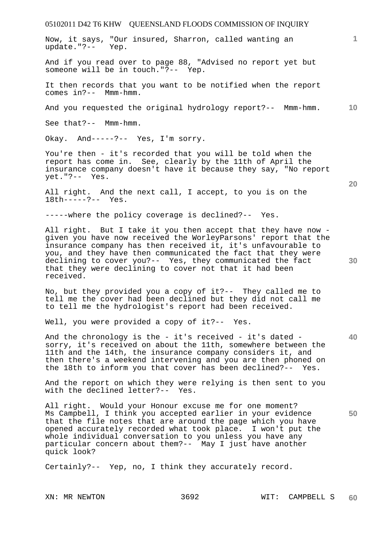Now, it says, "Our insured, Sharron, called wanting an update."?-- Yep.

And if you read over to page 88, "Advised no report yet but someone will be in touch."?-- Yep.

It then records that you want to be notified when the report comes in?-- Mmm-hmm.

**10**  And you requested the original hydrology report?-- Mmm-hmm.

See that?-- Mmm-hmm.

Okay. And-----?-- Yes, I'm sorry.

You're then - it's recorded that you will be told when the report has come in. See, clearly by the 11th of April the insurance company doesn't have it because they say, "No report yet."?-- Yes.

All right. And the next call, I accept, to you is on the 18th-----?-- Yes.

-----where the policy coverage is declined?-- Yes.

All right. But I take it you then accept that they have now given you have now received the WorleyParsons' report that the insurance company has then received it, it's unfavourable to you, and they have then communicated the fact that they were declining to cover you?-- Yes, they communicated the fact that they were declining to cover not that it had been received.

No, but they provided you a copy of it?-- They called me to tell me the cover had been declined but they did not call me to tell me the hydrologist's report had been received.

Well, you were provided a copy of it ?-- Yes.

And the chronology is the - it's received - it's dated sorry, it's received on about the 11th, somewhere between the 11th and the 14th, the insurance company considers it, and then there's a weekend intervening and you are then phoned on the 18th to inform you that cover has been declined?-- Yes.

And the report on which they were relying is then sent to you with the declined letter?-- Yes.

All right. Would your Honour excuse me for one moment? Ms Campbell, I think you accepted earlier in your evidence that the file notes that are around the page which you have opened accurately recorded what took place. I won't put the whole individual conversation to you unless you have any particular concern about them?-- May I just have another quick look?

Certainly?-- Yep, no, I think they accurately record.

**20** 

**30** 

**1**

**40**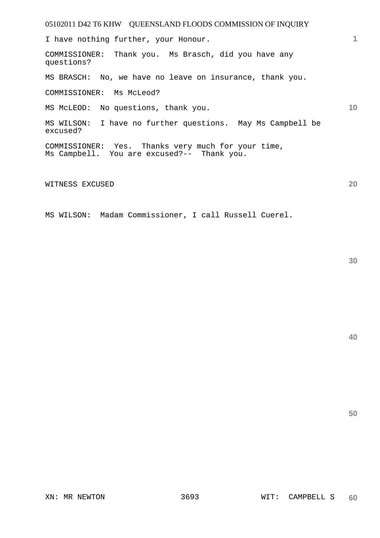| 05102011 D42 T6 KHW QUEENSLAND FLOODS COMMISSION OF INQUIRY                                      |    |
|--------------------------------------------------------------------------------------------------|----|
| I have nothing further, your Honour.                                                             |    |
| COMMISSIONER: Thank you. Ms Brasch, did you have any<br>questions?                               |    |
| MS BRASCH: No, we have no leave on insurance, thank you.                                         |    |
| COMMISSIONER: Ms McLeod?                                                                         |    |
| MS McLEOD: No questions, thank you.                                                              | 10 |
| MS WILSON: I have no further questions. May Ms Campbell be<br>excused?                           |    |
| COMMISSIONER: Yes. Thanks very much for your time,<br>Ms Campbell. You are excused?-- Thank you. |    |

#### WITNESS EXCUSED

MS WILSON: Madam Commissioner, I call Russell Cuerel.

**40** 

**50**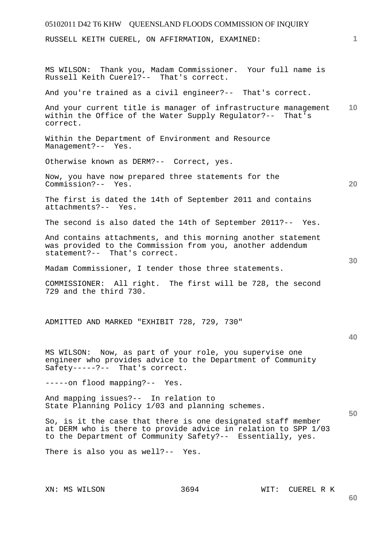# 05102011 D42 T6 KHW QUEENSLAND FLOODS COMMISSION OF INQUIRY **1 10 20 30 40 50**  RUSSELL KEITH CUEREL, ON AFFIRMATION, EXAMINED: MS WILSON: Thank you, Madam Commissioner. Your full name is Russell Keith Cuerel?-- That's correct. And you're trained as a civil engineer?-- That's correct. And your current title is manager of infrastructure management within the Office of the Water Supply Regulator?-- That's correct. Within the Department of Environment and Resource Management?-- Yes. Otherwise known as DERM?-- Correct, yes. Now, you have now prepared three statements for the Commission?-- Yes. The first is dated the 14th of September 2011 and contains attachments?-- Yes. The second is also dated the 14th of September 2011?-- Yes. And contains attachments, and this morning another statement was provided to the Commission from you, another addendum statement?-- That's correct. Madam Commissioner, I tender those three statements. COMMISSIONER: All right. The first will be 728, the second 729 and the third 730. ADMITTED AND MARKED "EXHIBIT 728, 729, 730" MS WILSON: Now, as part of your role, you supervise one engineer who provides advice to the Department of Community Safety-----?-- That's correct. -----on flood mapping?-- Yes. And mapping issues?-- In relation to State Planning Policy 1/03 and planning schemes. So, is it the case that there is one designated staff member at DERM who is there to provide advice in relation to SPP 1/03 to the Department of Community Safety?-- Essentially, yes. There is also you as well?-- Yes.

XN: MS WILSON 3694 WIT: CUEREL R K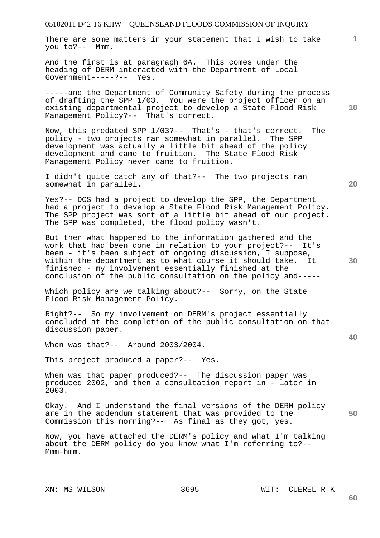There are some matters in your statement that I wish to take you to?-- Mmm.

And the first is at paragraph 6A. This comes under the heading of DERM interacted with the Department of Local Government-----?-- Yes.

-----and the Department of Community Safety during the process of drafting the SPP 1/03. You were the project officer on an existing departmental project to develop a State Flood Risk Management Policy?-- That's correct.

Now, this predated SPP 1/03?-- That's - that's correct. The policy - two projects ran somewhat in parallel. The SPP development was actually a little bit ahead of the policy development and came to fruition. The State Flood Risk Management Policy never came to fruition.

I didn't quite catch any of that?-- The two projects ran somewhat in parallel.

Yes?-- DCS had a project to develop the SPP, the Department had a project to develop a State Flood Risk Management Policy. The SPP project was sort of a little bit ahead of our project. The SPP was completed, the flood policy wasn't.

But then what happened to the information gathered and the work that had been done in relation to your project?-- It's been - it's been subject of ongoing discussion, I suppose, within the department as to what course it should take. It finished - my involvement essentially finished at the conclusion of the public consultation on the policy and-----

Which policy are we talking about?-- Sorry, on the State Flood Risk Management Policy.

Right?-- So my involvement on DERM's project essentially concluded at the completion of the public consultation on that discussion paper.

When was that?-- Around 2003/2004.

This project produced a paper?-- Yes.

When was that paper produced?-- The discussion paper was produced 2002, and then a consultation report in - later in 2003.

**50**  Okay. And I understand the final versions of the DERM policy are in the addendum statement that was provided to the Commission this morning?-- As final as they got, yes.

Now, you have attached the DERM's policy and what I'm talking about the DERM policy do you know what I'm referring to?-- Mmm-hmm.

#### XN: MS WILSON 3695 WIT: CUEREL R K

**40** 

**60** 

**10** 

**1**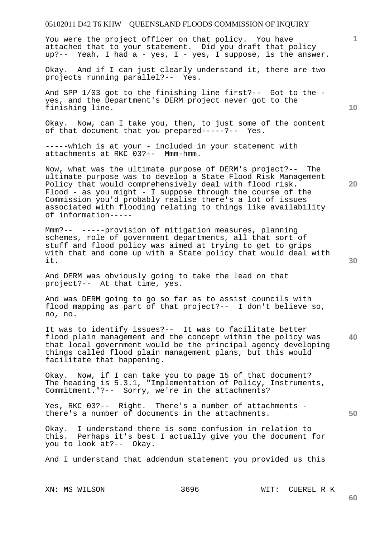You were the project officer on that policy. You have attached that to your statement. Did you draft that policy up?-- Yeah, I had a - yes, I - yes, I suppose, is the answer.

Okay. And if I can just clearly understand it, there are two projects running parallel?-- Yes.

And SPP 1/03 got to the finishing line first?-- Got to the yes, and the Department's DERM project never got to the finishing line.

Okay. Now, can I take you, then, to just some of the content of that document that you prepared-----?-- Yes.

-----which is at your - included in your statement with attachments at RKC 03?-- Mmm-hmm.

Now, what was the ultimate purpose of DERM's project?-- The ultimate purpose was to develop a State Flood Risk Management Policy that would comprehensively deal with flood risk. Flood - as you might - I suppose through the course of the Commission you'd probably realise there's a lot of issues associated with flooding relating to things like availability of information-----

Mmm?-- -----provision of mitigation measures, planning schemes, role of government departments, all that sort of stuff and flood policy was aimed at trying to get to grips with that and come up with a State policy that would deal with it.

And DERM was obviously going to take the lead on that project?-- At that time, yes.

And was DERM going to go so far as to assist councils with flood mapping as part of that project?-- I don't believe so, no, no.

**40**  It was to identify issues?-- It was to facilitate better flood plain management and the concept within the policy was that local government would be the principal agency developing things called flood plain management plans, but this would facilitate that happening.

Okay. Now, if I can take you to page 15 of that document? The heading is 5.3.1, "Implementation of Policy, Instruments, Commitment."?-- Sorry, we're in the attachments?

Yes, RKC 03?-- Right. There's a number of attachments there's a number of documents in the attachments.

Okay. I understand there is some confusion in relation to this. Perhaps it's best I actually give you the document for you to look at?-- Okay.

And I understand that addendum statement you provided us this

XN: MS WILSON 3696 WIT: CUEREL R K

**20** 

**50** 

**60**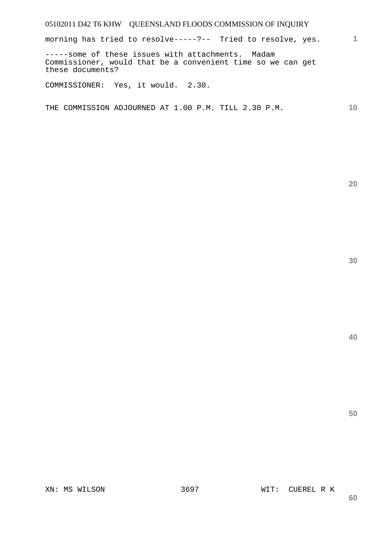**1** morning has tried to resolve-----?-- Tried to resolve, yes.

-----some of these issues with attachments. Madam Commissioner, would that be a convenient time so we can get these documents?

COMMISSIONER: Yes, it would. 2.30.

**10**  THE COMMISSION ADJOURNED AT 1.00 P.M. TILL 2.30 P.M.

**20** 

**30**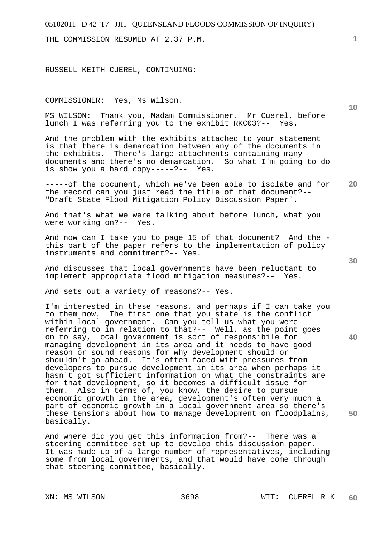THE COMMISSION RESUMED AT 2.37 P.M.

RUSSELL KEITH CUEREL, CONTINUING:

COMMISSIONER: Yes, Ms Wilson.

MS WILSON: Thank you, Madam Commissioner. Mr Cuerel, before lunch I was referring you to the exhibit RKC03?-- Yes.

And the problem with the exhibits attached to your statement is that there is demarcation between any of the documents in the exhibits. There's large attachments containing many documents and there's no demarcation. So what I'm going to do is show you a hard copy-----?-- Yes.

**20**  -----of the document, which we've been able to isolate and for the record can you just read the title of that document?-- "Draft State Flood Mitigation Policy Discussion Paper".

And that's what we were talking about before lunch, what you were working on?-- Yes.

And now can I take you to page 15 of that document? And the this part of the paper refers to the implementation of policy instruments and commitment?-- Yes.

And discusses that local governments have been reluctant to implement appropriate flood mitigation measures?-- Yes.

And sets out a variety of reasons?-- Yes.

I'm interested in these reasons, and perhaps if I can take you to them now. The first one that you state is the conflict within local government. Can you tell us what you were referring to in relation to that?-- Well, as the point goes on to say, local government is sort of responsibile for managing development in its area and it needs to have good reason or sound reasons for why development should or shouldn't go ahead. It's often faced with pressures from developers to pursue development in its area when perhaps it hasn't got sufficient information on what the constraints are for that development, so it becomes a difficult issue for them. Also in terms of, you know, the desire to pursue economic growth in the area, development's often very much a part of economic growth in a local government area so there's these tensions about how to manage development on floodplains, basically.

And where did you get this information from?-- There was a steering committee set up to develop this discussion paper. It was made up of a large number of representatives, including some from local governments, and that would have come through that steering committee, basically.

**1**

**10** 

**30** 

**40**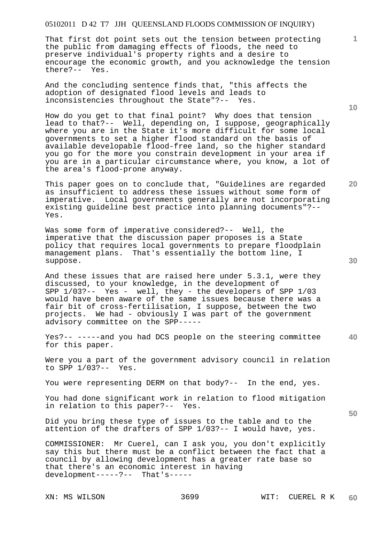That first dot point sets out the tension between protecting the public from damaging effects of floods, the need to preserve individual's property rights and a desire to encourage the economic growth, and you acknowledge the tension there?-- Yes.

And the concluding sentence finds that, "this affects the adoption of designated flood levels and leads to inconsistencies throughout the State"?-- Yes.

How do you get to that final point? Why does that tension lead to that?-- Well, depending on, I suppose, geographically where you are in the State it's more difficult for some local governments to set a higher flood standard on the basis of available developable flood-free land, so the higher standard you go for the more you constrain development in your area if you are in a particular circumstance where, you know, a lot of the area's flood-prone anyway.

This paper goes on to conclude that, "Guidelines are regarded as insufficient to address these issues without some form of imperative. Local governments generally are not incorporating existing guideline best practice into planning documents"?-- Yes.

Was some form of imperative considered?-- Well, the imperative that the discussion paper proposes is a State policy that requires local governments to prepare floodplain management plans. That's essentially the bottom line, I suppose.

And these issues that are raised here under 5.3.1, were they discussed, to your knowledge, in the development of SPP 1/03?-- Yes - well, they - the developers of SPP 1/03 would have been aware of the same issues because there was a fair bit of cross-fertilisation, I suppose, between the two projects. We had - obviously I was part of the government advisory committee on the SPP-----

**40**  Yes?-- -----and you had DCS people on the steering committee for this paper.

Were you a part of the government advisory council in relation to SPP 1/03?-- Yes.

You were representing DERM on that body?-- In the end, yes.

You had done significant work in relation to flood mitigation in relation to this paper?-- Yes.

Did you bring these type of issues to the table and to the attention of the drafters of SPP 1/03?-- I would have, yes.

COMMISSIONER: Mr Cuerel, can I ask you, you don't explicitly say this but there must be a conflict between the fact that a council by allowing development has a greater rate base so that there's an economic interest in having development-----?-- That's-----

**10** 

**1**

**30** 

**20**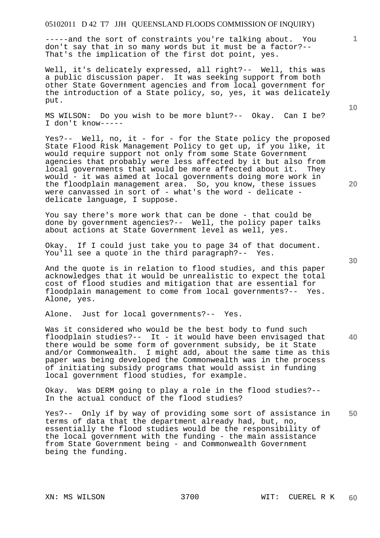-----and the sort of constraints you're talking about. You don't say that in so many words but it must be a factor?-- That's the implication of the first dot point, yes.

Well, it's delicately expressed, all right?-- Well, this was a public discussion paper. It was seeking support from both other State Government agencies and from local government for the introduction of a State policy, so, yes, it was delicately put.

MS WILSON: Do you wish to be more blunt?-- Okay. Can I be? I don't know-----

Yes?-- Well, no, it - for - for the State policy the proposed State Flood Risk Management Policy to get up, if you like, it would require support not only from some State Government agencies that probably were less affected by it but also from local governments that would be more affected about it. They would - it was aimed at local governments doing more work in the floodplain management area. So, you know, these issues were canvassed in sort of - what's the word - delicate delicate language, I suppose.

You say there's more work that can be done - that could be done by government agencies?-- Well, the policy paper talks about actions at State Government level as well, yes.

Okay. If I could just take you to page 34 of that document. You'll see a quote in the third paragraph?-- Yes.

And the quote is in relation to flood studies, and this paper acknowledges that it would be unrealistic to expect the total cost of flood studies and mitigation that are essential for floodplain management to come from local governments?-- Yes. Alone, yes.

Alone. Just for local governments?-- Yes.

**40**  Was it considered who would be the best body to fund such floodplain studies?-- It - it would have been envisaged that there would be some form of government subsidy, be it State and/or Commonwealth. I might add, about the same time as this paper was being developed the Commonwealth was in the process of initiating subsidy programs that would assist in funding local government flood studies, for example.

Okay. Was DERM going to play a role in the flood studies?-- In the actual conduct of the flood studies?

**50**  Yes?-- Only if by way of providing some sort of assistance in terms of data that the department already had, but, no, essentially the flood studies would be the responsibility of the local government with the funding - the main assistance from State Government being - and Commonwealth Government being the funding.

**20**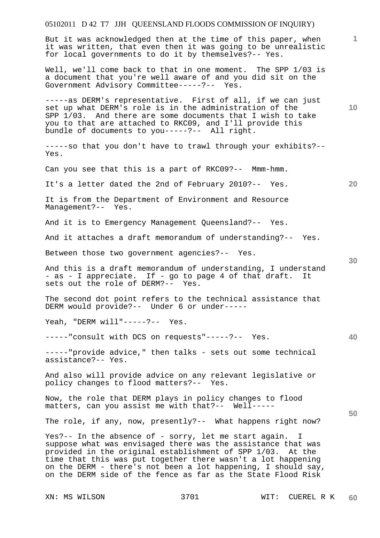## 05102011 D 42 T7 JJH QUEENSLAND FLOODS COMMISSION OF INQUIRY) XN: MS WILSON 3701 WIT: CUEREL R K **1 10 20 30 40 50**  But it was acknowledged then at the time of this paper, when it was written, that even then it was going to be unrealistic for local governments to do it by themselves?-- Yes. Well, we'll come back to that in one moment. The SPP 1/03 is a document that you're well aware of and you did sit on the Government Advisory Committee-----?-- Yes. -----as DERM's representative. First of all, if we can just set up what DERM's role is in the administration of the SPP 1/03. And there are some documents that I wish to take you to that are attached to RKC09, and I'll provide this bundle of documents to you-----?-- All right. -----so that you don't have to trawl through your exhibits?-- Yes. Can you see that this is a part of RKC09?-- Mmm-hmm. It's a letter dated the 2nd of February 2010?-- Yes. It is from the Department of Environment and Resource Management?-- Yes. And it is to Emergency Management Queensland?-- Yes. And it attaches a draft memorandum of understanding?-- Yes. Between those two government agencies?-- Yes. And this is a draft memorandum of understanding, I understand - as - I appreciate. If - go to page 4 of that draft. It sets out the role of DERM?-- Yes. The second dot point refers to the technical assistance that DERM would provide?-- Under 6 or under----- Yeah, "DERM will"-----?-- Yes. -----"consult with DCS on requests"-----?-- Yes. -----"provide advice," then talks - sets out some technical assistance?-- Yes. And also will provide advice on any relevant legislative or policy changes to flood matters?-- Yes. Now, the role that DERM plays in policy changes to flood matters, can you assist me with that?-- Well----- The role, if any, now, presently?-- What happens right now? Yes?-- In the absence of - sorry, let me start again. I suppose what was envisaged there was the assistance that was provided in the original establishment of SPP 1/03. At the time that this was put together there wasn't a lot happening on the DERM - there's not been a lot happening, I should say, on the DERM side of the fence as far as the State Flood Risk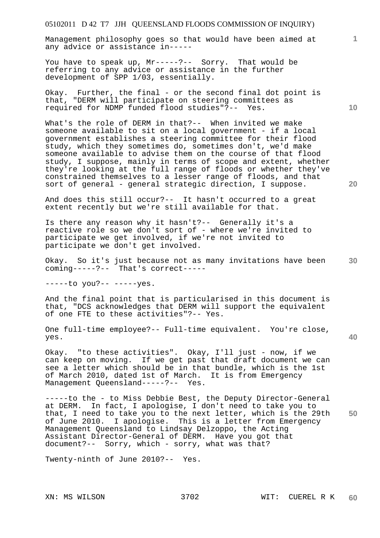Management philosophy goes so that would have been aimed at any advice or assistance in-----

You have to speak up, Mr-----?-- Sorry. That would be referring to any advice or assistance in the further development of SPP 1/03, essentially.

Okay. Further, the final - or the second final dot point is that, "DERM will participate on steering committees as required for NDMP funded flood studies"?-- Yes.

What's the role of DERM in that?-- When invited we make someone available to sit on a local government - if a local government establishes a steering committee for their flood study, which they sometimes do, sometimes don't, we'd make someone available to advise them on the course of that flood study, I suppose, mainly in terms of scope and extent, whether they're looking at the full range of floods or whether they've constrained themselves to a lesser range of floods, and that sort of general - general strategic direction, I suppose.

And does this still occur?-- It hasn't occurred to a great extent recently but we're still available for that.

Is there any reason why it hasn't?-- Generally it's a reactive role so we don't sort of - where we're invited to participate we get involved, if we're not invited to participate we don't get involved.

Okay. So it's just because not as many invitations have been coming-----?-- That's correct-----

-----to you?-- -----yes.

And the final point that is particularised in this document is that, "DCS acknowledges that DERM will support the equivalent of one FTE to these activities"?-- Yes.

One full-time employee?-- Full-time equivalent. You're close, yes.

Okay. "to these activities". Okay, I'll just - now, if we can keep on moving. If we get past that draft document we can see a letter which should be in that bundle, which is the 1st of March 2010, dated 1st of March. It is from Emergency Management Queensland-----?-- Yes.

**50**  -----to the - to Miss Debbie Best, the Deputy Director-General at DERM. In fact, I apologise, I don't need to take you to that, I need to take you to the next letter, which is the 29th of June 2010. I apologise. This is a letter from Emergency Management Queensland to Lindsay Delzoppo, the Acting Assistant Director-General of DERM. Have you got that document?-- Sorry, which - sorry, what was that?

Twenty-ninth of June 2010?-- Yes.

**10** 

**1**

**20**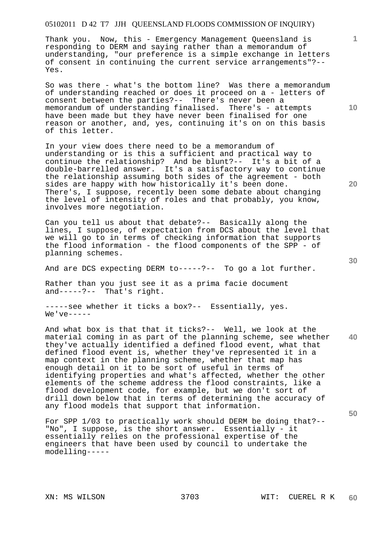Thank you. Now, this - Emergency Management Queensland is responding to DERM and saying rather than a memorandum of understanding, "our preference is a simple exchange in letters of consent in continuing the current service arrangements"?-- Yes.

So was there - what's the bottom line? Was there a memorandum of understanding reached or does it proceed on a - letters of consent between the parties?-- There's never been a memorandum of understanding finalised. There's - attempts have been made but they have never been finalised for one reason or another, and, yes, continuing it's on on this basis of this letter.

In your view does there need to be a memorandum of understanding or is this a sufficient and practical way to continue the relationship? And be blunt?-- It's a bit of a double-barrelled answer. It's a satisfactory way to continue the relationship assuming both sides of the agreement - both sides are happy with how historically it's been done. There's, I suppose, recently been some debate about changing the level of intensity of roles and that probably, you know, involves more negotiation.

Can you tell us about that debate?-- Basically along the lines, I suppose, of expectation from DCS about the level that we will go to in terms of checking information that supports the flood information - the flood components of the SPP - of planning schemes.

And are DCS expecting DERM to-----?-- To go a lot further.

Rather than you just see it as a prima facie document and-----?-- That's right.

-----see whether it ticks a box?-- Essentially, yes.  $We've---$ 

**40**  And what box is that that it ticks?-- Well, we look at the material coming in as part of the planning scheme, see whether they've actually identified a defined flood event, what that defined flood event is, whether they've represented it in a map context in the planning scheme, whether that map has enough detail on it to be sort of useful in terms of identifying properties and what's affected, whether the other elements of the scheme address the flood constraints, like a flood development code, for example, but we don't sort of drill down below that in terms of determining the accuracy of any flood models that support that information.

For SPP 1/03 to practically work should DERM be doing that?-- "No", I suppose, is the short answer. Essentially - it essentially relies on the professional expertise of the engineers that have been used by council to undertake the modelling-----

**10** 

**1**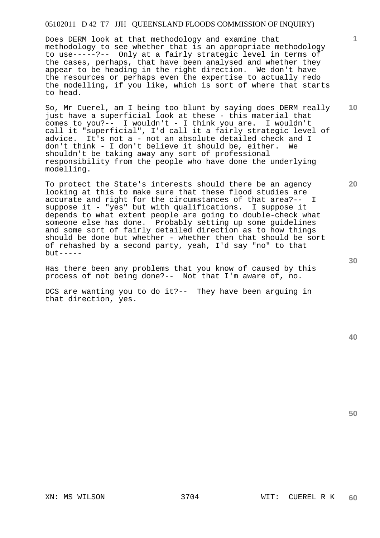Does DERM look at that methodology and examine that methodology to see whether that is an appropriate methodology to use-----?-- Only at a fairly strategic level in terms of the cases, perhaps, that have been analysed and whether they appear to be heading in the right direction. We don't have the resources or perhaps even the expertise to actually redo the modelling, if you like, which is sort of where that starts to head.

So, Mr Cuerel, am I being too blunt by saying does DERM really just have a superficial look at these - this material that comes to you?-- I wouldn't - I think you are. I wouldn't call it "superficial", I'd call it a fairly strategic level of advice. It's not a - not an absolute detailed check and I don't think - I don't believe it should be, either. We shouldn't be taking away any sort of professional responsibility from the people who have done the underlying modelling.

To protect the State's interests should there be an agency looking at this to make sure that these flood studies are<br>accurate and right for the circumstances of that area?-- I accurate and right for the circumstances of that area?-suppose it - "yes" but with qualifications. I suppose it depends to what extent people are going to double-check what someone else has done. Probably setting up some guidelines and some sort of fairly detailed direction as to how things should be done but whether - whether then that should be sort of rehashed by a second party, yeah, I'd say "no" to that  $but --- -$ 

Has there been any problems that you know of caused by this process of not being done?-- Not that I'm aware of, no.

DCS are wanting you to do it?-- They have been arguing in that direction, yes.

**50** 

**30** 

**1**

**20**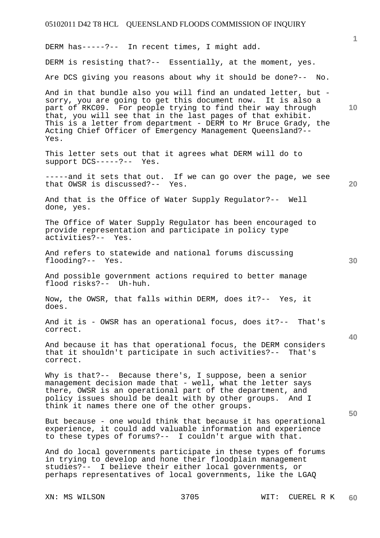**1 10 20 30 40 50**  DERM has-----?-- In recent times, I might add. DERM is resisting that?-- Essentially, at the moment, yes. Are DCS giving you reasons about why it should be done?-- No. And in that bundle also you will find an undated letter, but sorry, you are going to get this document now. It is also a part of RKC09. For people trying to find their way through that, you will see that in the last pages of that exhibit. This is a letter from department - DERM to Mr Bruce Grady, the Acting Chief Officer of Emergency Management Queensland?-- Yes. This letter sets out that it agrees what DERM will do to support DCS-----?-- Yes. -----and it sets that out. If we can go over the page, we see that OWSR is discussed?-- Yes. And that is the Office of Water Supply Regulator?-- Well done, yes. The Office of Water Supply Regulator has been encouraged to provide representation and participate in policy type activities?-- Yes. And refers to statewide and national forums discussing flooding?-- Yes. And possible government actions required to better manage flood risks?-- Uh-huh. Now, the OWSR, that falls within DERM, does it?-- Yes, it does. And it is - OWSR has an operational focus, does it?-- That's correct. And because it has that operational focus, the DERM considers that it shouldn't participate in such activities?-- That's correct. Why is that?-- Because there's, I suppose, been a senior management decision made that - well, what the letter says there, OWSR is an operational part of the department, and policy issues should be dealt with by other groups. And I think it names there one of the other groups. But because - one would think that because it has operational experience, it could add valuable information and experience to these types of forums?-- I couldn't argue with that. And do local governments participate in these types of forums in trying to develop and hone their floodplain management studies?-- I believe their either local governments, or perhaps representatives of local governments, like the LGAQ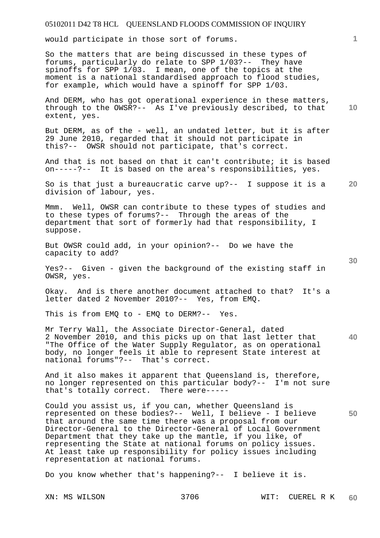would participate in those sort of forums.

So the matters that are being discussed in these types of forums, particularly do relate to SPP 1/03?-- They have spinoffs for SPP 1/03. I mean, one of the topics at the moment is a national standardised approach to flood studies, for example, which would have a spinoff for SPP 1/03.

**10**  And DERM, who has got operational experience in these matters, through to the OWSR?-- As I've previously described, to that extent, yes.

But DERM, as of the - well, an undated letter, but it is after 29 June 2010, regarded that it should not participate in this?-- OWSR should not participate, that's correct.

And that is not based on that it can't contribute; it is based on-----?-- It is based on the area's responsibilities, yes.

**20**  So is that just a bureaucratic carve up?-- I suppose it is a division of labour, yes.

Mmm. Well, OWSR can contribute to these types of studies and to these types of forums?-- Through the areas of the department that sort of formerly had that responsibility, I suppose.

But OWSR could add, in your opinion?-- Do we have the capacity to add?

Yes?-- Given - given the background of the existing staff in OWSR, yes.

Okay. And is there another document attached to that? It's a letter dated 2 November 2010?-- Yes, from EMQ.

This is from EMQ to - EMQ to DERM?-- Yes.

**40**  Mr Terry Wall, the Associate Director-General, dated 2 November 2010, and this picks up on that last letter that "The Office of the Water Supply Regulator, as on operational body, no longer feels it able to represent State interest at national forums"?-- That's correct.

And it also makes it apparent that Queensland is, therefore, no longer represented on this particular body?-- I'm not sure that's totally correct. There were-----

**50**  Could you assist us, if you can, whether Queensland is represented on these bodies?-- Well, I believe - I believe that around the same time there was a proposal from our Director-General to the Director-General of Local Government Department that they take up the mantle, if you like, of representing the State at national forums on policy issues. At least take up responsibility for policy issues including representation at national forums.

Do you know whether that's happening?-- I believe it is.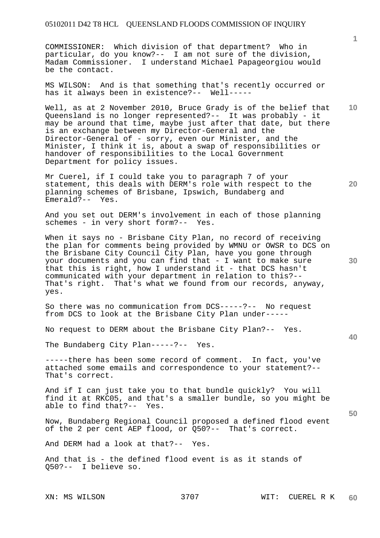COMMISSIONER: Which division of that department? Who in particular, do you know?-- I am not sure of the division, Madam Commissioner. I understand Michael Papageorgiou would be the contact.

MS WILSON: And is that something that's recently occurred or has it always been in existence?-- Well-----

**10**  Well, as at 2 November 2010, Bruce Grady is of the belief that Queensland is no longer represented?-- It was probably - it may be around that time, maybe just after that date, but there is an exchange between my Director-General and the Director-General of - sorry, even our Minister, and the Minister, I think it is, about a swap of responsibilities or handover of responsibilities to the Local Government Department for policy issues.

Mr Cuerel, if I could take you to paragraph 7 of your statement, this deals with DERM's role with respect to the planning schemes of Brisbane, Ipswich, Bundaberg and Emerald?-- Yes.

And you set out DERM's involvement in each of those planning schemes - in very short form?-- Yes.

When it says no - Brisbane City Plan, no record of receiving the plan for comments being provided by WMNU or OWSR to DCS on the Brisbane City Council City Plan, have you gone through your documents and you can find that - I want to make sure that this is right, how I understand it - that DCS hasn't communicated with your department in relation to this?-- That's right. That's what we found from our records, anyway, yes.

So there was no communication from DCS-----?-- No request from DCS to look at the Brisbane City Plan under-----

No request to DERM about the Brisbane City Plan?-- Yes.

The Bundaberg City Plan-----?-- Yes.

-----there has been some record of comment. In fact, you've attached some emails and correspondence to your statement?-- That's correct.

And if I can just take you to that bundle quickly? You will find it at RKC05, and that's a smaller bundle, so you might be able to find that?-- Yes.

Now, Bundaberg Regional Council proposed a defined flood event of the 2 per cent AEP flood, or Q50?-- That's correct.

And DERM had a look at that?-- Yes.

And that is - the defined flood event is as it stands of Q50?-- I believe so.

**20** 

**40** 

**50**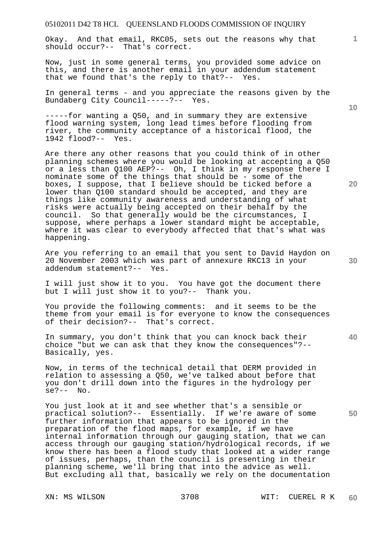Okay. And that email, RKC05, sets out the reasons why that should occur?-- That's correct.

Now, just in some general terms, you provided some advice on this, and there is another email in your addendum statement that we found that's the reply to that?-- Yes.

In general terms - and you appreciate the reasons given by the Bundaberg City Council-----?-- Yes.

-----for wanting a Q50, and in summary they are extensive flood warning system, long lead times before flooding from river, the community acceptance of a historical flood, the 1942 flood?-- Yes.

Are there any other reasons that you could think of in other planning schemes where you would be looking at accepting a Q50 or a less than Q100 AEP?-- Oh, I think in my response there I nominate some of the things that should be - some of the boxes, I suppose, that I believe should be ticked before a lower than Q100 standard should be accepted, and they are things like community awareness and understanding of what risks were actually being accepted on their behalf by the council. So that generally would be the circumstances, I suppose, where perhaps a lower standard might be acceptable, where it was clear to everybody affected that that's what was happening.

Are you referring to an email that you sent to David Haydon on 20 November 2003 which was part of annexure RKC13 in your addendum statement?-- Yes.

I will just show it to you. You have got the document there but I will just show it to you?-- Thank you.

You provide the following comments: and it seems to be the theme from your email is for everyone to know the consequences of their decision?-- That's correct.

In summary, you don't think that you can knock back their choice "but we can ask that they know the consequences"?-- Basically, yes.

Now, in terms of the technical detail that DERM provided in relation to assessing a Q50, we've talked about before that you don't drill down into the figures in the hydrology per  $se?--$  No.

You just look at it and see whether that's a sensible or practical solution?-- Essentially. If we're aware of some further information that appears to be ignored in the preparation of the flood maps, for example, if we have internal information through our gauging station, that we can access through our gauging station/hydrological records, if we know there has been a flood study that looked at a wider range of issues, perhaps, than the council is presenting in their planning scheme, we'll bring that into the advice as well. But excluding all that, basically we rely on the documentation

**10** 

**20** 

**1**

**40** 

**50**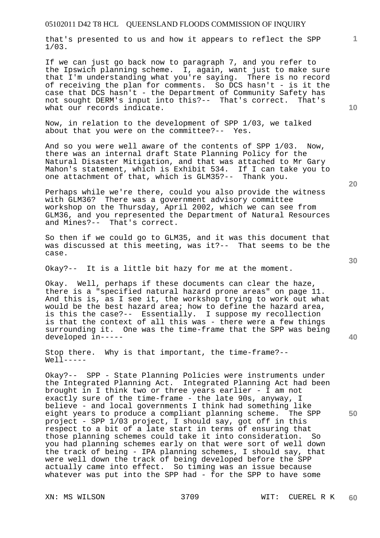that's presented to us and how it appears to reflect the SPP 1/03.

If we can just go back now to paragraph 7, and you refer to the Ipswich planning scheme. I, again, want just to make sure that I'm understanding what you're saying. There is no record of receiving the plan for comments. So DCS hasn't - is it the case that DCS hasn't - the Department of Community Safety has not sought DERM's input into this?-- That's correct. That's what our records indicate.

Now, in relation to the development of SPP 1/03, we talked about that you were on the committee?-- Yes.

And so you were well aware of the contents of SPP 1/03. Now, there was an internal draft State Planning Policy for the Natural Disaster Mitigation, and that was attached to Mr Gary Mahon's statement, which is Exhibit 534. If I can take you to one attachment of that, which is GLM35?-- Thank you.

Perhaps while we're there, could you also provide the witness with GLM36? There was a government advisory committee workshop on the Thursday, April 2002, which we can see from GLM36, and you represented the Department of Natural Resources and Mines?-- That's correct.

So then if we could go to GLM35, and it was this document that was discussed at this meeting, was it?-- That seems to be the case.

Okay?-- It is a little bit hazy for me at the moment.

Okay. Well, perhaps if these documents can clear the haze, there is a "specified natural hazard prone areas" on page 11. And this is, as I see it, the workshop trying to work out what would be the best hazard area; how to define the hazard area, is this the case?-- Essentially. I suppose my recollection is that the context of all this was - there were a few things surrounding it. One was the time-frame that the SPP was being developed in-----

Stop there. Why is that important, the time-frame?-- Well-----

Okay?-- SPP - State Planning Policies were instruments under the Integrated Planning Act. Integrated Planning Act had been brought in I think two or three years earlier - I am not exactly sure of the time-frame - the late 90s, anyway, I believe - and local governments I think had something like eight years to produce a compliant planning scheme. The SPP project - SPP 1/03 project, I should say, got off in this respect to a bit of a late start in terms of ensuring that those planning schemes could take it into consideration. So you had planning schemes early on that were sort of well down the track of being - IPA planning schemes, I should say, that were well down the track of being developed before the SPP actually came into effect. So timing was an issue because whatever was put into the SPP had - for the SPP to have some

**1**

**30** 

**20**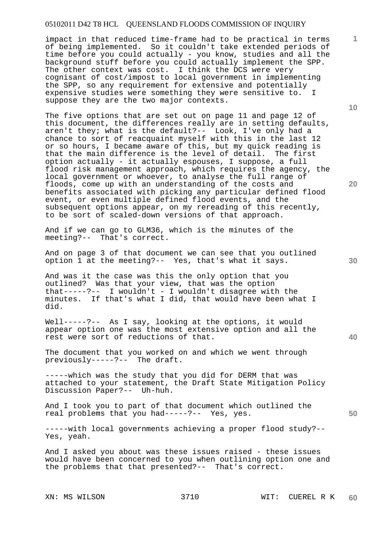impact in that reduced time-frame had to be practical in terms of being implemented. So it couldn't take extended periods of time before you could actually - you know, studies and all the background stuff before you could actually implement the SPP. The other context was cost. I think the DCS were very cognisant of cost/impost to local government in implementing the SPP, so any requirement for extensive and potentially expensive studies were something they were sensitive to. suppose they are the two major contexts.

The five options that are set out on page 11 and page 12 of this document, the differences really are in setting defaults, aren't they; what is the default?-- Look, I've only had a chance to sort of reacquaint myself with this in the last 12 or so hours, I became aware of this, but my quick reading is that the main difference is the level of detail. The first option actually - it actually espouses, I suppose, a full flood risk management approach, which requires the agency, the local government or whoever, to analyse the full range of floods, come up with an understanding of the costs and benefits associated with picking any particular defined flood event, or even multiple defined flood events, and the subsequent options appear, on my rereading of this recently, to be sort of scaled-down versions of that approach.

And if we can go to GLM36, which is the minutes of the meeting?-- That's correct.

And on page 3 of that document we can see that you outlined option 1 at the meeting?-- Yes, that's what it says.

And was it the case was this the only option that you outlined? Was that your view, that was the option that-----?-- I wouldn't - I wouldn't disagree with the minutes. If that's what I did, that would have been what I did.

Well-----?-- As I say, looking at the options, it would appear option one was the most extensive option and all the rest were sort of reductions of that.

The document that you worked on and which we went through previously-----?-- The draft.

-----which was the study that you did for DERM that was attached to your statement, the Draft State Mitigation Policy Discussion Paper?-- Uh-huh.

And I took you to part of that document which outlined the real problems that you had-----?-- Yes, yes.

-----with local governments achieving a proper flood study?-- Yes, yeah.

And I asked you about was these issues raised - these issues would have been concerned to you when outlining option one and the problems that that presented?-- That's correct.

**10** 

**1**

**30**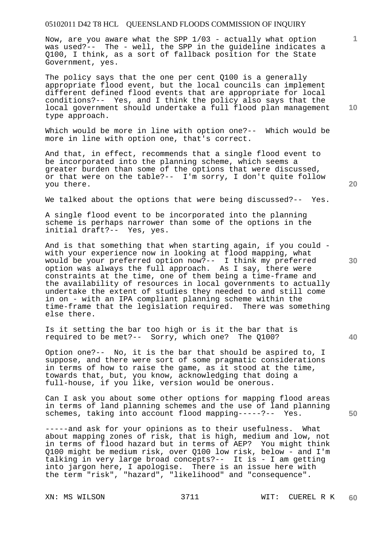Now, are you aware what the SPP 1/03 - actually what option was used?-- The - well, the SPP in the guideline indicates a Q100, I think, as a sort of fallback position for the State Government, yes.

The policy says that the one per cent Q100 is a generally appropriate flood event, but the local councils can implement different defined flood events that are appropriate for local conditions?-- Yes, and I think the policy also says that the local government should undertake a full flood plan management type approach.

Which would be more in line with option one?-- Which would be more in line with option one, that's correct.

And that, in effect, recommends that a single flood event to be incorporated into the planning scheme, which seems a greater burden than some of the options that were discussed, or that were on the table?-- I'm sorry, I don't quite follow you there.

We talked about the options that were being discussed?-- Yes.

A single flood event to be incorporated into the planning scheme is perhaps narrower than some of the options in the initial draft?-- Yes, yes.

And is that something that when starting again, if you could with your experience now in looking at flood mapping, what would be your preferred option now?-- I think my preferred option was always the full approach. As I say, there were constraints at the time, one of them being a time-frame and the availability of resources in local governments to actually undertake the extent of studies they needed to and still come in on - with an IPA compliant planning scheme within the time-frame that the legislation required. There was something else there.

Is it setting the bar too high or is it the bar that is required to be met?-- Sorry, which one? The Q100?

Option one?-- No, it is the bar that should be aspired to, I suppose, and there were sort of some pragmatic considerations in terms of how to raise the game, as it stood at the time, towards that, but, you know, acknowledging that doing a full-house, if you like, version would be onerous.

Can I ask you about some other options for mapping flood areas in terms of land planning schemes and the use of land planning schemes, taking into account flood mapping-----?-- Yes.

-----and ask for your opinions as to their usefulness. What about mapping zones of risk, that is high, medium and low, not in terms of flood hazard but in terms of AEP? You might think Q100 might be medium risk, over Q100 low risk, below - and I'm talking in very large broad concepts?-- It is - I am getting into jargon here, I apologise. There is an issue here with the term "risk", "hazard", "likelihood" and "consequence".

**10** 

**1**

**20** 

**40** 

**50**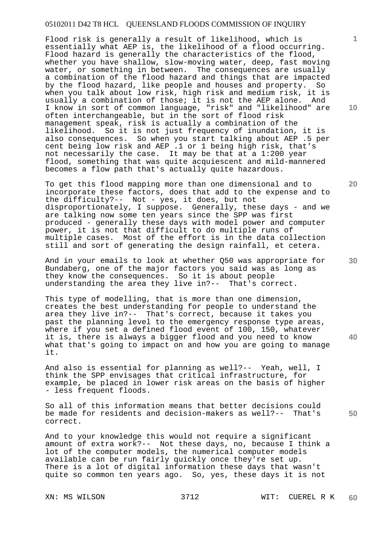Flood risk is generally a result of likelihood, which is essentially what AEP is, the likelihood of a flood occurring. Flood hazard is generally the characteristics of the flood, whether you have shallow, slow-moving water, deep, fast moving water, or something in between. The consequences are usually a combination of the flood hazard and things that are impacted by the flood hazard, like people and houses and property. So when you talk about low risk, high risk and medium risk, it is usually a combination of those; it is not the AEP alone. And I know in sort of common language, "risk" and "likelihood" are often interchangeable, but in the sort of flood risk management speak, risk is actually a combination of the likelihood. So it is not just frequency of inundation, it is also consequences. So when you start talking about AEP .5 per cent being low risk and AEP .1 or 1 being high risk, that's not necessarily the case. It may be that at a 1:200 year flood, something that was quite acquiescent and mild-mannered becomes a flow path that's actually quite hazardous.

To get this flood mapping more than one dimensional and to incorporate these factors, does that add to the expense and to the difficulty?-- Not - yes, it does, but not disproportionately, I suppose. Generally, these days - and we are talking now some ten years since the SPP was first produced - generally these days with model power and computer power, it is not that difficult to do multiple runs of multiple cases. Most of the effort is in the data collection still and sort of generating the design rainfall, et cetera.

And in your emails to look at whether Q50 was appropriate for Bundaberg, one of the major factors you said was as long as they know the consequences. So it is about people understanding the area they live in?-- That's correct.

This type of modelling, that is more than one dimension, creates the best understanding for people to understand the area they live in?-- That's correct, because it takes you past the planning level to the emergency response type areas, where if you set a defined flood event of 100, 150, whatever it is, there is always a bigger flood and you need to know what that's going to impact on and how you are going to manage it.

And also is essential for planning as well?-- Yeah, well, I think the SPP envisages that critical infrastructure, for example, be placed in lower risk areas on the basis of higher - less frequent floods.

So all of this information means that better decisions could be made for residents and decision-makers as well?-- That's correct.

And to your knowledge this would not require a significant amount of extra work?-- Not these days, no, because I think a lot of the computer models, the numerical computer models available can be run fairly quickly once they're set up. There is a lot of digital information these days that wasn't quite so common ten years ago. So, yes, these days it is not

**10** 

**1**

**20** 

**40**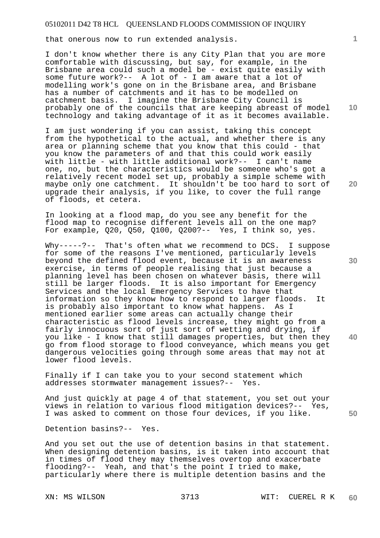that onerous now to run extended analysis.

I don't know whether there is any City Plan that you are more comfortable with discussing, but say, for example, in the Brisbane area could such a model be - exist quite easily with some future work?-- A lot of - I am aware that a lot of modelling work's gone on in the Brisbane area, and Brisbane has a number of catchments and it has to be modelled on catchment basis. I imagine the Brisbane City Council is probably one of the councils that are keeping abreast of model technology and taking advantage of it as it becomes available.

I am just wondering if you can assist, taking this concept from the hypothetical to the actual, and whether there is any area or planning scheme that you know that this could - that you know the parameters of and that this could work easily with little - with little additional work?-- I can't name one, no, but the characteristics would be someone who's got a relatively recent model set up, probably a simple scheme with maybe only one catchment. It shouldn't be too hard to sort of upgrade their analysis, if you like, to cover the full range of floods, et cetera.

In looking at a flood map, do you see any benefit for the flood map to recognise different levels all on the one map? For example, Q20, Q50, Q100, Q200?-- Yes, I think so, yes.

Why-----?-- That's often what we recommend to DCS. I suppose for some of the reasons I've mentioned, particularly levels beyond the defined flood event, because it is an awareness exercise, in terms of people realising that just because a planning level has been chosen on whatever basis, there will still be larger floods. It is also important for Emergency Services and the local Emergency Services to have that information so they know how to respond to larger floods. It is probably also important to know what happens. As I mentioned earlier some areas can actually change their characteristic as flood levels increase, they might go from a fairly innocuous sort of just sort of wetting and drying, if you like - I know that still damages properties, but then they go from flood storage to flood conveyance, which means you get dangerous velocities going through some areas that may not at lower flood levels.

Finally if I can take you to your second statement which addresses stormwater management issues?-- Yes.

And just quickly at page 4 of that statement, you set out your views in relation to various flood mitigation devices?-- Yes, I was asked to comment on those four devices, if you like.

Detention basins?-- Yes.

And you set out the use of detention basins in that statement. When designing detention basins, is it taken into account that in times of flood they may themselves overtop and exacerbate flooding?-- Yeah, and that's the point I tried to make, particularly where there is multiple detention basins and the

**10** 

**1**

**20** 

**30** 

**40**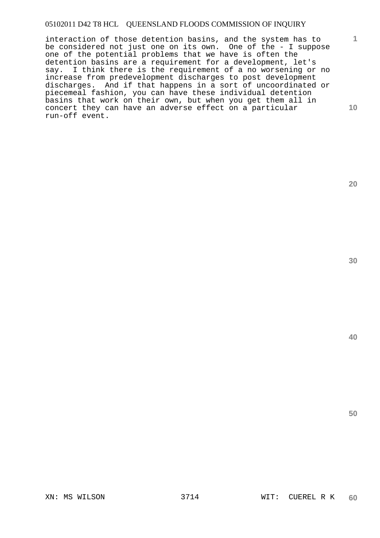interaction of those detention basins, and the system has to be considered not just one on its own. One of the - I suppose one of the potential problems that we have is often the detention basins are a requirement for a development, let's say. I think there is the requirement of a no worsening or no increase from predevelopment discharges to post development discharges. And if that happens in a sort of uncoordinated or piecemeal fashion, you can have these individual detention basins that work on their own, but when you get them all in concert they can have an adverse effect on a particular run-off event.

**20** 

**1**

**10**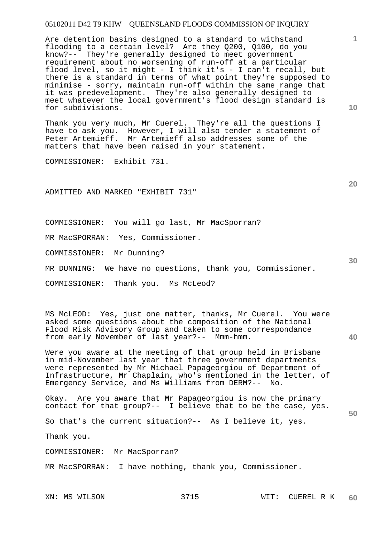Are detention basins designed to a standard to withstand flooding to a certain level? Are they Q200, Q100, do you know?-- They're generally designed to meet government requirement about no worsening of run-off at a particular flood level, so it might - I think it's - I can't recall, but there is a standard in terms of what point they're supposed to minimise - sorry, maintain run-off within the same range that it was predevelopment. They're also generally designed to meet whatever the local government's flood design standard is for subdivisions.

Thank you very much, Mr Cuerel. They're all the questions I have to ask you. However, I will also tender a statement of Peter Artemieff. Mr Artemieff also addresses some of the matters that have been raised in your statement.

COMMISSIONER: Exhibit 731.

ADMITTED AND MARKED "EXHIBIT 731"

COMMISSIONER: You will go last, Mr MacSporran?

MR MacSPORRAN: Yes, Commissioner.

COMMISSIONER: Mr Dunning?

MR DUNNING: We have no questions, thank you, Commissioner.

COMMISSIONER: Thank you. Ms McLeod?

MS McLEOD: Yes, just one matter, thanks, Mr Cuerel. You were asked some questions about the composition of the National Flood Risk Advisory Group and taken to some correspondance from early November of last year?-- Mmm-hmm.

Were you aware at the meeting of that group held in Brisbane in mid-November last year that three government departments were represented by Mr Michael Papageorgiou of Department of Infrastructure, Mr Chaplain, who's mentioned in the letter, of Emergency Service, and Ms Williams from DERM?-- No.

**50**  Okay. Are you aware that Mr Papageorgiou is now the primary contact for that group?-- I believe that to be the case, yes.

So that's the current situation?-- As I believe it, yes.

Thank you.

COMMISSIONER: Mr MacSporran?

MR MacSPORRAN: I have nothing, thank you, Commissioner.

**1**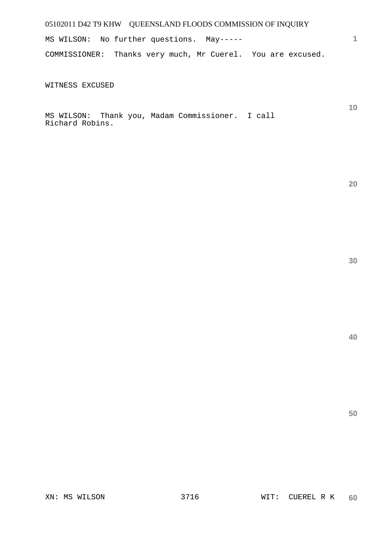MS WILSON: No further questions. May----- COMMISSIONER: Thanks very much, Mr Cuerel. You are excused.

WITNESS EXCUSED

MS WILSON: Thank you, Madam Commissioner. I call Richard Robins.

**30** 

**1**

**10** 

**20** 

**40**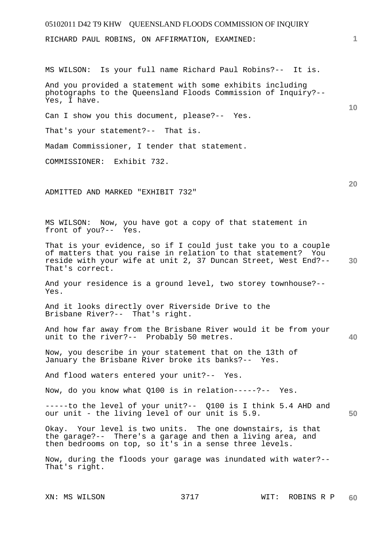# 05102011 D42 T9 KHW QUEENSLAND FLOODS COMMISSION OF INQUIRY **1 10 20 30 40 50**  RICHARD PAUL ROBINS, ON AFFIRMATION, EXAMINED: MS WILSON: Is your full name Richard Paul Robins?-- It is. And you provided a statement with some exhibits including photographs to the Queensland Floods Commission of Inquiry?-- Yes, I have. Can I show you this document, please?-- Yes. That's your statement?-- That is. Madam Commissioner, I tender that statement. COMMISSIONER: Exhibit 732. ADMITTED AND MARKED "EXHIBIT 732" MS WILSON: Now, you have got a copy of that statement in front of you?-- Yes. That is your evidence, so if I could just take you to a couple of matters that you raise in relation to that statement? You reside with your wife at unit 2, 37 Duncan Street, West End?-- That's correct. And your residence is a ground level, two storey townhouse?-- Yes. And it looks directly over Riverside Drive to the Brisbane River?-- That's right. And how far away from the Brisbane River would it be from your unit to the river?-- Probably 50 metres. Now, you describe in your statement that on the 13th of January the Brisbane River broke its banks?-- Yes. And flood waters entered your unit?-- Yes. Now, do you know what Q100 is in relation-----?-- Yes. -----to the level of your unit?-- Q100 is I think 5.4 AHD and our unit - the living level of our unit is 5.9. Okay. Your level is two units. The one downstairs, is that the garage?-- There's a garage and then a living area, and then bedrooms on top, so it's in a sense three levels.

Now, during the floods your garage was inundated with water?-- That's right.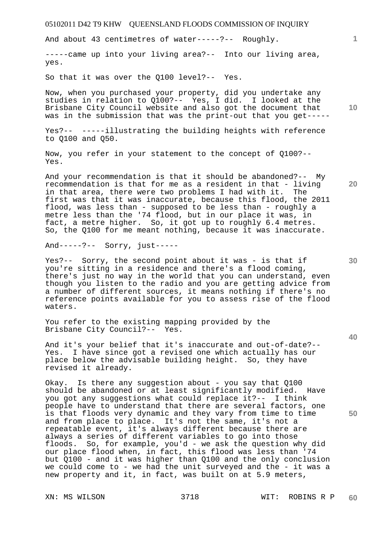And about 43 centimetres of water-----?-- Roughly.

-----came up into your living area?-- Into our living area, yes.

So that it was over the Q100 level?-- Yes.

Now, when you purchased your property, did you undertake any studies in relation to Q100?-- Yes, I did. I looked at the Brisbane City Council website and also got the document that was in the submission that was the print-out that you get-----

Yes?-- -----illustrating the building heights with reference to Q100 and Q50.

Now, you refer in your statement to the concept of Q100?-- Yes.

And your recommendation is that it should be abandoned?-- My recommendation is that for me as a resident in that - living in that area, there were two problems I had with it. The first was that it was inaccurate, because this flood, the 2011 flood, was less than - supposed to be less than - roughly a metre less than the '74 flood, but in our place it was, in fact, a metre higher. So, it got up to roughly 6.4 metres. So, the Q100 for me meant nothing, because it was inaccurate.

And-----?-- Sorry, just-----

Yes?-- Sorry, the second point about it was - is that if you're sitting in a residence and there's a flood coming, there's just no way in the world that you can understand, even though you listen to the radio and you are getting advice from a number of different sources, it means nothing if there's no reference points available for you to assess rise of the flood waters.

You refer to the existing mapping provided by the Brisbane City Council?-- Yes.

And it's your belief that it's inaccurate and out-of-date?-- Yes. I have since got a revised one which actually has our place below the advisable building height. So, they have revised it already.

Okay. Is there any suggestion about - you say that Q100 should be abandoned or at least significantly modified. Have you got any suggestions what could replace it?-- I think people have to understand that there are several factors, one is that floods very dynamic and they vary from time to time and from place to place. It's not the same, it's not a repeatable event, it's always different because there are always a series of different variables to go into those floods. So, for example, you'd - we ask the question why did our place flood when, in fact, this flood was less than '74 but Q100 - and it was higher than Q100 and the only conclusion we could come to - we had the unit surveyed and the - it was a new property and it, in fact, was built on at 5.9 meters,

**10** 

**1**

**20** 

**30** 

**40**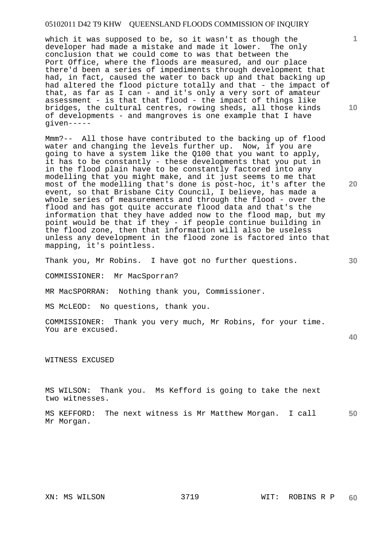which it was supposed to be, so it wasn't as though the developer had made a mistake and made it lower. The only conclusion that we could come to was that between the Port Office, where the floods are measured, and our place there'd been a series of impediments through development that had, in fact, caused the water to back up and that backing up had altered the flood picture totally and that - the impact of that, as far as I can - and it's only a very sort of amateur assessment - is that that flood - the impact of things like bridges, the cultural centres, rowing sheds, all those kinds of developments - and mangroves is one example that I have given-----

Mmm?-- All those have contributed to the backing up of flood water and changing the levels further up. Now, if you are going to have a system like the Q100 that you want to apply, it has to be constantly - these developments that you put in in the flood plain have to be constantly factored into any modelling that you might make, and it just seems to me that most of the modelling that's done is post-hoc, it's after the event, so that Brisbane City Council, I believe, has made a whole series of measurements and through the flood - over the flood and has got quite accurate flood data and that's the information that they have added now to the flood map, but my point would be that if they - if people continue building in the flood zone, then that information will also be useless unless any development in the flood zone is factored into that mapping, it's pointless.

Thank you, Mr Robins. I have got no further questions.

COMMISSIONER: Mr MacSporran?

MR MacSPORRAN: Nothing thank you, Commissioner.

MS McLEOD: No questions, thank you.

COMMISSIONER: Thank you very much, Mr Robins, for your time. You are excused.

**40** 

WITNESS EXCUSED

MS WILSON: Thank you. Ms Kefford is going to take the next two witnesses.

**50**  MS KEFFORD: The next witness is Mr Matthew Morgan. I call Mr Morgan.

**10** 

**1**

**20**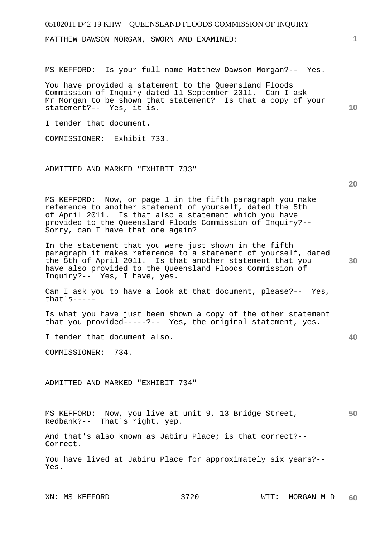MATTHEW DAWSON MORGAN, SWORN AND EXAMINED:

MS KEFFORD: Is your full name Matthew Dawson Morgan?-- Yes.

You have provided a statement to the Queensland Floods Commission of Inquiry dated 11 September 2011. Can I ask Mr Morgan to be shown that statement? Is that a copy of your statement?-- Yes, it is.

I tender that document.

COMMISSIONER: Exhibit 733.

ADMITTED AND MARKED "EXHIBIT 733"

**20** 

**30** 

**40** 

**10** 

**1**

MS KEFFORD: Now, on page 1 in the fifth paragraph you make reference to another statement of yourself, dated the 5th of April 2011. Is that also a statement which you have provided to the Queensland Floods Commission of Inquiry?-- Sorry, can I have that one again?

In the statement that you were just shown in the fifth paragraph it makes reference to a statement of yourself, dated the 5th of April 2011. Is that another statement that you have also provided to the Queensland Floods Commission of Inquiry?-- Yes, I have, yes.

Can I ask you to have a look at that document, please?-- Yes, that's-----

Is what you have just been shown a copy of the other statement that you provided-----?-- Yes, the original statement, yes.

I tender that document also.

COMMISSIONER: 734.

ADMITTED AND MARKED "EXHIBIT 734"

**50**  MS KEFFORD: Now, you live at unit 9, 13 Bridge Street, Redbank?-- That's right, yep.

And that's also known as Jabiru Place; is that correct?-- Correct.

You have lived at Jabiru Place for approximately six years?-- Yes.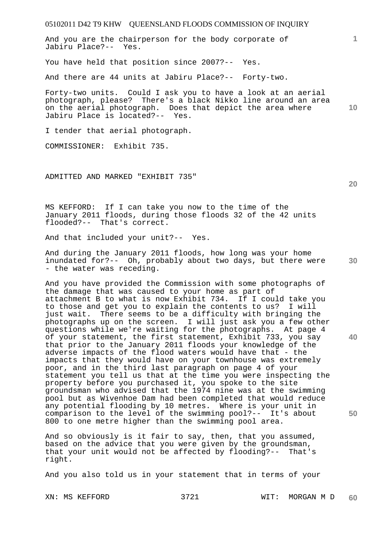05102011 D42 T9 KHW QUEENSLAND FLOODS COMMISSION OF INQUIRY **1 10**  And you are the chairperson for the body corporate of Jabiru Place?-- Yes. You have held that position since 2007?-- Yes. And there are 44 units at Jabiru Place?-- Forty-two. Forty-two units. Could I ask you to have a look at an aerial photograph, please? There's a black Nikko line around an area on the aerial photograph. Does that depict the area where Jabiru Place is located?-- Yes. I tender that aerial photograph. COMMISSIONER: Exhibit 735. ADMITTED AND MARKED "EXHIBIT 735"

MS KEFFORD: If I can take you now to the time of the January 2011 floods, during those floods 32 of the 42 units flooded?-- That's correct.

And that included your unit?-- Yes.

**30**  And during the January 2011 floods, how long was your home inundated for?-- Oh, probably about two days, but there were - the water was receding.

And you have provided the Commission with some photographs of the damage that was caused to your home as part of attachment B to what is now Exhibit 734. If I could take you to those and get you to explain the contents to us? I will just wait. There seems to be a difficulty with bringing the photographs up on the screen. I will just ask you a few other questions while we're waiting for the photographs. At page 4 of your statement, the first statement, Exhibit 733, you say that prior to the January 2011 floods your knowledge of the adverse impacts of the flood waters would have that - the impacts that they would have on your townhouse was extremely poor, and in the third last paragraph on page 4 of your statement you tell us that at the time you were inspecting the property before you purchased it, you spoke to the site groundsman who advised that the 1974 nine was at the swimming pool but as Wivenhoe Dam had been completed that would reduce any potential flooding by 10 metres. Where is your unit in comparison to the level of the swimming pool?-- It's about 800 to one metre higher than the swimming pool area.

And so obviously is it fair to say, then, that you assumed, based on the advice that you were given by the groundsman, that your unit would not be affected by flooding?-- That's right.

And you also told us in your statement that in terms of your

**20** 

**40**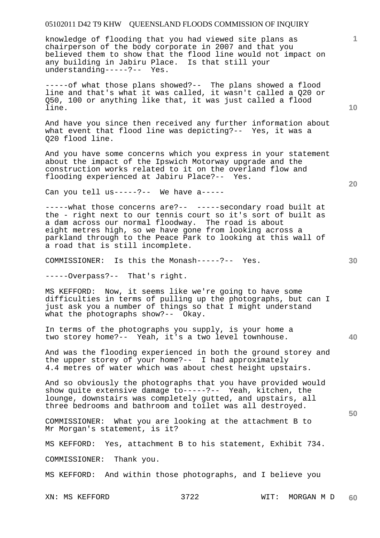knowledge of flooding that you had viewed site plans as chairperson of the body corporate in 2007 and that you believed them to show that the flood line would not impact on any building in Jabiru Place. Is that still your understanding-----?-- Yes.

-----of what those plans showed?-- The plans showed a flood line and that's what it was called, it wasn't called a Q20 or Q50, 100 or anything like that, it was just called a flood line.

And have you since then received any further information about what event that flood line was depicting?-- Yes, it was a Q20 flood line.

And you have some concerns which you express in your statement about the impact of the Ipswich Motorway upgrade and the construction works related to it on the overland flow and flooding experienced at Jabiru Place?-- Yes.

Can you tell us-----?-- We have a-----

-----what those concerns are?-- -----secondary road built at the - right next to our tennis court so it's sort of built as a dam across our normal floodway. The road is about eight metres high, so we have gone from looking across a parkland through to the Peace Park to looking at this wall of a road that is still incomplete.

COMMISSIONER: Is this the Monash-----?-- Yes.

-----Overpass?-- That's right.

MS KEFFORD: Now, it seems like we're going to have some difficulties in terms of pulling up the photographs, but can I just ask you a number of things so that I might understand what the photographs show?-- Okay.

In terms of the photographs you supply, is your home a two storey home?-- Yeah, it's a two level townhouse.

And was the flooding experienced in both the ground storey and the upper storey of your home?-- I had approximately 4.4 metres of water which was about chest height upstairs.

And so obviously the photographs that you have provided would show quite extensive damage to-----?-- Yeah, kitchen, the lounge, downstairs was completely gutted, and upstairs, all three bedrooms and bathroom and toilet was all destroyed.

COMMISSIONER: What you are looking at the attachment B to Mr Morgan's statement, is it?

MS KEFFORD: Yes, attachment B to his statement, Exhibit 734.

COMMISSIONER: Thank you.

MS KEFFORD: And within those photographs, and I believe you

XN: MS KEFFORD 3722 WIT: MORGAN M D **60** 

**10** 

**1**

**20** 

**40**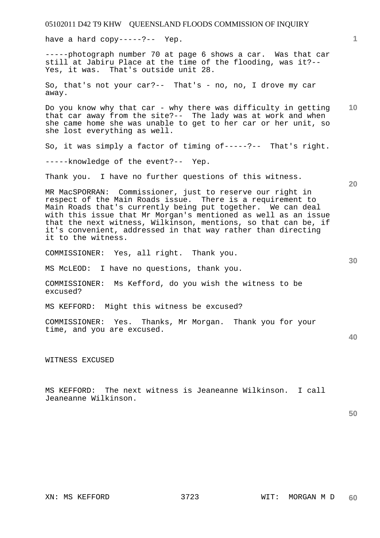05102011 D42 T9 KHW QUEENSLAND FLOODS COMMISSION OF INQUIRY **1 10 20 30 40 50**  have a hard copy-----?-- Yep. -----photograph number 70 at page 6 shows a car. Was that car still at Jabiru Place at the time of the flooding, was it?-- Yes, it was. That's outside unit 28. So, that's not your car?-- That's - no, no, I drove my car away. Do you know why that car - why there was difficulty in getting that car away from the site?-- The lady was at work and when she came home she was unable to get to her car or her unit, so she lost everything as well. So, it was simply a factor of timing of-----?-- That's right. -----knowledge of the event?-- Yep. Thank you. I have no further questions of this witness. MR MacSPORRAN: Commissioner, just to reserve our right in respect of the Main Roads issue. There is a requirement to Main Roads that's currently being put together. We can deal with this issue that Mr Morgan's mentioned as well as an issue that the next witness, Wilkinson, mentions, so that can be, if it's convenient, addressed in that way rather than directing it to the witness. COMMISSIONER: Yes, all right. Thank you. MS McLEOD: I have no questions, thank you. COMMISSIONER: Ms Kefford, do you wish the witness to be excused? MS KEFFORD: Might this witness be excused? COMMISSIONER: Yes. Thanks, Mr Morgan. Thank you for your time, and you are excused. WITNESS EXCUSED MS KEFFORD: The next witness is Jeaneanne Wilkinson. I call Jeaneanne Wilkinson.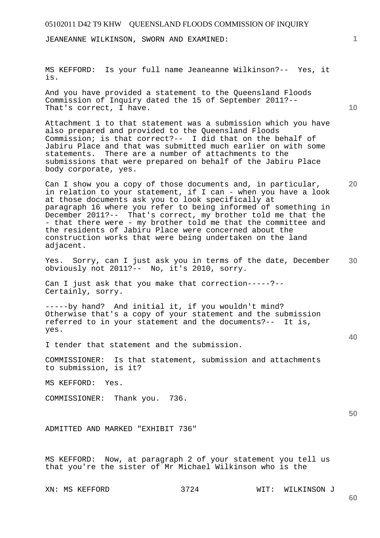JEANEANNE WILKINSON, SWORN AND EXAMINED:

MS KEFFORD: Is your full name Jeaneanne Wilkinson?-- Yes, it is.

And you have provided a statement to the Queensland Floods Commission of Inquiry dated the 15 of September 2011?-- That's correct, I have.

Attachment 1 to that statement was a submission which you have also prepared and provided to the Queensland Floods Commission; is that correct?-- I did that on the behalf of Jabiru Place and that was submitted much earlier on with some statements. There are a number of attachments to the submissions that were prepared on behalf of the Jabiru Place body corporate, yes.

Can I show you a copy of those documents and, in particular, in relation to your statement, if I can - when you have a look at those documents ask you to look specifically at paragraph 16 where you refer to being informed of something in December 2011?-- That's correct, my brother told me that the - that there were - my brother told me that the committee and the residents of Jabiru Place were concerned about the construction works that were being undertaken on the land adjacent.

**30**  Yes. Sorry, can I just ask you in terms of the date, December obviously not 2011?-- No, it's 2010, sorry.

Can I just ask that you make that correction-----?-- Certainly, sorry.

-----by hand? And initial it, if you wouldn't mind? Otherwise that's a copy of your statement and the submission referred to in your statement and the documents?-- It is, yes.

I tender that statement and the submission.

COMMISSIONER: Is that statement, submission and attachments to submission, is it?

MS KEFFORD: Yes.

COMMISSIONER: Thank you. 736.

ADMITTED AND MARKED "EXHIBIT 736"

MS KEFFORD: Now, at paragraph 2 of your statement you tell us that you're the sister of Mr Michael Wilkinson who is the

XN: MS KEFFORD 3724 WIT: WILKINSON J

**60** 

**1**

**10** 

**20** 

**40**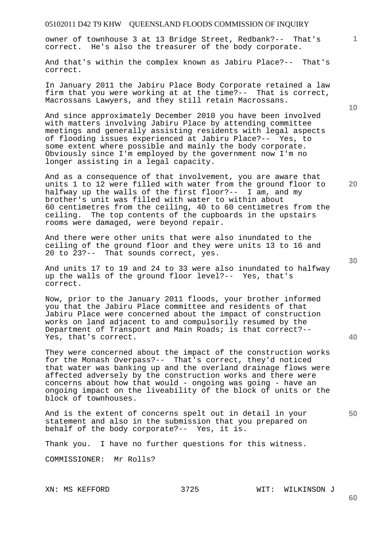owner of townhouse 3 at 13 Bridge Street, Redbank?-- That's correct. He's also the treasurer of the body corporate.

And that's within the complex known as Jabiru Place?-- That's correct.

In January 2011 the Jabiru Place Body Corporate retained a law firm that you were working at at the time?-- That is correct, Macrossans Lawyers, and they still retain Macrossans.

And since approximately December 2010 you have been involved with matters involving Jabiru Place by attending committee meetings and generally assisting residents with legal aspects of flooding issues experienced at Jabiru Place?-- Yes, to some extent where possible and mainly the body corporate. Obviously since I'm employed by the government now I'm no longer assisting in a legal capacity.

And as a consequence of that involvement, you are aware that units 1 to 12 were filled with water from the ground floor to halfway up the walls of the first floor?-- I am, and my brother's unit was filled with water to within about 60 centimetres from the ceiling, 40 to 60 centimetres from the ceiling. The top contents of the cupboards in the upstairs rooms were damaged, were beyond repair.

And there were other units that were also inundated to the ceiling of the ground floor and they were units 13 to 16 and 20 to 23?-- That sounds correct, yes.

And units 17 to 19 and 24 to 33 were also inundated to halfway up the walls of the ground floor level?-- Yes, that's correct.

Now, prior to the January 2011 floods, your brother informed you that the Jabiru Place committee and residents of that Jabiru Place were concerned about the impact of construction works on land adjacent to and compulsorily resumed by the Department of Transport and Main Roads; is that correct?-- Yes, that's correct.

They were concerned about the impact of the construction works for the Monash Overpass?-- That's correct, they'd noticed that water was banking up and the overland drainage flows were affected adversely by the construction works and there were concerns about how that would - ongoing was going - have an ongoing impact on the liveability of the block of units or the block of townhouses.

And is the extent of concerns spelt out in detail in your statement and also in the submission that you prepared on behalf of the body corporate?-- Yes, it is.

Thank you. I have no further questions for this witness.

COMMISSIONER: Mr Rolls?

**20** 

**1**

**10** 

**50**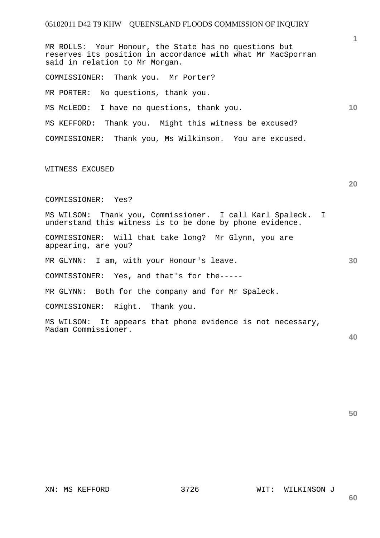**10**  MR ROLLS: Your Honour, the State has no questions but reserves its position in accordance with what Mr MacSporran said in relation to Mr Morgan. COMMISSIONER: Thank you. Mr Porter? MR PORTER: No questions, thank you. MS McLEOD: I have no questions, thank you. MS KEFFORD: Thank you. Might this witness be excused? COMMISSIONER: Thank you, Ms Wilkinson. You are excused.

#### WITNESS EXCUSED

#### COMMISSIONER: Yes?

- MS WILSON: Thank you, Commissioner. I call Karl Spaleck. I understand this witness is to be done by phone evidence.
- COMMISSIONER: Will that take long? Mr Glynn, you are appearing, are you?

MR GLYNN: I am, with your Honour's leave.

COMMISSIONER: Yes, and that's for the-----

MR GLYNN: Both for the company and for Mr Spaleck.

COMMISSIONER: Right. Thank you.

MS WILSON: It appears that phone evidence is not necessary, Madam Commissioner.

**40** 

**50** 

**1**

**20** 

**30**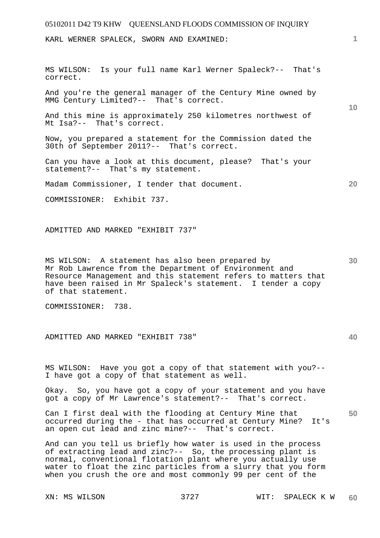KARL WERNER SPALECK, SWORN AND EXAMINED:

MS WILSON: Is your full name Karl Werner Spaleck?-- That's correct.

And you're the general manager of the Century Mine owned by MMG Century Limited?-- That's correct.

And this mine is approximately 250 kilometres northwest of Mt Isa?-- That's correct.

Now, you prepared a statement for the Commission dated the 30th of September 2011?-- That's correct.

Can you have a look at this document, please? That's your statement?-- That's my statement.

Madam Commissioner, I tender that document.

COMMISSIONER: Exhibit 737.

ADMITTED AND MARKED "EXHIBIT 737"

**30**  MS WILSON: A statement has also been prepared by Mr Rob Lawrence from the Department of Environment and Resource Management and this statement refers to matters that have been raised in Mr Spaleck's statement. I tender a copy of that statement.

COMMISSIONER: 738.

ADMITTED AND MARKED "EXHIBIT 738"

MS WILSON: Have you got a copy of that statement with you?-- I have got a copy of that statement as well.

Okay. So, you have got a copy of your statement and you have got a copy of Mr Lawrence's statement?-- That's correct.

**50**  Can I first deal with the flooding at Century Mine that occurred during the - that has occurred at Century Mine? It's an open cut lead and zinc mine?-- That's correct.

And can you tell us briefly how water is used in the process of extracting lead and zinc?-- So, the processing plant is normal, conventional flotation plant where you actually use water to float the zinc particles from a slurry that you form when you crush the ore and most commonly 99 per cent of the

**1**

**10** 

**20**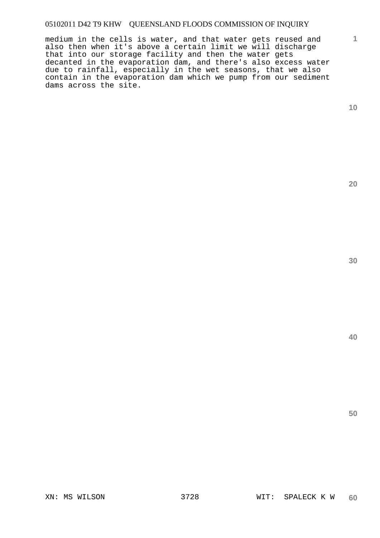medium in the cells is water, and that water gets reused and also then when it's above a certain limit we will discharge that into our storage facility and then the water gets decanted in the evaporation dam, and there's also excess water due to rainfall, especially in the wet seasons, that we also contain in the evaporation dam which we pump from our sediment dams across the site.

**10** 

**1**

**20** 

**30**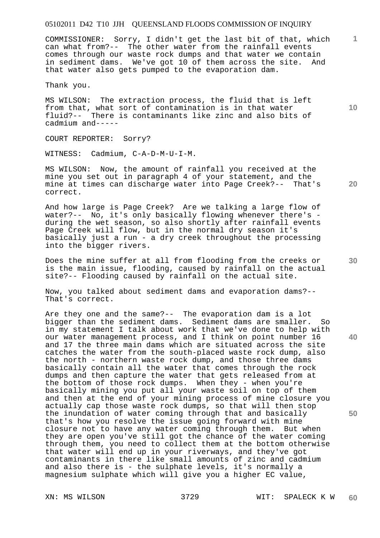COMMISSIONER: Sorry, I didn't get the last bit of that, which can what from?-- The other water from the rainfall events comes through our waste rock dumps and that water we contain in sediment dams. We've got 10 of them across the site. And that water also gets pumped to the evaporation dam.

Thank you.

MS WILSON: The extraction process, the fluid that is left from that, what sort of contamination is in that water fluid?-- There is contaminants like zinc and also bits of cadmium and-----

COURT REPORTER: Sorry?

WITNESS: Cadmium, C-A-D-M-U-I-M.

MS WILSON: Now, the amount of rainfall you received at the mine you set out in paragraph 4 of your statement, and the mine at times can discharge water into Page Creek?-- That's mine at times can discharge water into Page Creek?-correct.

And how large is Page Creek? Are we talking a large flow of water?-- No, it's only basically flowing whenever there's during the wet season, so also shortly after rainfall events Page Creek will flow, but in the normal dry season it's basically just a run - a dry creek throughout the processing into the bigger rivers.

Does the mine suffer at all from flooding from the creeks or is the main issue, flooding, caused by rainfall on the actual site?-- Flooding caused by rainfall on the actual site.

Now, you talked about sediment dams and evaporation dams?-- That's correct.

Are they one and the same?-- The evaporation dam is a lot bigger than the sediment dams. Sediment dams are smaller. So in my statement I talk about work that we've done to help with our water management process, and I think on point number 16 and 17 the three main dams which are situated across the site catches the water from the south-placed waste rock dump, also the north - northern waste rock dump, and those three dams basically contain all the water that comes through the rock dumps and then capture the water that gets released from at the bottom of those rock dumps. When they - when you're basically mining you put all your waste soil on top of them and then at the end of your mining process of mine closure you actually cap those waste rock dumps, so that will then stop the inundation of water coming through that and basically that's how you resolve the issue going forward with mine closure not to have any water coming through them. But when they are open you've still got the chance of the water coming through them, you need to collect them at the bottom otherwise that water will end up in your riverways, and they've got contaminants in there like small amounts of zinc and cadmium and also there is - the sulphate levels, it's normally a magnesium sulphate which will give you a higher EC value,

**10** 

**20** 

**1**

**40**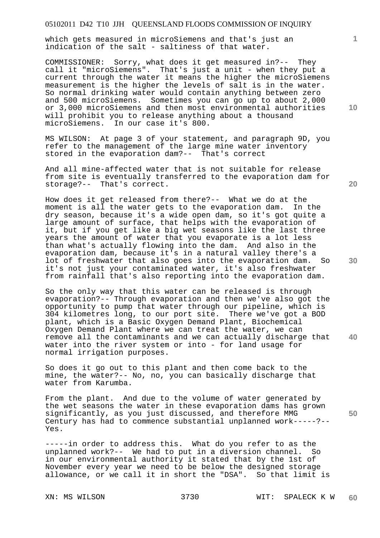which gets measured in microSiemens and that's just an indication of the salt - saltiness of that water.

COMMISSIONER: Sorry, what does it get measured in?-- They call it "microSiemens". That's just a unit - when they put a current through the water it means the higher the microSiemens measurement is the higher the levels of salt is in the water. So normal drinking water would contain anything between zero and 500 microSiemens. Sometimes you can go up to about 2,000 or 3,000 microSiemens and then most environmental authorities will prohibit you to release anything about a thousand microSiemens. In our case it's 800.

MS WILSON: At page 3 of your statement, and paragraph 9D, you refer to the management of the large mine water inventory stored in the evaporation dam?-- That's correct

And all mine-affected water that is not suitable for release from site is eventually transferred to the evaporation dam for storage?-- That's correct.

How does it get released from there?-- What we do at the moment is all the water gets to the evaporation dam. In the moment is all the water gets to the evaporation dam. dry season, because it's a wide open dam, so it's got quite a large amount of surface, that helps with the evaporation of it, but if you get like a big wet seasons like the last three years the amount of water that you evaporate is a lot less than what's actually flowing into the dam. And also in the evaporation dam, because it's in a natural valley there's a lot of freshwater that also goes into the evaporation dam. So it's not just your contaminated water, it's also freshwater from rainfall that's also reporting into the evaporation dam.

So the only way that this water can be released is through evaporation?-- Through evaporation and then we've also got the opportunity to pump that water through our pipeline, which is 304 kilometres long, to our port site. There we've got a BOD plant, which is a Basic Oxygen Demand Plant, Biochemical Oxygen Demand Plant where we can treat the water, we can remove all the contaminants and we can actually discharge that water into the river system or into - for land usage for normal irrigation purposes.

So does it go out to this plant and then come back to the mine, the water?-- No, no, you can basically discharge that water from Karumba.

From the plant. And due to the volume of water generated by the wet seasons the water in these evaporation dams has grown significantly, as you just discussed, and therefore MMG Century has had to commence substantial unplanned work-----?-- Yes.

-----in order to address this. What do you refer to as the unplanned work?-- We had to put in a diversion channel. So in our environmental authority it stated that by the 1st of November every year we need to be below the designed storage allowance, or we call it in short the "DSA". So that limit is

**10** 

**1**

**20** 

**30** 

**40**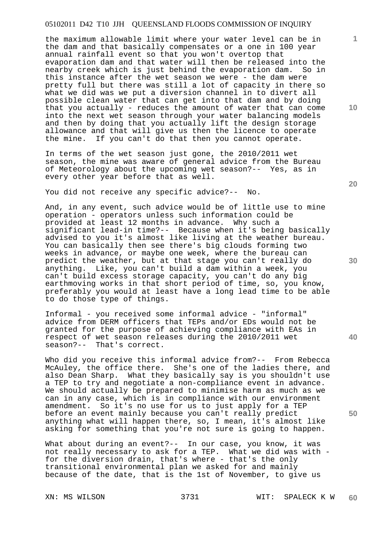the maximum allowable limit where your water level can be in the dam and that basically compensates or a one in 100 year annual rainfall event so that you won't overtop that evaporation dam and that water will then be released into the nearby creek which is just behind the evaporation dam. So in this instance after the wet season we were - the dam were pretty full but there was still a lot of capacity in there so what we did was we put a diversion channel in to divert all possible clean water that can get into that dam and by doing that you actually - reduces the amount of water that can come into the next wet season through your water balancing models and then by doing that you actually lift the design storage allowance and that will give us then the licence to operate the mine. If you can't do that then you cannot operate.

In terms of the wet season just gone, the 2010/2011 wet season, the mine was aware of general advice from the Bureau of Meteorology about the upcoming wet season?-- Yes, as in every other year before that as well.

You did not receive any specific advice?-- No.

And, in any event, such advice would be of little use to mine operation - operators unless such information could be provided at least 12 months in advance. Why such a significant lead-in time?-- Because when it's being basically advised to you it's almost like living at the weather bureau. You can basically then see there's big clouds forming two weeks in advance, or maybe one week, where the bureau can predict the weather, but at that stage you can't really do anything. Like, you can't build a dam within a week, you can't build excess storage capacity, you can't do any big earthmoving works in that short period of time, so, you know, preferably you would at least have a long lead time to be able to do those type of things.

Informal - you received some informal advice - "informal" advice from DERM officers that TEPs and/or EDs would not be granted for the purpose of achieving compliance with EAs in respect of wet season releases during the 2010/2011 wet season?-- That's correct.

Who did you receive this informal advice from?-- From Rebecca McAuley, the office there. She's one of the ladies there, and also Dean Sharp. What they basically say is you shouldn't use a TEP to try and negotiate a non-compliance event in advance. We should actually be prepared to minimise harm as much as we can in any case, which is in compliance with our environment amendment. So it's no use for us to just apply for a TEP before an event mainly because you can't really predict anything what will happen there, so, I mean, it's almost like asking for something that you're not sure is going to happen.

What about during an event?-- In our case, you know, it was not really necessary to ask for a TEP. What we did was with for the diversion drain, that's where - that's the only transitional environmental plan we asked for and mainly because of the date, that is the 1st of November, to give us

**10** 

**1**

**20** 

**30** 

**40**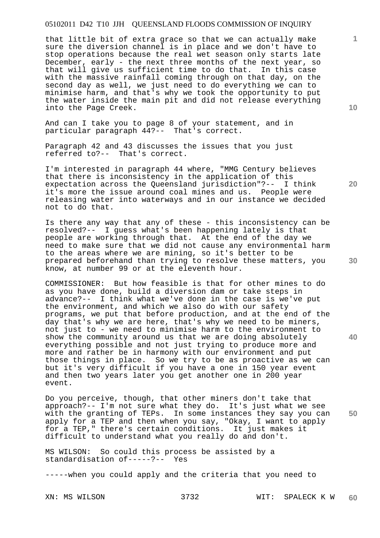that little bit of extra grace so that we can actually make sure the diversion channel is in place and we don't have to stop operations because the real wet season only starts late December, early - the next three months of the next year, so that will give us sufficient time to do that. In this case with the massive rainfall coming through on that day, on the second day as well, we just need to do everything we can to minimise harm, and that's why we took the opportunity to put the water inside the main pit and did not release everything into the Page Creek.

And can I take you to page 8 of your statement, and in particular paragraph 44?-- That's correct.

Paragraph 42 and 43 discusses the issues that you just referred to?-- That's correct.

I'm interested in paragraph 44 where, "MMG Century believes that there is inconsistency in the application of this expectation across the Queensland jurisdiction"?-- I think it's more the issue around coal mines and us. People were releasing water into waterways and in our instance we decided not to do that.

Is there any way that any of these - this inconsistency can be resolved?-- I guess what's been happening lately is that people are working through that. At the end of the day we need to make sure that we did not cause any environmental harm to the areas where we are mining, so it's better to be prepared beforehand than trying to resolve these matters, you know, at number 99 or at the eleventh hour.

COMMISSIONER: But how feasible is that for other mines to do as you have done, build a diversion dam or take steps in advance?-- I think what we've done in the case is we've put the environment, and which we also do with our safety programs, we put that before production, and at the end of the day that's why we are here, that's why we need to be miners, not just to - we need to minimise harm to the environment to show the community around us that we are doing absolutely everything possible and not just trying to produce more and more and rather be in harmony with our environment and put those things in place. So we try to be as proactive as we can but it's very difficult if you have a one in 150 year event and then two years later you get another one in 200 year event.

Do you perceive, though, that other miners don't take that approach?-- I'm not sure what they do. It's just what we see with the granting of TEPs. In some instances they say you can apply for a TEP and then when you say, "Okay, I want to apply  $\frac{\alpha_{\text{F}}}{\beta}$  for a TEP," there's certain conditions. It just makes it difficult to understand what you really do and don't.

MS WILSON: So could this process be assisted by a standardisation of-----?-- Yes

-----when you could apply and the criteria that you need to

**10** 

**1**

**20** 

**30** 

**40**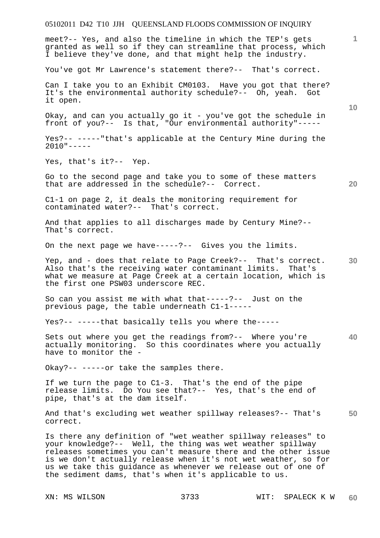meet?-- Yes, and also the timeline in which the TEP's gets granted as well so if they can streamline that process, which I believe they've done, and that might help the industry.

You've got Mr Lawrence's statement there?-- That's correct.

Can I take you to an Exhibit CM0103. Have you got that there? It's the environmental authority schedule?-- Oh, yeah. Got it open.

Okay, and can you actually go it - you've got the schedule in front of you?-- Is that, "Our environmental authority"-----

Yes?-- -----"that's applicable at the Century Mine during the  $2010"---$ 

Yes, that's it?-- Yep.

Go to the second page and take you to some of these matters that are addressed in the schedule?-- Correct.

C1-1 on page 2, it deals the monitoring requirement for contaminated water?-- That's correct.

And that applies to all discharges made by Century Mine?-- That's correct.

On the next page we have-----?-- Gives you the limits.

**30**  Yep, and - does that relate to Page Creek?-- That's correct. Also that's the receiving water contaminant limits. That's what we measure at Page Creek at a certain location, which is the first one PSW03 underscore REC.

So can you assist me with what that-----?-- Just on the previous page, the table underneath C1-1-----

Yes?-- -----that basically tells you where the-----

Sets out where you get the readings from?-- Where you're actually monitoring. So this coordinates where you actually have to monitor the -

Okay?-- -----or take the samples there.

If we turn the page to C1-3. That's the end of the pipe release limits. Do You see that?-- Yes, that's the end of pipe, that's at the dam itself.

**50**  And that's excluding wet weather spillway releases?-- That's correct.

Is there any definition of "wet weather spillway releases" to your knowledge?-- Well, the thing was wet weather spillway releases sometimes you can't measure there and the other issue is we don't actually release when it's not wet weather, so for us we take this guidance as whenever we release out of one of the sediment dams, that's when it's applicable to us.

**20** 

**10**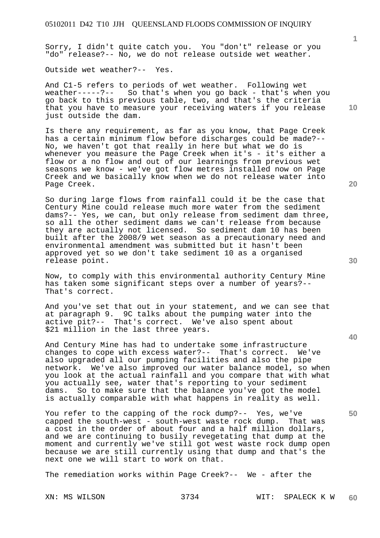Sorry, I didn't quite catch you. You "don't" release or you "do" release?-- No, we do not release outside wet weather.

Outside wet weather?-- Yes.

And C1-5 refers to periods of wet weather. Following wet weather-----?-- So that's when you go back - that's when you go back to this previous table, two, and that's the criteria that you have to measure your receiving waters if you release just outside the dam.

Is there any requirement, as far as you know, that Page Creek has a certain minimum flow before discharges could be made?-- No, we haven't got that really in here but what we do is whenever you measure the Page Creek when it's - it's either a flow or a no flow and out of our learnings from previous wet seasons we know - we've got flow metres installed now on Page Creek and we basically know when we do not release water into Page Creek.

So during large flows from rainfall could it be the case that Century Mine could release much more water from the sediment dams?-- Yes, we can, but only release from sediment dam three, so all the other sediment dams we can't release from because they are actually not licensed. So sediment dam 10 has been built after the 2008/9 wet season as a precautionary need and environmental amendment was submitted but it hasn't been approved yet so we don't take sediment 10 as a organised release point.

Now, to comply with this environmental authority Century Mine has taken some significant steps over a number of years?-- That's correct.

And you've set that out in your statement, and we can see that at paragraph 9. 9C talks about the pumping water into the active pit?-- That's correct. We've also spent about \$21 million in the last three years.

And Century Mine has had to undertake some infrastructure changes to cope with excess water?-- That's correct. We've also upgraded all our pumping facilities and also the pipe network. We've also improved our water balance model, so when you look at the actual rainfall and you compare that with what you actually see, water that's reporting to your sediment dams. So to make sure that the balance you've got the model is actually comparable with what happens in reality as well.

You refer to the capping of the rock dump?-- Yes, we've capped the south-west - south-west waste rock dump. That was a cost in the order of about four and a half million dollars, and we are continuing to busily revegetating that dump at the moment and currently we've still got west waste rock dump open because we are still currently using that dump and that's the next one we will start to work on that.

The remediation works within Page Creek?-- We - after the

**10** 

**1**

**20** 

**40** 

**30**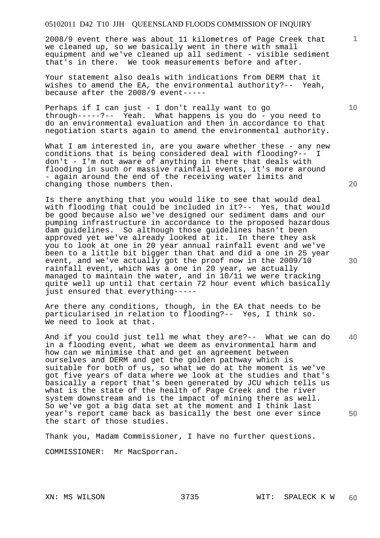2008/9 event there was about 11 kilometres of Page Creek that we cleaned up, so we basically went in there with small equipment and we've cleaned up all sediment - visible sediment that's in there. We took measurements before and after.

Your statement also deals with indications from DERM that it wishes to amend the EA, the environmental authority?-- Yeah, because after the 2008/9 event-----

Perhaps if I can just - I don't really want to go through-----?-- Yeah. What happens is you do - you need to do an environmental evaluation and then in accordance to that negotiation starts again to amend the environmental authority.

What I am interested in, are you aware whether these - any new conditions that is being considered deal with flooding?-- I don't - I'm not aware of anything in there that deals with flooding in such or massive rainfall events, it's more around - again around the end of the receiving water limits and changing those numbers then.

Is there anything that you would like to see that would deal with flooding that could be included in it?-- Yes, that would be good because also we've designed our sediment dams and our pumping infrastructure in accordance to the proposed hazardous dam guidelines. So although those guidelines hasn't been approved yet we've already looked at it. In there they ask you to look at one in 20 year annual rainfall event and we've been to a little bit bigger than that and did a one in 25 year event, and we've actually got the proof now in the 2009/10 rainfall event, which was a one in 20 year, we actually managed to maintain the water, and in 10/11 we were tracking quite well up until that certain 72 hour event which basically just ensured that everything-----

Are there any conditions, though, in the EA that needs to be particularised in relation to flooding?-- Yes, I think so. We need to look at that.

**40 50**  And if you could just tell me what they are?-- What we can do in a flooding event, what we deem as environmental harm and how can we minimise that and get an agreement between ourselves and DERM and get the golden pathway which is suitable for both of us, so what we do at the moment is we've got five years of data where we look at the studies and that's basically a report that's been generated by JCU which tells us what is the state of the health of Page Creek and the river system downstream and is the impact of mining there as well. So we've got a big data set at the moment and I think last year's report came back as basically the best one ever since the start of those studies.

Thank you, Madam Commissioner, I have no further questions.

COMMISSIONER: Mr MacSporran.

**10** 

**1**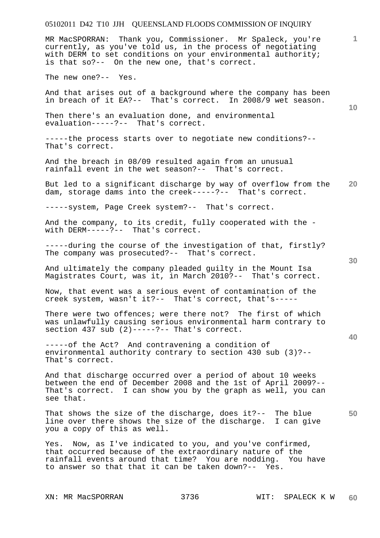MR MacSPORRAN: Thank you, Commissioner. Mr Spaleck, you're currently, as you've told us, in the process of negotiating with DERM to set conditions on your environmental authority; is that so?-- On the new one, that's correct.

The new one?-- Yes.

And that arises out of a background where the company has been in breach of it EA?-- That's correct. In 2008/9 wet season.

Then there's an evaluation done, and environmental evaluation-----?-- That's correct.

-----the process starts over to negotiate new conditions?-- That's correct.

And the breach in 08/09 resulted again from an unusual rainfall event in the wet season?-- That's correct.

**20**  But led to a significant discharge by way of overflow from the dam, storage dams into the creek-----?-- That's correct.

-----system, Page Creek system?-- That's correct.

And the company, to its credit, fully cooperated with the with DERM-----?-- That's correct.

-----during the course of the investigation of that, firstly? The company was prosecuted?-- That's correct.

And ultimately the company pleaded guilty in the Mount Isa Magistrates Court, was it, in March 2010?-- That's correct.

Now, that event was a serious event of contamination of the creek system, wasn't it?-- That's correct, that's-----

There were two offences; were there not? The first of which was unlawfully causing serious environmental harm contrary to section  $437$  sub  $(2)$ -----?-- That's correct.

-----of the Act? And contravening a condition of environmental authority contrary to section 430 sub (3)?-- That's correct.

And that discharge occurred over a period of about 10 weeks between the end of December 2008 and the 1st of April 2009?-- That's correct. I can show you by the graph as well, you can see that.

**50**  That shows the size of the discharge, does it?-- The blue line over there shows the size of the discharge. I can give you a copy of this as well.

Yes. Now, as I've indicated to you, and you've confirmed, that occurred because of the extraordinary nature of the rainfall events around that time? You are nodding. You have to answer so that that it can be taken down?-- Yes.

**40** 

**10**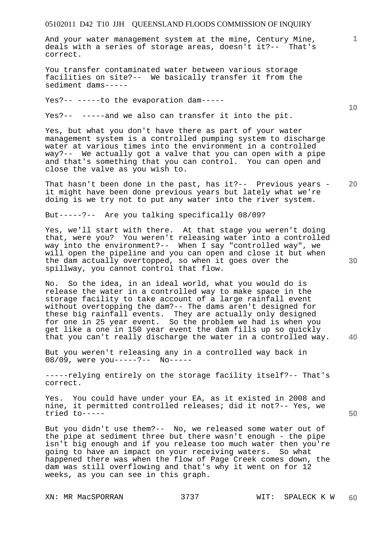And your water management system at the mine, Century Mine, deals with a series of storage areas, doesn't it?-- That's correct.

You transfer contaminated water between various storage facilities on site?-- We basically transfer it from the sediment dams-----

Yes?-- -----to the evaporation dam-----

Yes?-- -----and we also can transfer it into the pit.

Yes, but what you don't have there as part of your water management system is a controlled pumping system to discharge water at various times into the environment in a controlled way?-- We actually got a valve that you can open with a pipe and that's something that you can control. You can open and close the valve as you wish to.

**20**  That hasn't been done in the past, has it?-- Previous years it might have been done previous years but lately what we're doing is we try not to put any water into the river system.

But-----?-- Are you talking specifically 08/09?

Yes, we'll start with there. At that stage you weren't doing that, were you? You weren't releasing water into a controlled way into the environment?-- When I say "controlled way", we will open the pipeline and you can open and close it but when the dam actually overtopped, so when it goes over the spillway, you cannot control that flow.

No. So the idea, in an ideal world, what you would do is release the water in a controlled way to make space in the storage facility to take account of a large rainfall event without overtopping the dam?-- The dams aren't designed for these big rainfall events. They are actually only designed for one in 25 year event. So the problem we had is when you get like a one in 150 year event the dam fills up so quickly that you can't really discharge the water in a controlled way.

But you weren't releasing any in a controlled way back in 08/09, were you-----?-- No-----

-----relying entirely on the storage facility itself?-- That's correct.

Yes. You could have under your EA, as it existed in 2008 and nine, it permitted controlled releases; did it not?-- Yes, we tried to-----

But you didn't use them?-- No, we released some water out of the pipe at sediment three but there wasn't enough - the pipe isn't big enough and if you release too much water then you're going to have an impact on your receiving waters. So what happened there was when the flow of Page Creek comes down, the dam was still overflowing and that's why it went on for 12 weeks, as you can see in this graph.

**10** 

**1**

**40** 

**50**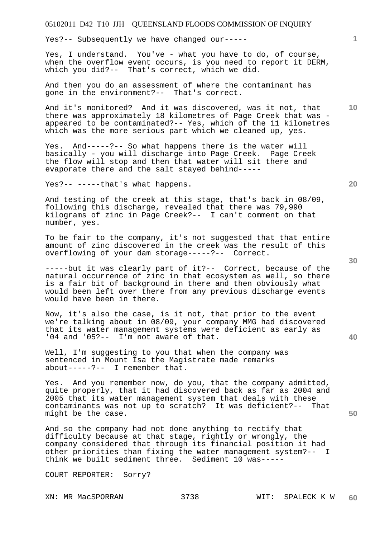Yes?-- Subsequently we have changed our-----

Yes, I understand. You've - what you have to do, of course, when the overflow event occurs, is you need to report it DERM, which you did?-- That's correct, which we did.

And then you do an assessment of where the contaminant has gone in the environment?-- That's correct.

And it's monitored? And it was discovered, was it not, that there was approximately 18 kilometres of Page Creek that was appeared to be contaminated?-- Yes, which of the 11 kilometres which was the more serious part which we cleaned up, yes.

Yes. And-----?-- So what happens there is the water will basically - you will discharge into Page Creek. Page Creek the flow will stop and then that water will sit there and evaporate there and the salt stayed behind-----

Yes?-- -----that's what happens.

And testing of the creek at this stage, that's back in 08/09, following this discharge, revealed that there was 79,990 kilograms of zinc in Page Creek?-- I can't comment on that number, yes.

To be fair to the company, it's not suggested that that entire amount of zinc discovered in the creek was the result of this overflowing of your dam storage-----?-- Correct.

-----but it was clearly part of it?-- Correct, because of the natural occurrence of zinc in that ecosystem as well, so there is a fair bit of background in there and then obviously what would been left over there from any previous discharge events would have been in there.

Now, it's also the case, is it not, that prior to the event we're talking about in 08/09, your company MMG had discovered that its water management systems were deficient as early as '04 and '05?-- I'm not aware of that.

Well, I'm suggesting to you that when the company was sentenced in Mount Isa the Magistrate made remarks about-----?-- I remember that.

Yes. And you remember now, do you, that the company admitted, quite properly, that it had discovered back as far as 2004 and 2005 that its water management system that deals with these contaminants was not up to scratch? It was deficient?-- That might be the case.

And so the company had not done anything to rectify that difficulty because at that stage, rightly or wrongly, the company considered that through its financial position it had other priorities than fixing the water management system?-- I think we built sediment three. Sediment 10 was-----

COURT REPORTER: Sorry?

**30** 

**20** 

**50** 

**10**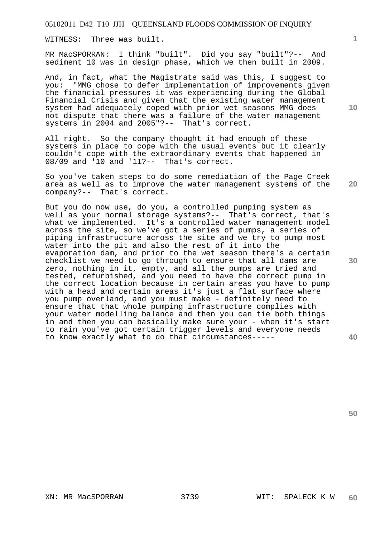WITNESS: Three was built.

MR MacSPORRAN: I think "built". Did you say "built"?-- And sediment 10 was in design phase, which we then built in 2009.

And, in fact, what the Magistrate said was this, I suggest to you: "MMG chose to defer implementation of improvements given the financial pressures it was experiencing during the Global Financial Crisis and given that the existing water management system had adequately coped with prior wet seasons MMG does not dispute that there was a failure of the water management systems in 2004 and 2005"?-- That's correct.

All right. So the company thought it had enough of these systems in place to cope with the usual events but it clearly couldn't cope with the extraordinary events that happened in 08/09 and '10 and '11?-- That's correct.

So you've taken steps to do some remediation of the Page Creek area as well as to improve the water management systems of the company?-- That's correct.

But you do now use, do you, a controlled pumping system as well as your normal storage systems?-- That's correct, that's what we implemented. It's a controlled water management model across the site, so we've got a series of pumps, a series of piping infrastructure across the site and we try to pump most water into the pit and also the rest of it into the evaporation dam, and prior to the wet season there's a certain checklist we need to go through to ensure that all dams are zero, nothing in it, empty, and all the pumps are tried and tested, refurbished, and you need to have the correct pump in the correct location because in certain areas you have to pump with a head and certain areas it's just a flat surface where you pump overland, and you must make - definitely need to ensure that that whole pumping infrastructure complies with your water modelling balance and then you can tie both things in and then you can basically make sure your - when it's start to rain you've got certain trigger levels and everyone needs to know exactly what to do that circumstances-----

**20** 

**1**

**10** 

**40**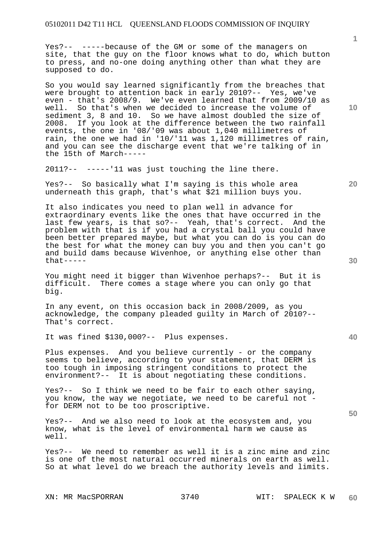Yes?-- -----because of the GM or some of the managers on site, that the guy on the floor knows what to do, which button to press, and no-one doing anything other than what they are supposed to do.

So you would say learned significantly from the breaches that were brought to attention back in early 2010?-- Yes, we've even - that's 2008/9. We've even learned that from 2009/10 as well. So that's when we decided to increase the volume of sediment 3, 8 and 10. So we have almost doubled the size of 2008. If you look at the difference between the two rainfall events, the one in '08/'09 was about 1,040 millimetres of rain, the one we had in '10/'11 was 1,120 millimetres of rain, and you can see the discharge event that we're talking of in the 15th of March-----

2011?-- -----'11 was just touching the line there.

Yes?-- So basically what I'm saying is this whole area underneath this graph, that's what \$21 million buys you.

It also indicates you need to plan well in advance for extraordinary events like the ones that have occurred in the last few years, is that so?-- Yeah, that's correct. And the problem with that is if you had a crystal ball you could have been better prepared maybe, but what you can do is you can do the best for what the money can buy you and then you can't go and build dams because Wivenhoe, or anything else other than that-----

You might need it bigger than Wivenhoe perhaps?-- But it is difficult. There comes a stage where you can only go that big.

In any event, on this occasion back in 2008/2009, as you acknowledge, the company pleaded guilty in March of 2010?-- That's correct.

It was fined \$130,000?-- Plus expenses.

Plus expenses. And you believe currently - or the company seems to believe, according to your statement, that DERM is too tough in imposing stringent conditions to protect the environment?-- It is about negotiating these conditions.

Yes?-- So I think we need to be fair to each other saying, you know, the way we negotiate, we need to be careful not for DERM not to be too proscriptive.

Yes?-- And we also need to look at the ecosystem and, you know, what is the level of environmental harm we cause as well.

Yes?-- We need to remember as well it is a zinc mine and zinc is one of the most natural occurred minerals on earth as well. So at what level do we breach the authority levels and limits.

**10** 

**1**

**20** 

**40**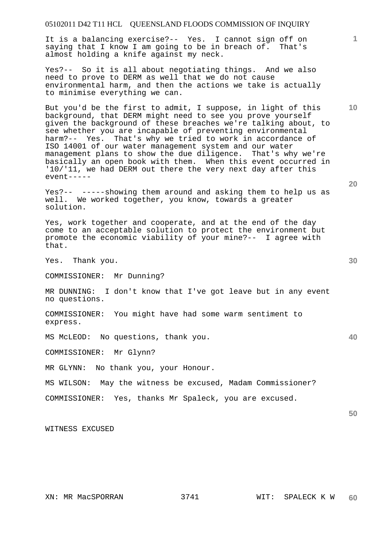It is a balancing exercise?-- Yes. I cannot sign off on saying that I know I am going to be in breach of. That's almost holding a knife against my neck.

Yes?-- So it is all about negotiating things. And we also need to prove to DERM as well that we do not cause environmental harm, and then the actions we take is actually to minimise everything we can.

But you'd be the first to admit, I suppose, in light of this background, that DERM might need to see you prove yourself given the background of these breaches we're talking about, to see whether you are incapable of preventing environmental harm?-- Yes. That's why we tried to work in accordance of ISO 14001 of our water management system and our water management plans to show the due diligence. That's why we're basically an open book with them. When this event occurred in '10/'11, we had DERM out there the very next day after this event-----

Yes?-- -----showing them around and asking them to help us as well. We worked together, you know, towards a greater solution.

Yes, work together and cooperate, and at the end of the day come to an acceptable solution to protect the environment but promote the economic viability of your mine?-- I agree with that.

Yes. Thank you.

COMMISSIONER: Mr Dunning?

MR DUNNING: I don't know that I've got leave but in any event no questions.

COMMISSIONER: You might have had some warm sentiment to express.

MS McLEOD: No questions, thank you.

COMMISSIONER: Mr Glynn?

MR GLYNN: No thank you, your Honour.

MS WILSON: May the witness be excused, Madam Commissioner?

COMMISSIONER: Yes, thanks Mr Spaleck, you are excused.

WITNESS EXCUSED

**20** 

**10** 

**1**

**40**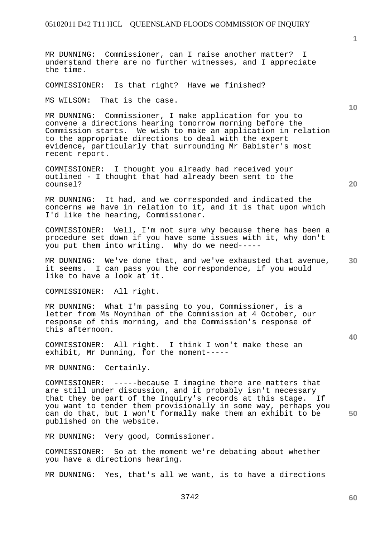MR DUNNING: Commissioner, can I raise another matter? I understand there are no further witnesses, and I appreciate the time.

COMMISSIONER: Is that right? Have we finished?

MS WILSON: That is the case.

MR DUNNING: Commissioner, I make application for you to convene a directions hearing tomorrow morning before the Commission starts. We wish to make an application in relation to the appropriate directions to deal with the expert evidence, particularly that surrounding Mr Babister's most recent report.

COMMISSIONER: I thought you already had received your outlined - I thought that had already been sent to the counsel?

MR DUNNING: It had, and we corresponded and indicated the concerns we have in relation to it, and it is that upon which I'd like the hearing, Commissioner.

COMMISSIONER: Well, I'm not sure why because there has been a procedure set down if you have some issues with it, why don't you put them into writing. Why do we need-----

**30**  MR DUNNING: We've done that, and we've exhausted that avenue, it seems. I can pass you the correspondence, if you would like to have a look at it.

COMMISSIONER: All right.

MR DUNNING: What I'm passing to you, Commissioner, is a letter from Ms Moynihan of the Commission at 4 October, our response of this morning, and the Commission's response of this afternoon.

COMMISSIONER: All right. I think I won't make these an exhibit, Mr Dunning, for the moment-----

MR DUNNING: Certainly.

**50**  COMMISSIONER: -----because I imagine there are matters that are still under discussion, and it probably isn't necessary that they be part of the Inquiry's records at this stage. If you want to tender them provisionally in some way, perhaps you can do that, but I won't formally make them an exhibit to be published on the website.

MR DUNNING: Very good, Commissioner.

COMMISSIONER: So at the moment we're debating about whether you have a directions hearing.

MR DUNNING: Yes, that's all we want, is to have a directions

**1**

**20** 

**10**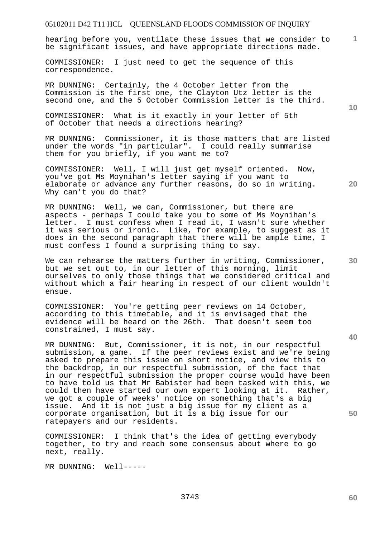**1** hearing before you, ventilate these issues that we consider to be significant issues, and have appropriate directions made.

COMMISSIONER: I just need to get the sequence of this correspondence.

MR DUNNING: Certainly, the 4 October letter from the Commission is the first one, the Clayton Utz letter is the second one, and the 5 October Commission letter is the third.

COMMISSIONER: What is it exactly in your letter of 5th of October that needs a directions hearing?

MR DUNNING: Commissioner, it is those matters that are listed under the words "in particular". I could really summarise them for you briefly, if you want me to?

COMMISSIONER: Well, I will just get myself oriented. Now, you've got Ms Moynihan's letter saying if you want to elaborate or advance any further reasons, do so in writing. Why can't you do that?

MR DUNNING: Well, we can, Commissioner, but there are aspects - perhaps I could take you to some of Ms Moynihan's letter. I must confess when I read it, I wasn't sure whether it was serious or ironic. Like, for example, to suggest as it does in the second paragraph that there will be ample time, I must confess I found a surprising thing to say.

We can rehearse the matters further in writing, Commissioner, but we set out to, in our letter of this morning, limit ourselves to only those things that we considered critical and without which a fair hearing in respect of our client wouldn't ensue.

COMMISSIONER: You're getting peer reviews on 14 October, according to this timetable, and it is envisaged that the evidence will be heard on the 26th. That doesn't seem too constrained, I must say.

MR DUNNING: But, Commissioner, it is not, in our respectful submission, a game. If the peer reviews exist and we're being asked to prepare this issue on short notice, and view this to the backdrop, in our respectful submission, of the fact that in our respectful submission the proper course would have been to have told us that Mr Babister had been tasked with this, we could then have started our own expert looking at it. Rather, we got a couple of weeks' notice on something that's a big issue. And it is not just a big issue for my client as a corporate organisation, but it is a big issue for our ratepayers and our residents.

COMMISSIONER: I think that's the idea of getting everybody together, to try and reach some consensus about where to go next, really.

MR DUNNING: Well-----

**10** 

**20** 

**40** 

**30** 

**60**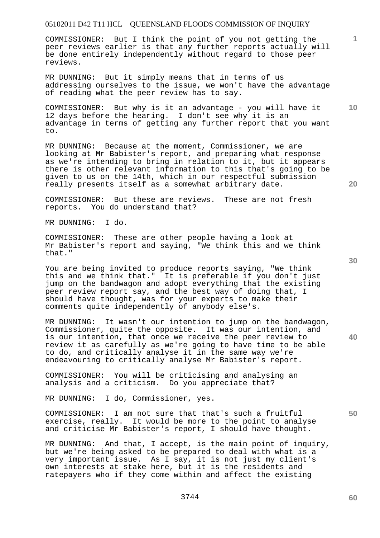COMMISSIONER: But I think the point of you not getting the peer reviews earlier is that any further reports actually will be done entirely independently without regard to those peer reviews.

MR DUNNING: But it simply means that in terms of us addressing ourselves to the issue, we won't have the advantage of reading what the peer review has to say.

COMMISSIONER: But why is it an advantage - you will have it 12 days before the hearing. I don't see why it is an advantage in terms of getting any further report that you want to.

MR DUNNING: Because at the moment, Commissioner, we are looking at Mr Babister's report, and preparing what response as we're intending to bring in relation to it, but it appears there is other relevant information to this that's going to be given to us on the 14th, which in our respectful submission really presents itself as a somewhat arbitrary date.

COMMISSIONER: But these are reviews. These are not fresh reports. You do understand that?

MR DUNNING: I do.

COMMISSIONER: These are other people having a look at Mr Babister's report and saying, "We think this and we think that."

You are being invited to produce reports saying, "We think this and we think that." It is preferable if you don't just jump on the bandwagon and adopt everything that the existing peer review report say, and the best way of doing that, I should have thought, was for your experts to make their comments quite independently of anybody else's.

MR DUNNING: It wasn't our intention to jump on the bandwagon, Commissioner, quite the opposite. It was our intention, and is our intention, that once we receive the peer review to review it as carefully as we're going to have time to be able to do, and critically analyse it in the same way we're endeavouring to critically analyse Mr Babister's report.

COMMISSIONER: You will be criticising and analysing an analysis and a criticism. Do you appreciate that?

MR DUNNING: I do, Commissioner, yes.

COMMISSIONER: I am not sure that that's such a fruitful exercise, really. It would be more to the point to analyse and criticise Mr Babister's report, I should have thought.

MR DUNNING: And that, I accept, is the main point of inquiry, but we're being asked to be prepared to deal with what is a very important issue. As I say, it is not just my client's own interests at stake here, but it is the residents and ratepayers who if they come within and affect the existing

**30** 

**40** 

**10** 

**1**

**20**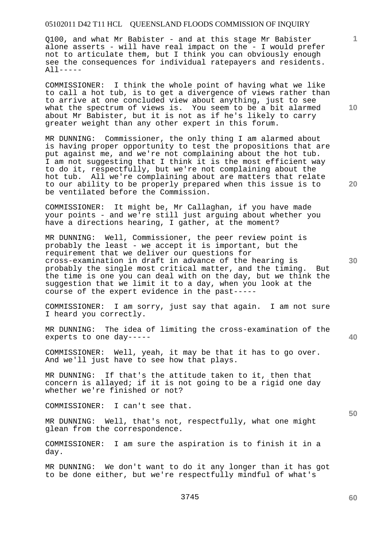Q100, and what Mr Babister - and at this stage Mr Babister alone asserts - will have real impact on the - I would prefer not to articulate them, but I think you can obviously enough see the consequences for individual ratepayers and residents. All-----

COMMISSIONER: I think the whole point of having what we like to call a hot tub, is to get a divergence of views rather than to arrive at one concluded view about anything, just to see what the spectrum of views is. You seem to be a bit alarmed about Mr Babister, but it is not as if he's likely to carry greater weight than any other expert in this forum.

MR DUNNING: Commissioner, the only thing I am alarmed about is having proper opportunity to test the propositions that are put against me, and we're not complaining about the hot tub. I am not suggesting that I think it is the most efficient way to do it, respectfully, but we're not complaining about the hot tub. All we're complaining about are matters that relate to our ability to be properly prepared when this issue is to be ventilated before the Commission.

COMMISSIONER: It might be, Mr Callaghan, if you have made your points - and we're still just arguing about whether you have a directions hearing, I gather, at the moment?

MR DUNNING: Well, Commissioner, the peer review point is probably the least - we accept it is important, but the requirement that we deliver our questions for cross-examination in draft in advance of the hearing is probably the single most critical matter, and the timing. But the time is one you can deal with on the day, but we think the suggestion that we limit it to a day, when you look at the course of the expert evidence in the past-----

COMMISSIONER: I am sorry, just say that again. I am not sure I heard you correctly.

MR DUNNING: The idea of limiting the cross-examination of the experts to one day-----

COMMISSIONER: Well, yeah, it may be that it has to go over. And we'll just have to see how that plays.

MR DUNNING: If that's the attitude taken to it, then that concern is allayed; if it is not going to be a rigid one day whether we're finished or not?

COMMISSIONER: I can't see that.

MR DUNNING: Well, that's not, respectfully, what one might glean from the correspondence.

COMMISSIONER: I am sure the aspiration is to finish it in a day.

MR DUNNING: We don't want to do it any longer than it has got to be done either, but we're respectfully mindful of what's

**10** 

**1**

**20** 

**50**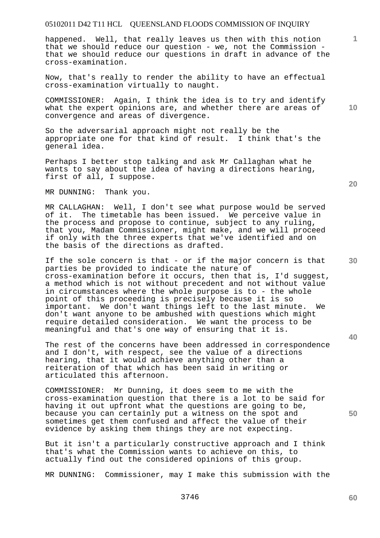happened. Well, that really leaves us then with this notion that we should reduce our question - we, not the Commission that we should reduce our questions in draft in advance of the cross-examination.

Now, that's really to render the ability to have an effectual cross-examination virtually to naught.

COMMISSIONER: Again, I think the idea is to try and identify what the expert opinions are, and whether there are areas of convergence and areas of divergence.

So the adversarial approach might not really be the appropriate one for that kind of result. I think that's the general idea.

Perhaps I better stop talking and ask Mr Callaghan what he wants to say about the idea of having a directions hearing, first of all, I suppose.

MR DUNNING: Thank you.

MR CALLAGHAN: Well, I don't see what purpose would be served of it. The timetable has been issued. We perceive value in the process and propose to continue, subject to any ruling, that you, Madam Commissioner, might make, and we will proceed if only with the three experts that we've identified and on the basis of the directions as drafted.

If the sole concern is that - or if the major concern is that parties be provided to indicate the nature of cross-examination before it occurs, then that is, I'd suggest, a method which is not without precedent and not without value in circumstances where the whole purpose is to - the whole point of this proceeding is precisely because it is so important. We don't want things left to the last minute. We don't want anyone to be ambushed with questions which might require detailed consideration. We want the process to be meaningful and that's one way of ensuring that it is.

The rest of the concerns have been addressed in correspondence and I don't, with respect, see the value of a directions hearing, that it would achieve anything other than a reiteration of that which has been said in writing or articulated this afternoon.

COMMISSIONER: Mr Dunning, it does seem to me with the cross-examination question that there is a lot to be said for having it out upfront what the questions are going to be, because you can certainly put a witness on the spot and sometimes get them confused and affect the value of their evidence by asking them things they are not expecting.

But it isn't a particularly constructive approach and I think that's what the Commission wants to achieve on this, to actually find out the considered opinions of this group.

MR DUNNING: Commissioner, may I make this submission with the

**20** 

**10** 

**1**

**40**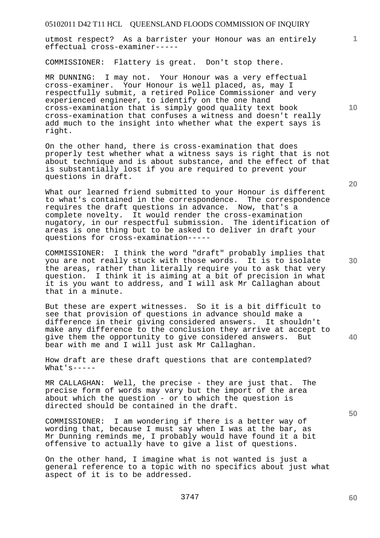utmost respect? As a barrister your Honour was an entirely effectual cross-examiner-----

COMMISSIONER: Flattery is great. Don't stop there.

MR DUNNING: I may not. Your Honour was a very effectual cross-examiner. Your Honour is well placed, as, may I respectfully submit, a retired Police Commissioner and very experienced engineer, to identify on the one hand cross-examination that is simply good quality text book cross-examination that confuses a witness and doesn't really add much to the insight into whether what the expert says is right.

On the other hand, there is cross-examination that does properly test whether what a witness says is right that is not about technique and is about substance, and the effect of that is substantially lost if you are required to prevent your questions in draft.

What our learned friend submitted to your Honour is different to what's contained in the correspondence. The correspondence requires the draft questions in advance. Now, that's a complete novelty. It would render the cross-examination nugatory, in our respectful submission. The identification of areas is one thing but to be asked to deliver in draft your questions for cross-examination-----

COMMISSIONER: I think the word "draft" probably implies that you are not really stuck with those words. It is to isolate the areas, rather than literally require you to ask that very question. I think it is aiming at a bit of precision in what it is you want to address, and I will ask Mr Callaghan about that in a minute.

But these are expert witnesses. So it is a bit difficult to see that provision of questions in advance should make a difference in their giving considered answers. It shouldn't make any difference to the conclusion they arrive at accept to give them the opportunity to give considered answers. But bear with me and I will just ask Mr Callaghan.

How draft are these draft questions that are contemplated? What's-----

MR CALLAGHAN: Well, the precise - they are just that. The precise form of words may vary but the import of the area about which the question - or to which the question is directed should be contained in the draft.

COMMISSIONER: I am wondering if there is a better way of wording that, because I must say when I was at the bar, as Mr Dunning reminds me, I probably would have found it a bit offensive to actually have to give a list of questions.

On the other hand, I imagine what is not wanted is just a general reference to a topic with no specifics about just what aspect of it is to be addressed.

**20** 

**10** 

**40** 

**50** 

**60**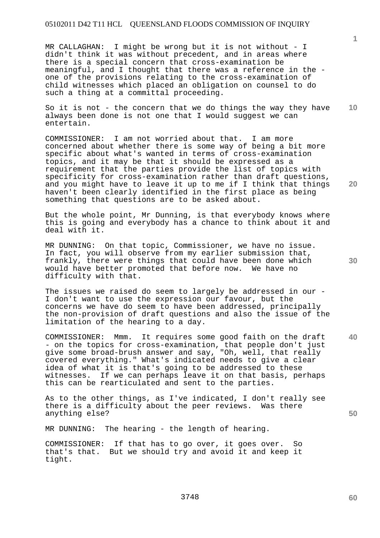MR CALLAGHAN: I might be wrong but it is not without - I didn't think it was without precedent, and in areas where there is a special concern that cross-examination be meaningful, and I thought that there was a reference in the one of the provisions relating to the cross-examination of child witnesses which placed an obligation on counsel to do such a thing at a committal proceeding.

**10**  So it is not - the concern that we do things the way they have always been done is not one that I would suggest we can entertain.

COMMISSIONER: I am not worried about that. I am more concerned about whether there is some way of being a bit more specific about what's wanted in terms of cross-examination topics, and it may be that it should be expressed as a requirement that the parties provide the list of topics with specificity for cross-examination rather than draft questions, and you might have to leave it up to me if I think that things haven't been clearly identified in the first place as being something that questions are to be asked about.

But the whole point, Mr Dunning, is that everybody knows where this is going and everybody has a chance to think about it and deal with it.

MR DUNNING: On that topic, Commissioner, we have no issue. In fact, you will observe from my earlier submission that, frankly, there were things that could have been done which would have better promoted that before now. We have no difficulty with that.

The issues we raised do seem to largely be addressed in our -I don't want to use the expression our favour, but the concerns we have do seem to have been addressed, principally the non-provision of draft questions and also the issue of the limitation of the hearing to a day.

**40**  COMMISSIONER: Mmm. It requires some good faith on the draft - on the topics for cross-examination, that people don't just give some broad-brush answer and say, "Oh, well, that really covered everything." What's indicated needs to give a clear idea of what it is that's going to be addressed to these witnesses. If we can perhaps leave it on that basis, perhaps this can be rearticulated and sent to the parties.

As to the other things, as I've indicated, I don't really see there is a difficulty about the peer reviews. Was there anything else?

MR DUNNING: The hearing - the length of hearing.

COMMISSIONER: If that has to go over, it goes over. So that's that. But we should try and avoid it and keep it tight.

**30** 

**20** 

**50**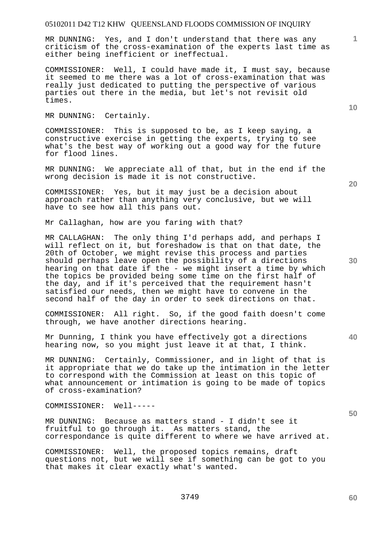MR DUNNING: Yes, and I don't understand that there was any criticism of the cross-examination of the experts last time as either being inefficient or ineffectual.

COMMISSIONER: Well, I could have made it, I must say, because it seemed to me there was a lot of cross-examination that was really just dedicated to putting the perspective of various parties out there in the media, but let's not revisit old times.

MR DUNNING: Certainly.

COMMISSIONER: This is supposed to be, as I keep saying, a constructive exercise in getting the experts, trying to see what's the best way of working out a good way for the future for flood lines.

MR DUNNING: We appreciate all of that, but in the end if the wrong decision is made it is not constructive.

COMMISSIONER: Yes, but it may just be a decision about approach rather than anything very conclusive, but we will have to see how all this pans out.

Mr Callaghan, how are you faring with that?

MR CALLAGHAN: The only thing I'd perhaps add, and perhaps I will reflect on it, but foreshadow is that on that date, the 20th of October, we might revise this process and parties should perhaps leave open the possibility of a directions hearing on that date if the - we might insert a time by which the topics be provided being some time on the first half of the day, and if it's perceived that the requirement hasn't satisfied our needs, then we might have to convene in the second half of the day in order to seek directions on that.

COMMISSIONER: All right. So, if the good faith doesn't come through, we have another directions hearing.

Mr Dunning, I think you have effectively got a directions hearing now, so you might just leave it at that, I think.

MR DUNNING: Certainly, Commissioner, and in light of that is it appropriate that we do take up the intimation in the letter to correspond with the Commission at least on this topic of what announcement or intimation is going to be made of topics of cross-examination?

COMMISSIONER: Well-----

MR DUNNING: Because as matters stand - I didn't see it fruitful to go through it. As matters stand, the correspondance is quite different to where we have arrived at.

COMMISSIONER: Well, the proposed topics remains, draft questions not, but we will see if something can be got to you that makes it clear exactly what's wanted.

**10** 

**1**

**20** 

**40**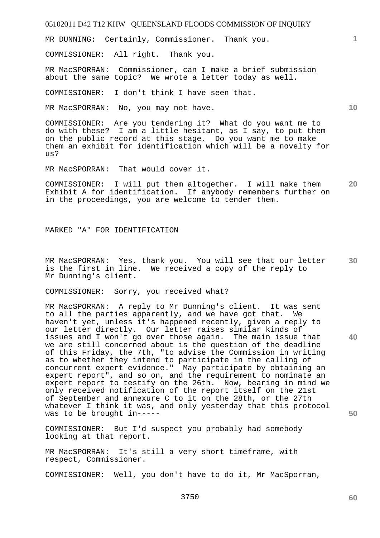MR DUNNING: Certainly, Commissioner. Thank you.

COMMISSIONER: All right. Thank you.

MR MacSPORRAN: Commissioner, can I make a brief submission about the same topic? We wrote a letter today as well.

COMMISSIONER: I don't think I have seen that.

MR MacSPORRAN: No, you may not have.

COMMISSIONER: Are you tendering it? What do you want me to do with these? I am a little hesitant, as I say, to put them on the public record at this stage. Do you want me to make them an exhibit for identification which will be a novelty for us?

MR MacSPORRAN: That would cover it.

**20**  COMMISSIONER: I will put them altogether. I will make them Exhibit A for identification. If anybody remembers further on in the proceedings, you are welcome to tender them.

MARKED "A" FOR IDENTIFICATION

**30**  MR MacSPORRAN: Yes, thank you. You will see that our letter is the first in line. We received a copy of the reply to Mr Dunning's client.

COMMISSIONER: Sorry, you received what?

MR MacSPORRAN: A reply to Mr Dunning's client. It was sent to all the parties apparently, and we have got that. We haven't yet, unless it's happened recently, given a reply to our letter directly. Our letter raises similar kinds of issues and I won't go over those again. The main issue that we are still concerned about is the question of the deadline of this Friday, the 7th, "to advise the Commission in writing as to whether they intend to participate in the calling of concurrent expert evidence." May participate by obtaining an expert report", and so on, and the requirement to nominate an expert report , and bo on, and one request meaning in mind we<br>expert report to testify on the 26th. Now, bearing in mind we only received notification of the report itself on the 21st of September and annexure C to it on the 28th, or the 27th whatever I think it was, and only yesterday that this protocol was to be brought in-----

COMMISSIONER: But I'd suspect you probably had somebody looking at that report.

MR MacSPORRAN: It's still a very short timeframe, with respect, Commissioner.

COMMISSIONER: Well, you don't have to do it, Mr MacSporran,

**60** 

**1**

**10** 

**40**